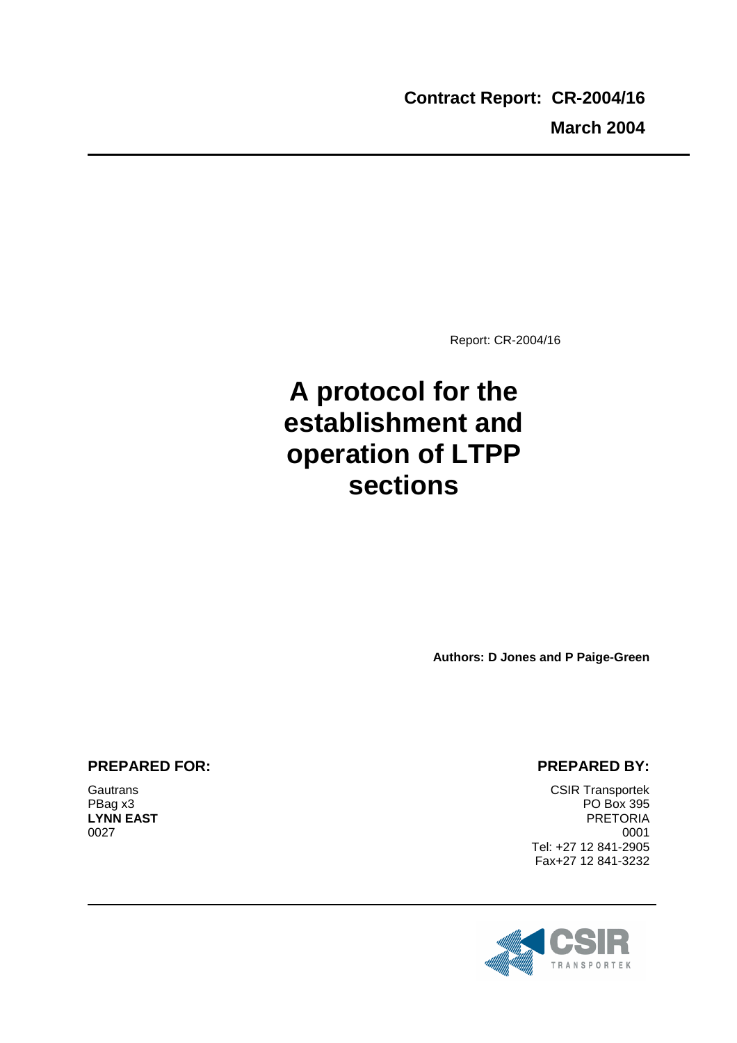Report: CR-2004/16

# **A protocol for the establishment and operation of LTPP sections**

**Authors: D Jones and P Paige-Green** 

## **PREPARED FOR:**

**Gautrans** PBag x3 **LYNN EAST** 0027

#### **PREPARED BY:**

CSIR Transportek PO Box 395 PRETORIA 0001 Tel: +27 12 841-2905 Fax+27 12 841-3232

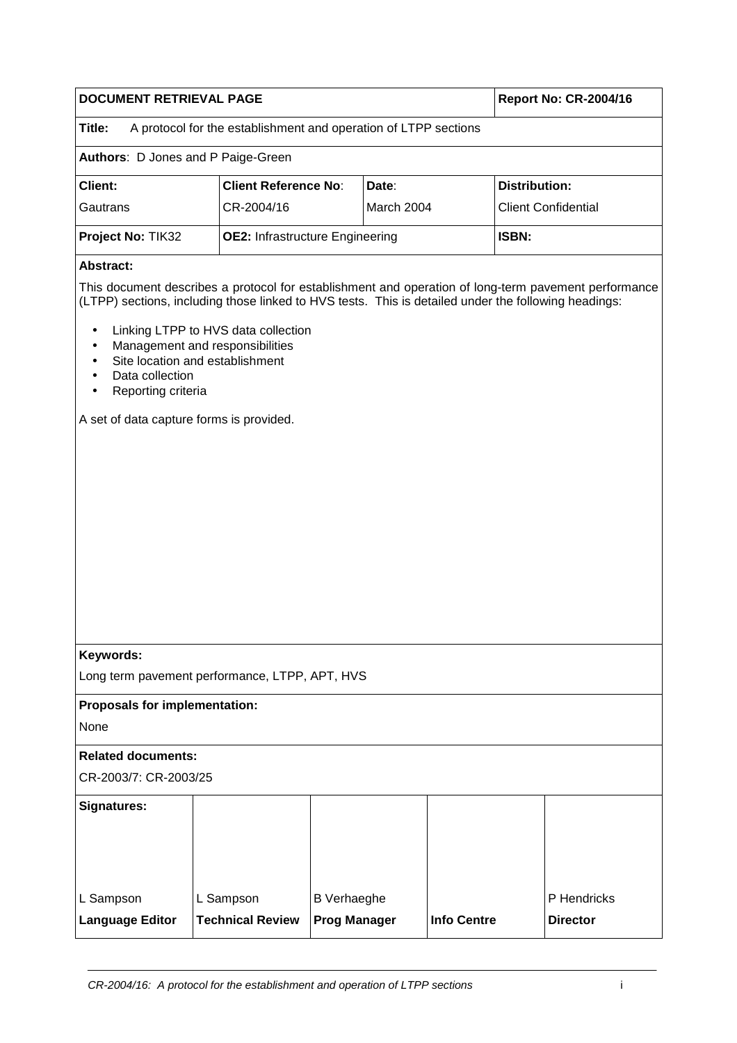| <b>DOCUMENT RETRIEVAL PAGE</b>                                            | <b>Report No: CR-2004/16</b>           |            |                                                                                                      |  |  |  |  |  |  |  |
|---------------------------------------------------------------------------|----------------------------------------|------------|------------------------------------------------------------------------------------------------------|--|--|--|--|--|--|--|
| Title:<br>A protocol for the establishment and operation of LTPP sections |                                        |            |                                                                                                      |  |  |  |  |  |  |  |
| <b>Authors: D Jones and P Paige-Green</b>                                 |                                        |            |                                                                                                      |  |  |  |  |  |  |  |
| Client:                                                                   | <b>Client Reference No:</b>            | Date:      | Distribution:                                                                                        |  |  |  |  |  |  |  |
| Gautrans                                                                  | CR-2004/16                             | March 2004 | <b>Client Confidential</b>                                                                           |  |  |  |  |  |  |  |
| Project No: TIK32                                                         | <b>OE2: Infrastructure Engineering</b> |            | <b>ISBN:</b>                                                                                         |  |  |  |  |  |  |  |
| Abstract:                                                                 |                                        |            |                                                                                                      |  |  |  |  |  |  |  |
|                                                                           |                                        |            | This document describes a protocol for establishment and operation of long-term pavement performance |  |  |  |  |  |  |  |

(LTPP) sections, including those linked to HVS tests. This is detailed under the following headings:

- Linking LTPP to HVS data collection
- Management and responsibilities
- Site location and establishment
- Data collection
- Reporting criteria

A set of data capture forms is provided.

Long term pavement performance, LTPP, APT, HVS

#### **Proposals for implementation:**

None

#### **Related documents:**

CR-2003/7: CR-2003/25

| <b>Signatures:</b>     |                         |                     |                    |                 |
|------------------------|-------------------------|---------------------|--------------------|-----------------|
|                        |                         |                     |                    |                 |
| L Sampson              | L Sampson               | <b>B</b> Verhaeghe  |                    | P Hendricks     |
| <b>Language Editor</b> | <b>Technical Review</b> | <b>Prog Manager</b> | <b>Info Centre</b> | <b>Director</b> |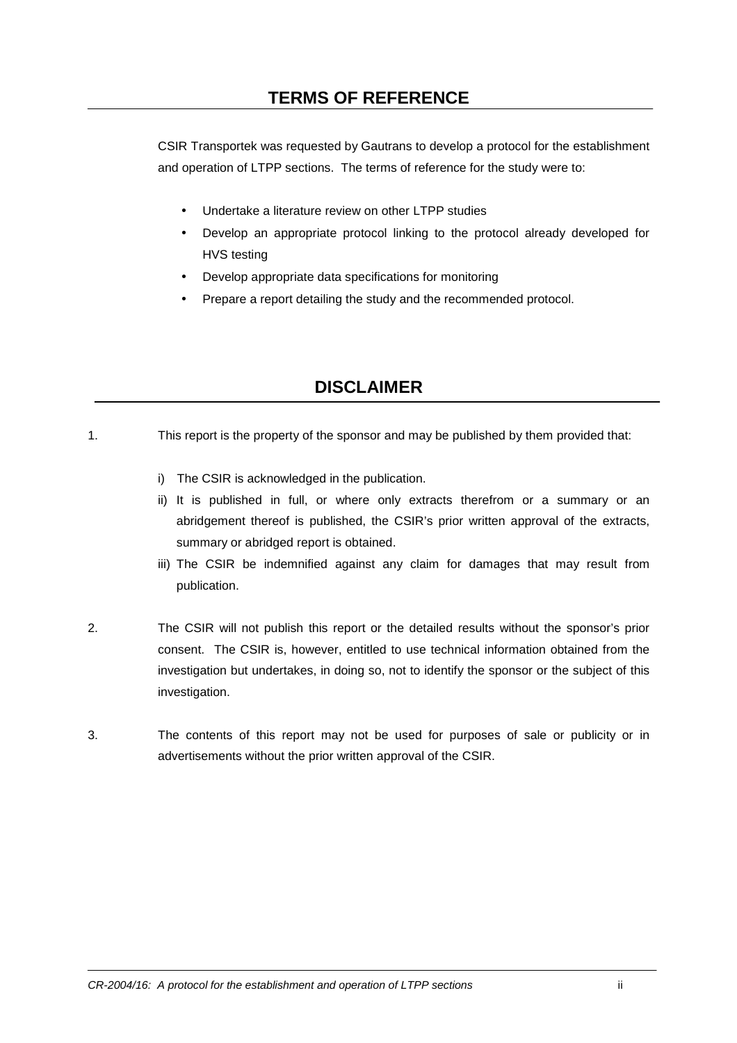CSIR Transportek was requested by Gautrans to develop a protocol for the establishment and operation of LTPP sections. The terms of reference for the study were to:

- Undertake a literature review on other LTPP studies
- Develop an appropriate protocol linking to the protocol already developed for HVS testing
- Develop appropriate data specifications for monitoring
- Prepare a report detailing the study and the recommended protocol.

## **DISCLAIMER**

- 1. This report is the property of the sponsor and may be published by them provided that:
	- i) The CSIR is acknowledged in the publication.
	- ii) It is published in full, or where only extracts therefrom or a summary or an abridgement thereof is published, the CSIR's prior written approval of the extracts, summary or abridged report is obtained.
	- iii) The CSIR be indemnified against any claim for damages that may result from publication.
- 2. The CSIR will not publish this report or the detailed results without the sponsor's prior consent. The CSIR is, however, entitled to use technical information obtained from the investigation but undertakes, in doing so, not to identify the sponsor or the subject of this investigation.
- 3. The contents of this report may not be used for purposes of sale or publicity or in advertisements without the prior written approval of the CSIR.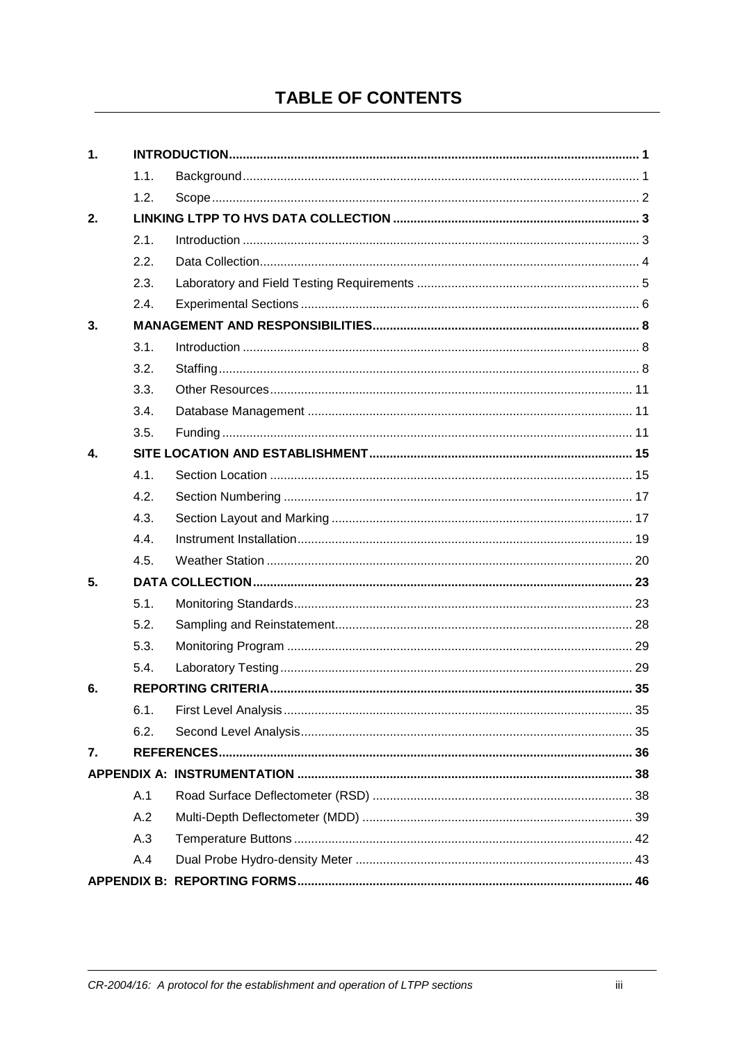## **TABLE OF CONTENTS**

| 1.           |      |  |
|--------------|------|--|
|              | 1.1. |  |
|              | 1.2. |  |
| 2.           |      |  |
|              | 2.1. |  |
|              | 2.2. |  |
|              | 2.3. |  |
|              | 2.4. |  |
| 3.           |      |  |
|              | 3.1. |  |
|              | 3.2. |  |
|              | 3.3. |  |
|              | 3.4. |  |
|              | 3.5. |  |
| $\mathbf{4}$ |      |  |
|              | 4.1. |  |
|              | 4.2. |  |
|              | 4.3. |  |
|              | 4.4. |  |
|              | 4.5. |  |
| 5.           |      |  |
|              | 5.1. |  |
|              | 5.2. |  |
|              | 5.3. |  |
|              | 5.4. |  |
| 6.           |      |  |
|              | 6.1. |  |
|              | 6.2. |  |
| 7.           |      |  |
|              |      |  |
|              | A.1  |  |
|              | A.2  |  |
|              | A.3  |  |
|              | A.4  |  |
|              |      |  |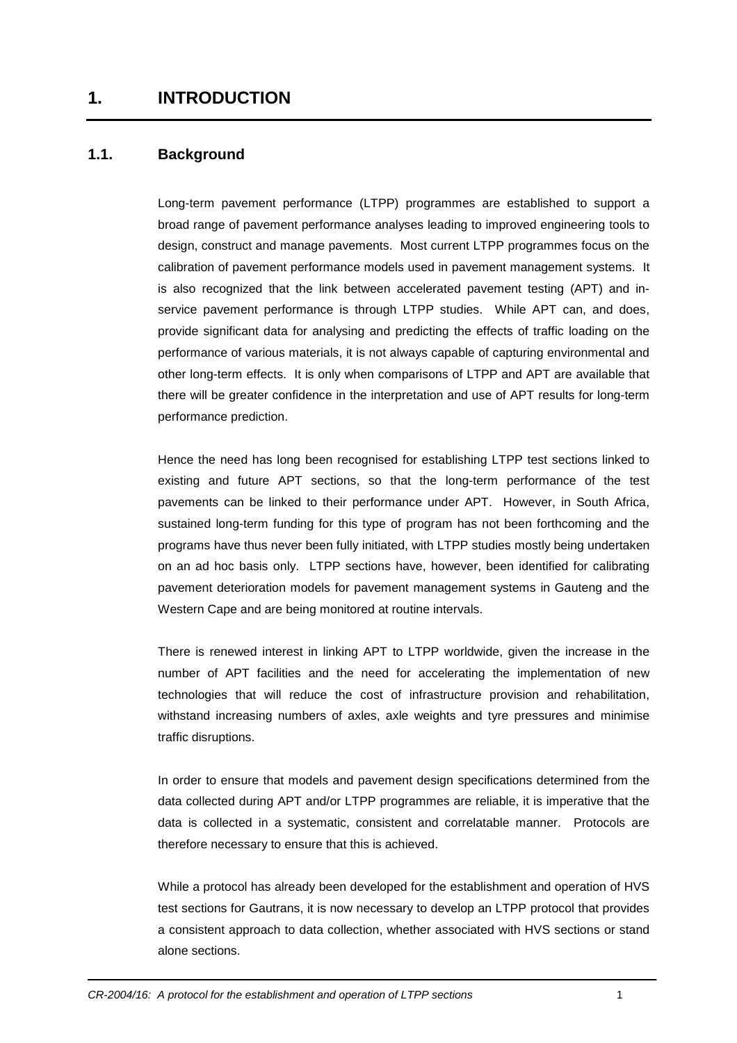## **1.1. Background**

Long-term pavement performance (LTPP) programmes are established to support a broad range of pavement performance analyses leading to improved engineering tools to design, construct and manage pavements. Most current LTPP programmes focus on the calibration of pavement performance models used in pavement management systems. It is also recognized that the link between accelerated pavement testing (APT) and inservice pavement performance is through LTPP studies. While APT can, and does, provide significant data for analysing and predicting the effects of traffic loading on the performance of various materials, it is not always capable of capturing environmental and other long-term effects. It is only when comparisons of LTPP and APT are available that there will be greater confidence in the interpretation and use of APT results for long-term performance prediction.

Hence the need has long been recognised for establishing LTPP test sections linked to existing and future APT sections, so that the long-term performance of the test pavements can be linked to their performance under APT. However, in South Africa, sustained long-term funding for this type of program has not been forthcoming and the programs have thus never been fully initiated, with LTPP studies mostly being undertaken on an ad hoc basis only. LTPP sections have, however, been identified for calibrating pavement deterioration models for pavement management systems in Gauteng and the Western Cape and are being monitored at routine intervals.

There is renewed interest in linking APT to LTPP worldwide, given the increase in the number of APT facilities and the need for accelerating the implementation of new technologies that will reduce the cost of infrastructure provision and rehabilitation, withstand increasing numbers of axles, axle weights and tyre pressures and minimise traffic disruptions.

In order to ensure that models and pavement design specifications determined from the data collected during APT and/or LTPP programmes are reliable, it is imperative that the data is collected in a systematic, consistent and correlatable manner. Protocols are therefore necessary to ensure that this is achieved.

While a protocol has already been developed for the establishment and operation of HVS test sections for Gautrans, it is now necessary to develop an LTPP protocol that provides a consistent approach to data collection, whether associated with HVS sections or stand alone sections.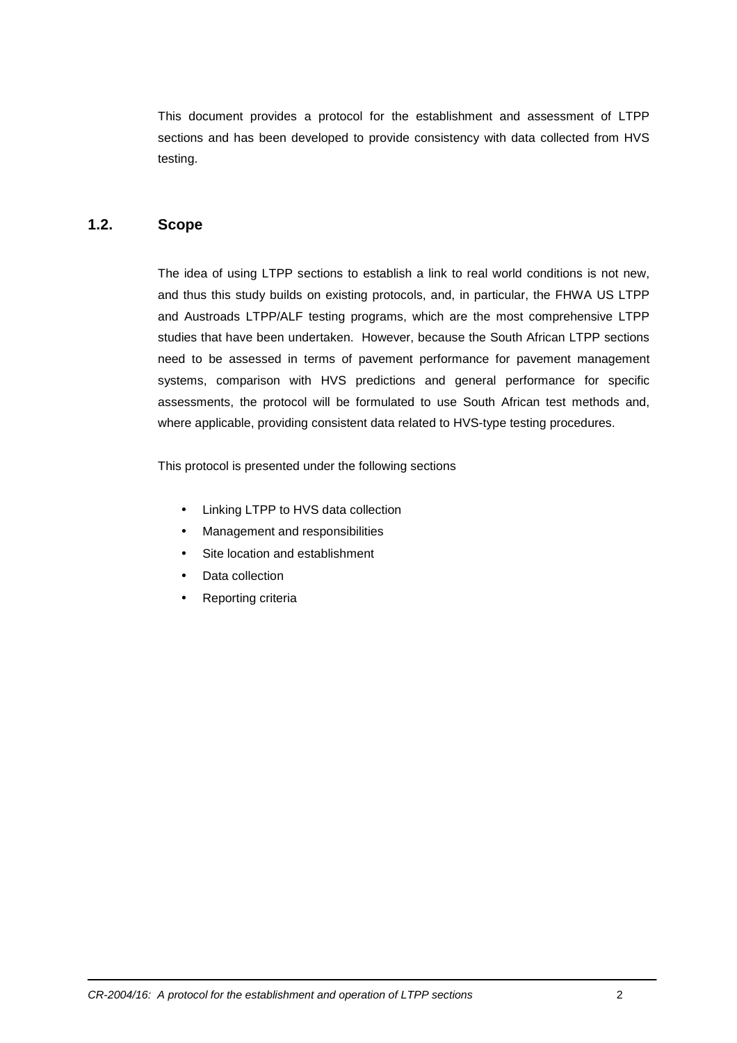This document provides a protocol for the establishment and assessment of LTPP sections and has been developed to provide consistency with data collected from HVS testing.

## **1.2. Scope**

The idea of using LTPP sections to establish a link to real world conditions is not new, and thus this study builds on existing protocols, and, in particular, the FHWA US LTPP and Austroads LTPP/ALF testing programs, which are the most comprehensive LTPP studies that have been undertaken. However, because the South African LTPP sections need to be assessed in terms of pavement performance for pavement management systems, comparison with HVS predictions and general performance for specific assessments, the protocol will be formulated to use South African test methods and, where applicable, providing consistent data related to HVS-type testing procedures.

This protocol is presented under the following sections

- Linking LTPP to HVS data collection
- Management and responsibilities
- Site location and establishment
- Data collection
- Reporting criteria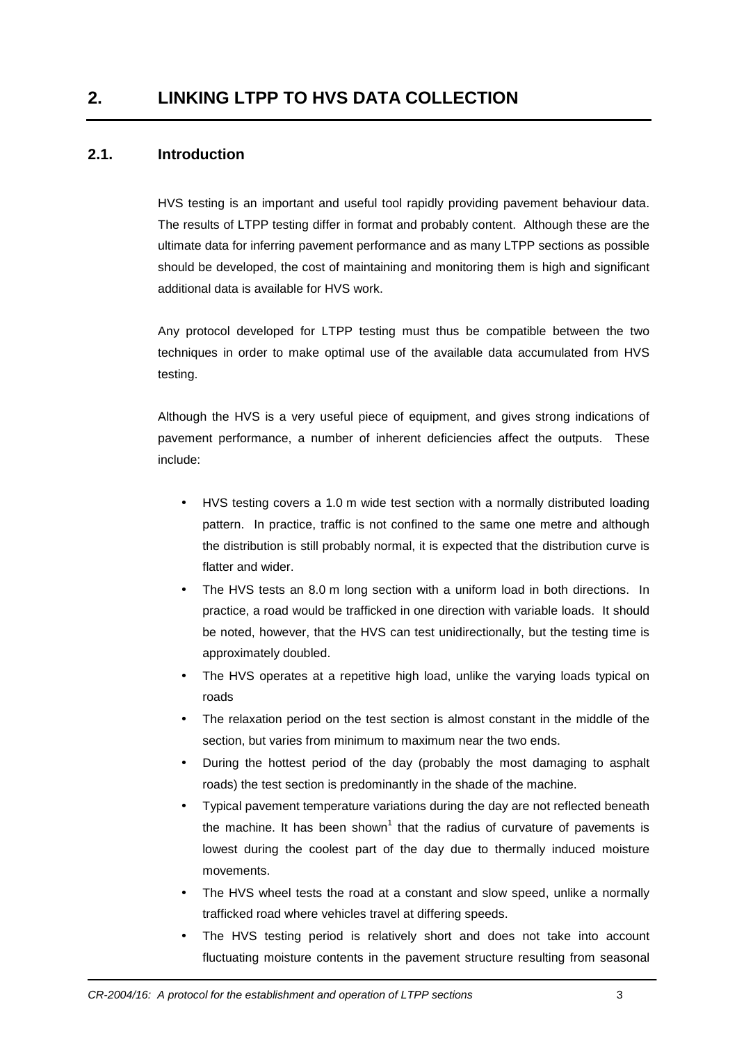## **2.1. Introduction**

HVS testing is an important and useful tool rapidly providing pavement behaviour data. The results of LTPP testing differ in format and probably content. Although these are the ultimate data for inferring pavement performance and as many LTPP sections as possible should be developed, the cost of maintaining and monitoring them is high and significant additional data is available for HVS work.

Any protocol developed for LTPP testing must thus be compatible between the two techniques in order to make optimal use of the available data accumulated from HVS testing.

Although the HVS is a very useful piece of equipment, and gives strong indications of pavement performance, a number of inherent deficiencies affect the outputs. These include:

- HVS testing covers a 1.0 m wide test section with a normally distributed loading pattern. In practice, traffic is not confined to the same one metre and although the distribution is still probably normal, it is expected that the distribution curve is flatter and wider.
- The HVS tests an 8.0 m long section with a uniform load in both directions. In practice, a road would be trafficked in one direction with variable loads. It should be noted, however, that the HVS can test unidirectionally, but the testing time is approximately doubled.
- The HVS operates at a repetitive high load, unlike the varying loads typical on roads
- The relaxation period on the test section is almost constant in the middle of the section, but varies from minimum to maximum near the two ends.
- During the hottest period of the day (probably the most damaging to asphalt roads) the test section is predominantly in the shade of the machine.
- Typical pavement temperature variations during the day are not reflected beneath the machine. It has been shown<sup>1</sup> that the radius of curvature of pavements is lowest during the coolest part of the day due to thermally induced moisture movements.
- The HVS wheel tests the road at a constant and slow speed, unlike a normally trafficked road where vehicles travel at differing speeds.
- The HVS testing period is relatively short and does not take into account fluctuating moisture contents in the pavement structure resulting from seasonal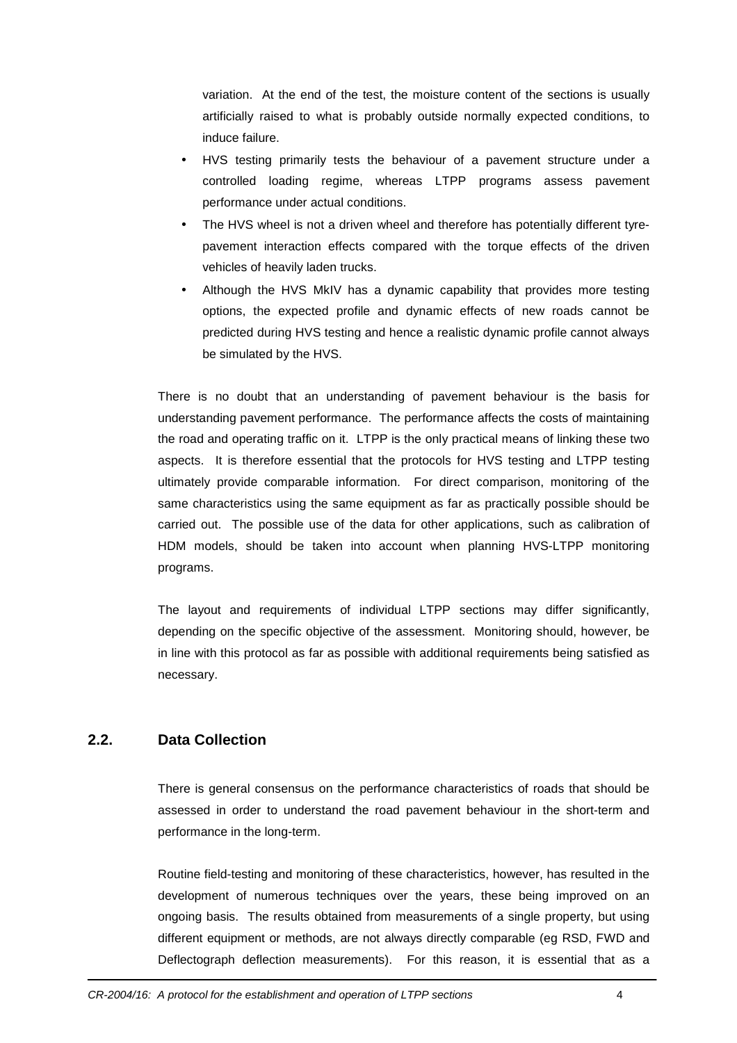variation. At the end of the test, the moisture content of the sections is usually artificially raised to what is probably outside normally expected conditions, to induce failure.

- HVS testing primarily tests the behaviour of a pavement structure under a controlled loading regime, whereas LTPP programs assess pavement performance under actual conditions.
- The HVS wheel is not a driven wheel and therefore has potentially different tyrepavement interaction effects compared with the torque effects of the driven vehicles of heavily laden trucks.
- Although the HVS MkIV has a dynamic capability that provides more testing options, the expected profile and dynamic effects of new roads cannot be predicted during HVS testing and hence a realistic dynamic profile cannot always be simulated by the HVS.

There is no doubt that an understanding of pavement behaviour is the basis for understanding pavement performance. The performance affects the costs of maintaining the road and operating traffic on it. LTPP is the only practical means of linking these two aspects. It is therefore essential that the protocols for HVS testing and LTPP testing ultimately provide comparable information. For direct comparison, monitoring of the same characteristics using the same equipment as far as practically possible should be carried out. The possible use of the data for other applications, such as calibration of HDM models, should be taken into account when planning HVS-LTPP monitoring programs.

The layout and requirements of individual LTPP sections may differ significantly, depending on the specific objective of the assessment. Monitoring should, however, be in line with this protocol as far as possible with additional requirements being satisfied as necessary.

## **2.2. Data Collection**

There is general consensus on the performance characteristics of roads that should be assessed in order to understand the road pavement behaviour in the short-term and performance in the long-term.

Routine field-testing and monitoring of these characteristics, however, has resulted in the development of numerous techniques over the years, these being improved on an ongoing basis. The results obtained from measurements of a single property, but using different equipment or methods, are not always directly comparable (eg RSD, FWD and Deflectograph deflection measurements). For this reason, it is essential that as a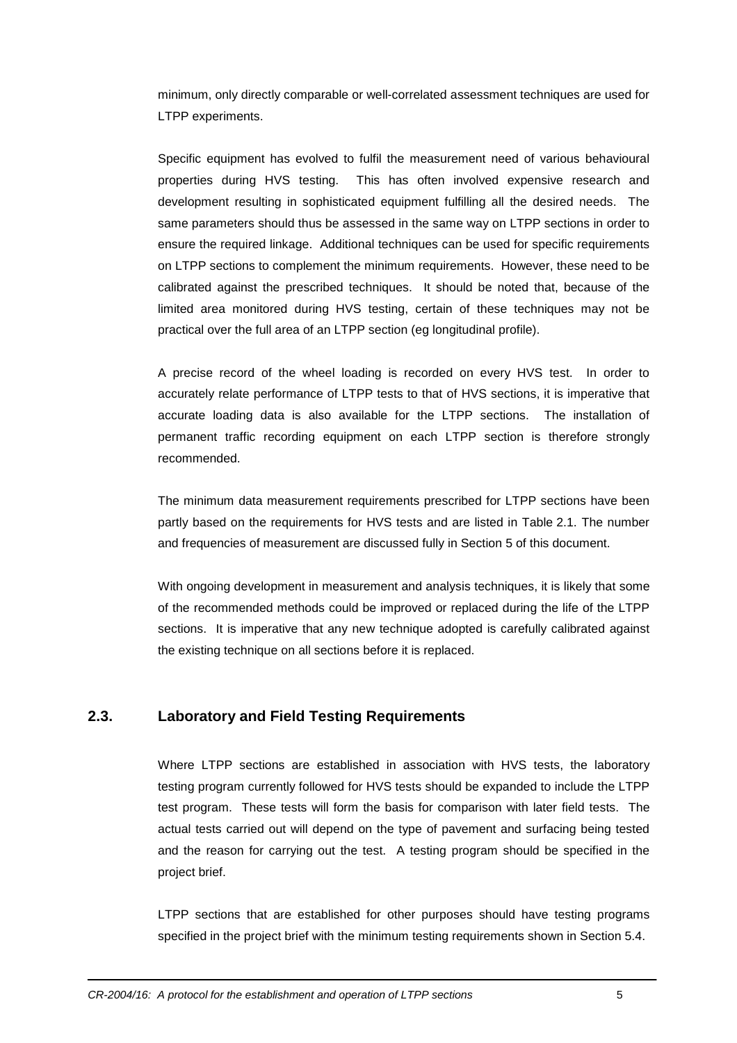minimum, only directly comparable or well-correlated assessment techniques are used for LTPP experiments.

Specific equipment has evolved to fulfil the measurement need of various behavioural properties during HVS testing. This has often involved expensive research and development resulting in sophisticated equipment fulfilling all the desired needs. The same parameters should thus be assessed in the same way on LTPP sections in order to ensure the required linkage. Additional techniques can be used for specific requirements on LTPP sections to complement the minimum requirements. However, these need to be calibrated against the prescribed techniques. It should be noted that, because of the limited area monitored during HVS testing, certain of these techniques may not be practical over the full area of an LTPP section (eg longitudinal profile).

A precise record of the wheel loading is recorded on every HVS test. In order to accurately relate performance of LTPP tests to that of HVS sections, it is imperative that accurate loading data is also available for the LTPP sections. The installation of permanent traffic recording equipment on each LTPP section is therefore strongly recommended.

The minimum data measurement requirements prescribed for LTPP sections have been partly based on the requirements for HVS tests and are listed in Table 2.1. The number and frequencies of measurement are discussed fully in Section 5 of this document.

With ongoing development in measurement and analysis techniques, it is likely that some of the recommended methods could be improved or replaced during the life of the LTPP sections. It is imperative that any new technique adopted is carefully calibrated against the existing technique on all sections before it is replaced.

## **2.3. Laboratory and Field Testing Requirements**

Where LTPP sections are established in association with HVS tests, the laboratory testing program currently followed for HVS tests should be expanded to include the LTPP test program. These tests will form the basis for comparison with later field tests. The actual tests carried out will depend on the type of pavement and surfacing being tested and the reason for carrying out the test. A testing program should be specified in the project brief.

LTPP sections that are established for other purposes should have testing programs specified in the project brief with the minimum testing requirements shown in Section 5.4.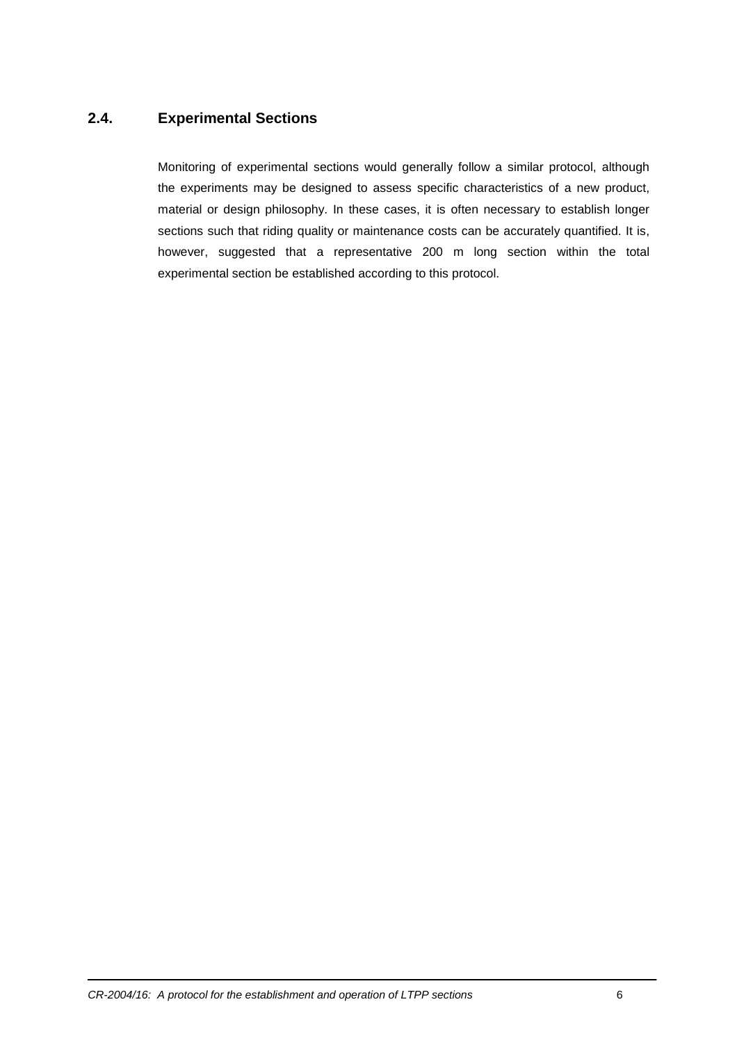## **2.4. Experimental Sections**

Monitoring of experimental sections would generally follow a similar protocol, although the experiments may be designed to assess specific characteristics of a new product, material or design philosophy. In these cases, it is often necessary to establish longer sections such that riding quality or maintenance costs can be accurately quantified. It is, however, suggested that a representative 200 m long section within the total experimental section be established according to this protocol.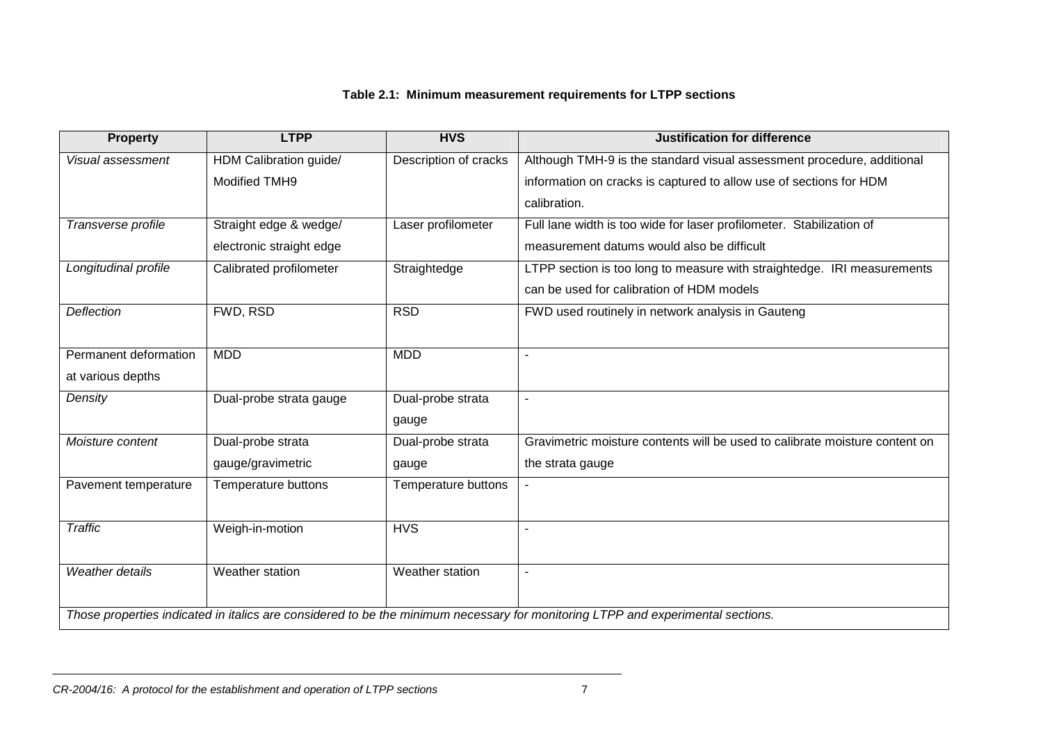## **Table 2.1: Minimum measurement requirements for LTPP sections**

| <b>Property</b>       | <b>LTPP</b>              | <b>HVS</b>            | <b>Justification for difference</b>                                                                                             |
|-----------------------|--------------------------|-----------------------|---------------------------------------------------------------------------------------------------------------------------------|
| Visual assessment     | HDM Calibration guide/   | Description of cracks | Although TMH-9 is the standard visual assessment procedure, additional                                                          |
|                       | <b>Modified TMH9</b>     |                       | information on cracks is captured to allow use of sections for HDM                                                              |
|                       |                          |                       | calibration.                                                                                                                    |
| Transverse profile    | Straight edge & wedge/   | Laser profilometer    | Full lane width is too wide for laser profilometer. Stabilization of                                                            |
|                       | electronic straight edge |                       | measurement datums would also be difficult                                                                                      |
| Longitudinal profile  | Calibrated profilometer  | Straightedge          | LTPP section is too long to measure with straightedge. IRI measurements                                                         |
|                       |                          |                       | can be used for calibration of HDM models                                                                                       |
| Deflection            | FWD, RSD                 | <b>RSD</b>            | FWD used routinely in network analysis in Gauteng                                                                               |
|                       |                          |                       |                                                                                                                                 |
| Permanent deformation | <b>MDD</b>               | <b>MDD</b>            |                                                                                                                                 |
| at various depths     |                          |                       |                                                                                                                                 |
| Density               | Dual-probe strata gauge  | Dual-probe strata     |                                                                                                                                 |
|                       |                          | gauge                 |                                                                                                                                 |
| Moisture content      | Dual-probe strata        | Dual-probe strata     | Gravimetric moisture contents will be used to calibrate moisture content on                                                     |
|                       | gauge/gravimetric        | gauge                 | the strata gauge                                                                                                                |
| Pavement temperature  | Temperature buttons      | Temperature buttons   |                                                                                                                                 |
|                       |                          |                       |                                                                                                                                 |
| <b>Traffic</b>        | Weigh-in-motion          | <b>HVS</b>            |                                                                                                                                 |
|                       |                          |                       |                                                                                                                                 |
| Weather details       | Weather station          | Weather station       |                                                                                                                                 |
|                       |                          |                       |                                                                                                                                 |
|                       |                          |                       | Those properties indicated in italics are considered to be the minimum necessary for monitoring LTPP and experimental sections. |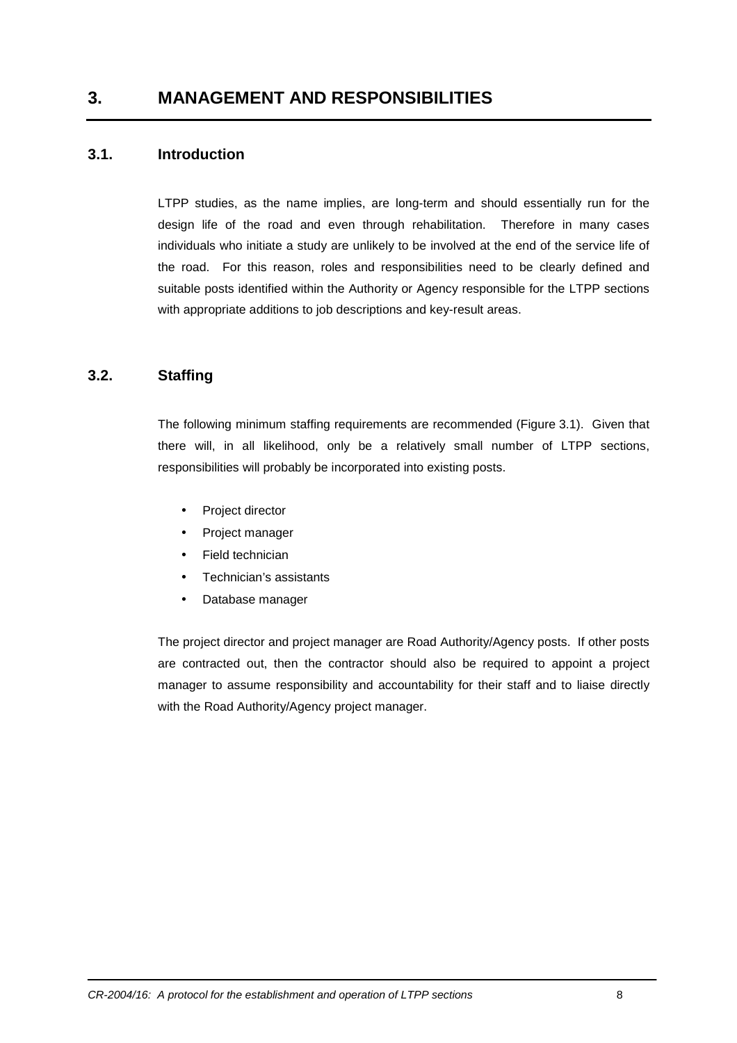## **3. MANAGEMENT AND RESPONSIBILITIES**

#### **3.1. Introduction**

LTPP studies, as the name implies, are long-term and should essentially run for the design life of the road and even through rehabilitation. Therefore in many cases individuals who initiate a study are unlikely to be involved at the end of the service life of the road. For this reason, roles and responsibilities need to be clearly defined and suitable posts identified within the Authority or Agency responsible for the LTPP sections with appropriate additions to job descriptions and key-result areas.

## **3.2. Staffing**

The following minimum staffing requirements are recommended (Figure 3.1). Given that there will, in all likelihood, only be a relatively small number of LTPP sections, responsibilities will probably be incorporated into existing posts.

- Project director
- Project manager
- Field technician
- Technician's assistants
- Database manager

The project director and project manager are Road Authority/Agency posts. If other posts are contracted out, then the contractor should also be required to appoint a project manager to assume responsibility and accountability for their staff and to liaise directly with the Road Authority/Agency project manager.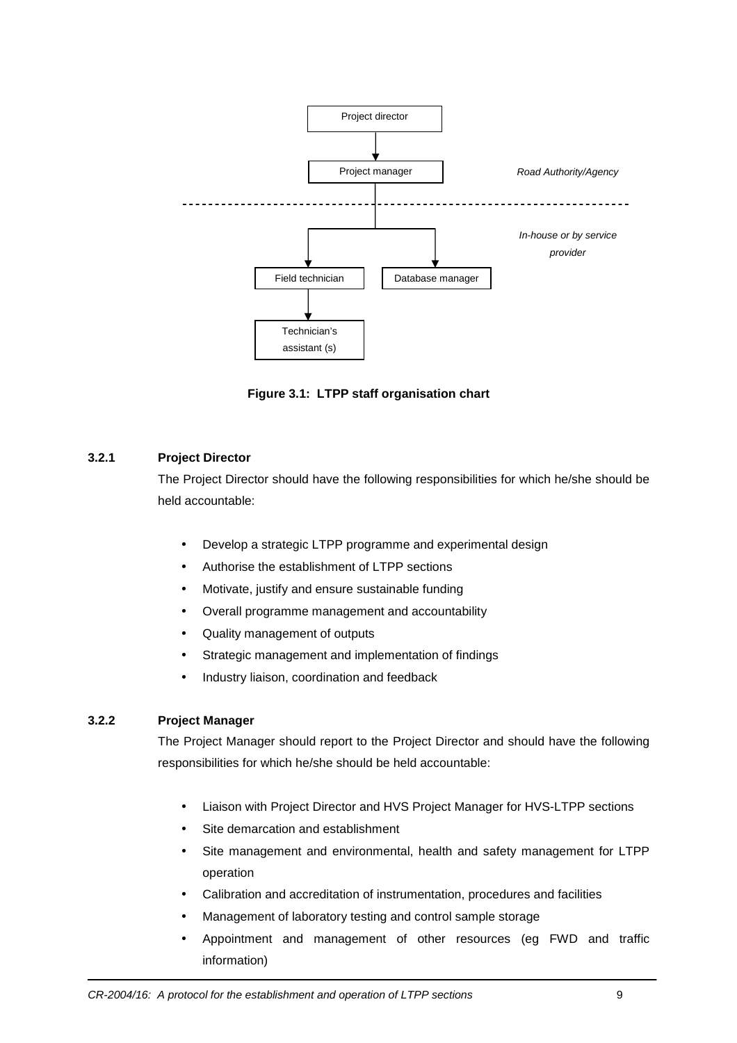

**Figure 3.1: LTPP staff organisation chart** 

#### **3.2.1 Project Director**

The Project Director should have the following responsibilities for which he/she should be held accountable:

- Develop a strategic LTPP programme and experimental design
- Authorise the establishment of LTPP sections
- Motivate, justify and ensure sustainable funding
- Overall programme management and accountability
- Quality management of outputs
- Strategic management and implementation of findings
- Industry liaison, coordination and feedback

#### **3.2.2 Project Manager**

The Project Manager should report to the Project Director and should have the following responsibilities for which he/she should be held accountable:

- Liaison with Project Director and HVS Project Manager for HVS-LTPP sections
- Site demarcation and establishment
- Site management and environmental, health and safety management for LTPP operation
- Calibration and accreditation of instrumentation, procedures and facilities
- Management of laboratory testing and control sample storage
- Appointment and management of other resources (eg FWD and traffic information)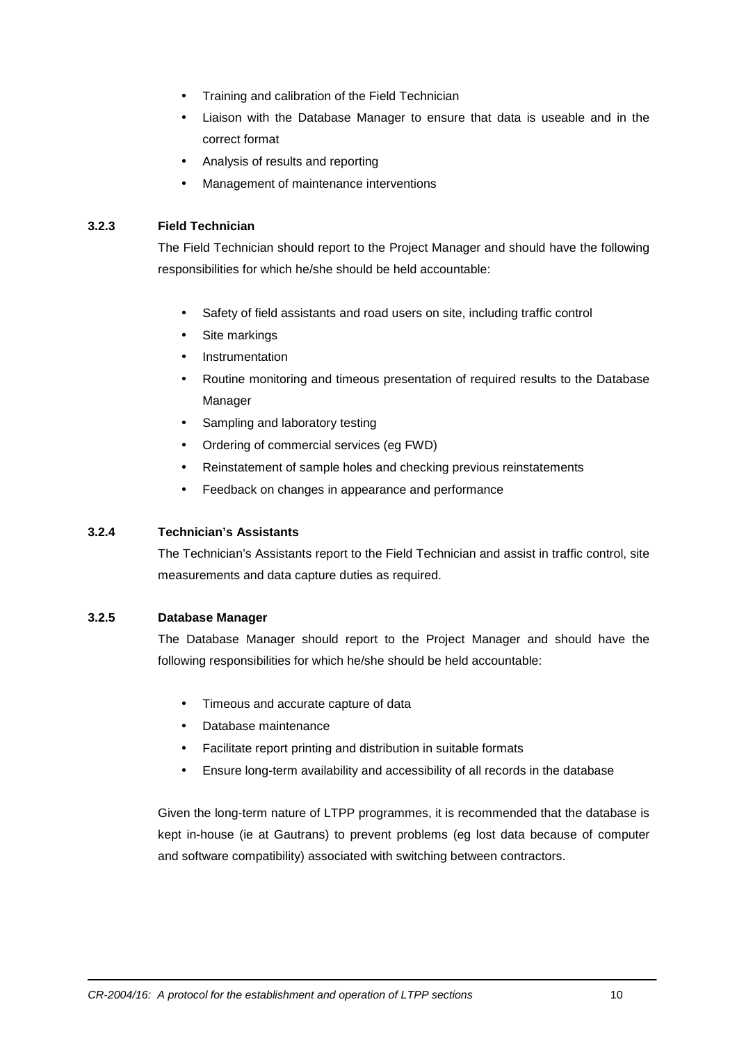- Training and calibration of the Field Technician
- Liaison with the Database Manager to ensure that data is useable and in the correct format
- Analysis of results and reporting
- Management of maintenance interventions

#### **3.2.3 Field Technician**

The Field Technician should report to the Project Manager and should have the following responsibilities for which he/she should be held accountable:

- Safety of field assistants and road users on site, including traffic control
- Site markings
- **Instrumentation**
- Routine monitoring and timeous presentation of required results to the Database Manager
- Sampling and laboratory testing
- Ordering of commercial services (eg FWD)
- Reinstatement of sample holes and checking previous reinstatements
- Feedback on changes in appearance and performance

#### **3.2.4 Technician's Assistants**

The Technician's Assistants report to the Field Technician and assist in traffic control, site measurements and data capture duties as required.

#### **3.2.5 Database Manager**

The Database Manager should report to the Project Manager and should have the following responsibilities for which he/she should be held accountable:

- Timeous and accurate capture of data
- Database maintenance
- Facilitate report printing and distribution in suitable formats
- Ensure long-term availability and accessibility of all records in the database

Given the long-term nature of LTPP programmes, it is recommended that the database is kept in-house (ie at Gautrans) to prevent problems (eg lost data because of computer and software compatibility) associated with switching between contractors.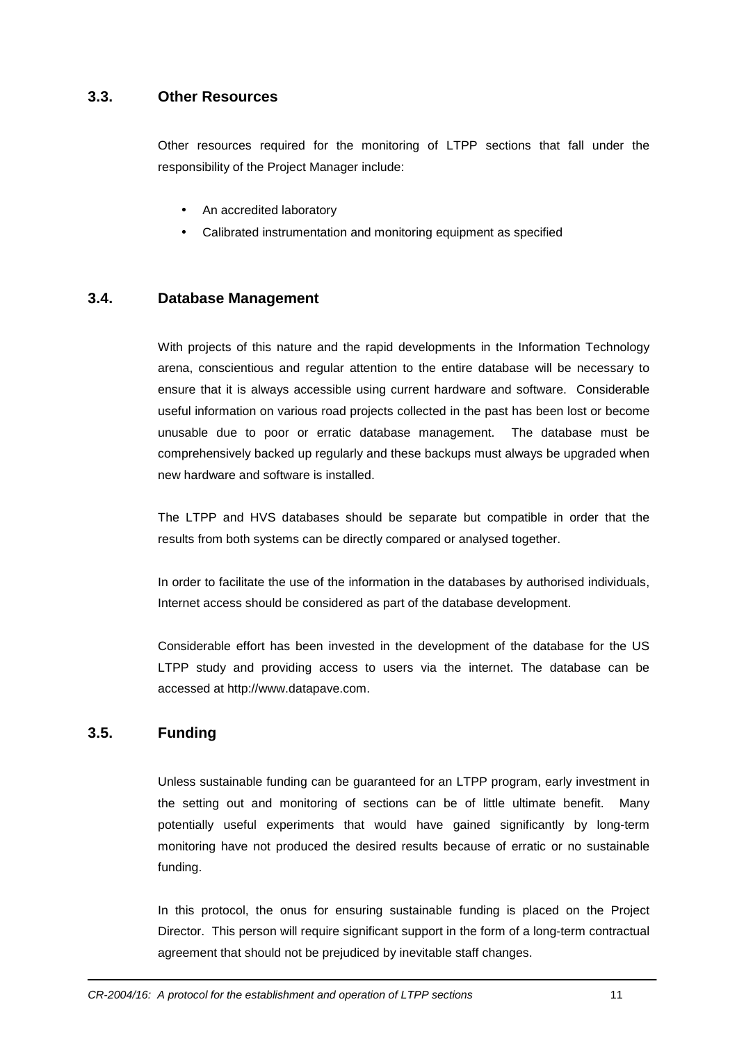## **3.3. Other Resources**

Other resources required for the monitoring of LTPP sections that fall under the responsibility of the Project Manager include:

- An accredited laboratory
- Calibrated instrumentation and monitoring equipment as specified

## **3.4. Database Management**

With projects of this nature and the rapid developments in the Information Technology arena, conscientious and regular attention to the entire database will be necessary to ensure that it is always accessible using current hardware and software. Considerable useful information on various road projects collected in the past has been lost or become unusable due to poor or erratic database management. The database must be comprehensively backed up regularly and these backups must always be upgraded when new hardware and software is installed.

The LTPP and HVS databases should be separate but compatible in order that the results from both systems can be directly compared or analysed together.

In order to facilitate the use of the information in the databases by authorised individuals, Internet access should be considered as part of the database development.

Considerable effort has been invested in the development of the database for the US LTPP study and providing access to users via the internet. The database can be accessed at http://www.datapave.com.

## **3.5. Funding**

Unless sustainable funding can be guaranteed for an LTPP program, early investment in the setting out and monitoring of sections can be of little ultimate benefit. Many potentially useful experiments that would have gained significantly by long-term monitoring have not produced the desired results because of erratic or no sustainable funding.

In this protocol, the onus for ensuring sustainable funding is placed on the Project Director. This person will require significant support in the form of a long-term contractual agreement that should not be prejudiced by inevitable staff changes.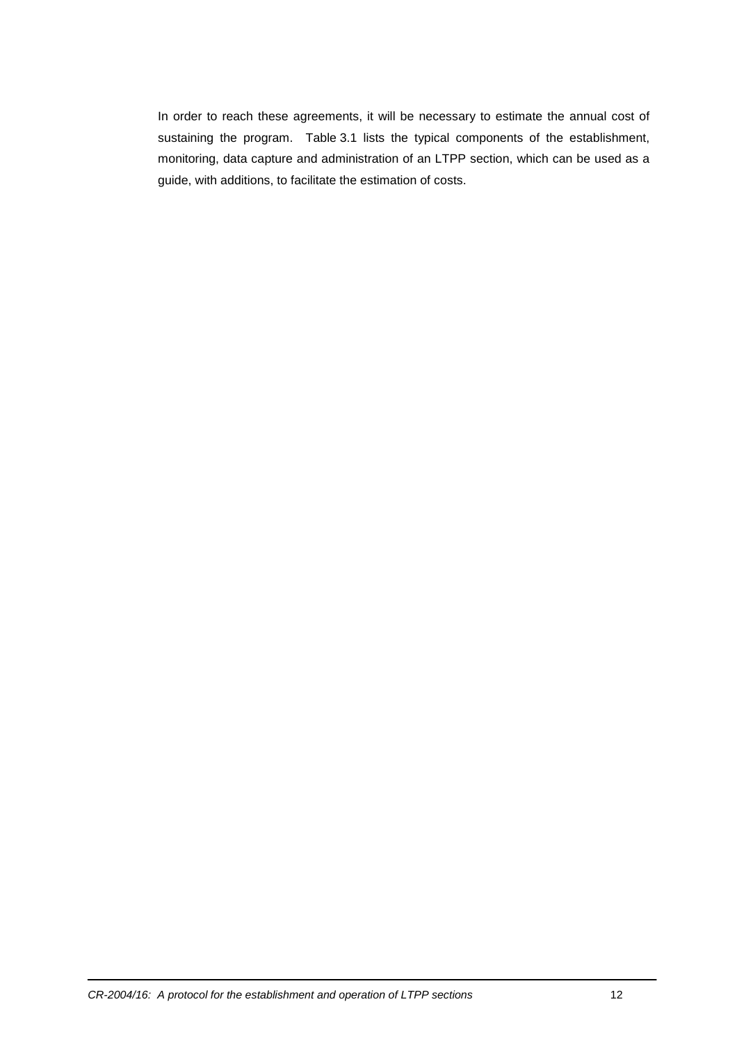In order to reach these agreements, it will be necessary to estimate the annual cost of sustaining the program. Table 3.1 lists the typical components of the establishment, monitoring, data capture and administration of an LTPP section, which can be used as a guide, with additions, to facilitate the estimation of costs.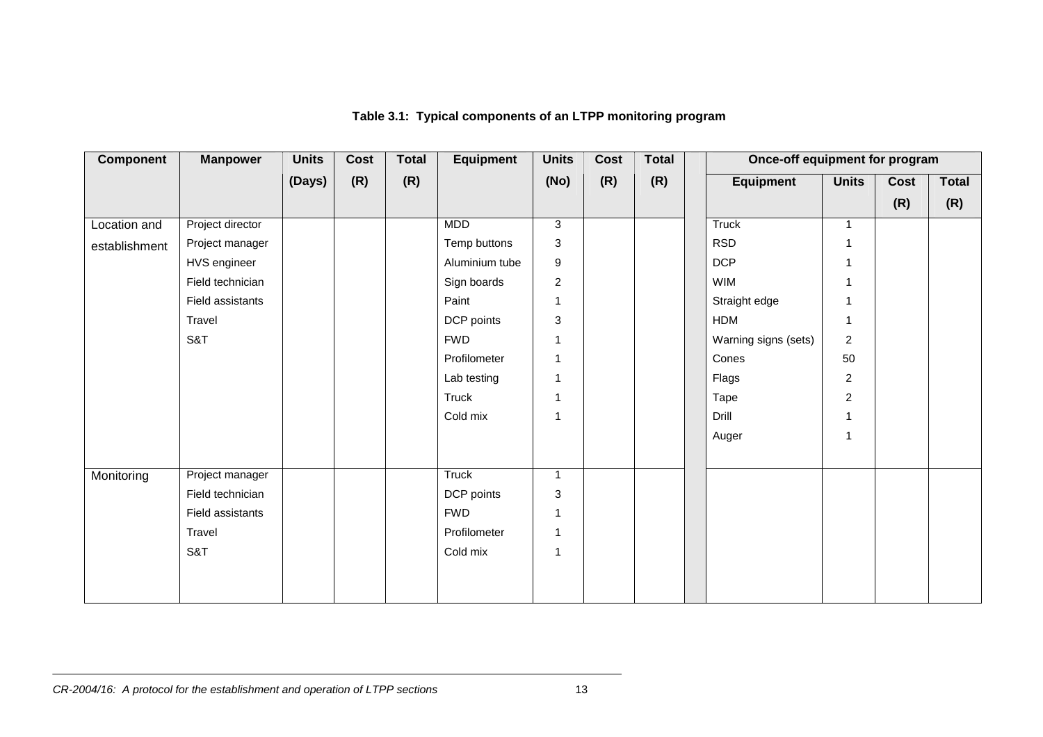| <b>Component</b> | <b>Manpower</b>  | <b>Units</b> | Cost | <b>Total</b> | <b>Equipment</b> | <b>Units</b>   | <b>Cost</b> | <b>Total</b> |                      | Once-off equipment for program |      |              |
|------------------|------------------|--------------|------|--------------|------------------|----------------|-------------|--------------|----------------------|--------------------------------|------|--------------|
|                  |                  | (Days)       | (R)  | (R)          |                  | (No)           | (R)         | (R)          | <b>Equipment</b>     | <b>Units</b>                   | Cost | <b>Total</b> |
|                  |                  |              |      |              |                  |                |             |              |                      |                                | (R)  | (R)          |
| Location and     | Project director |              |      |              | <b>MDD</b>       | 3              |             |              | <b>Truck</b>         | $\mathbf{1}$                   |      |              |
| establishment    | Project manager  |              |      |              | Temp buttons     | 3              |             |              | <b>RSD</b>           | $\mathbf 1$                    |      |              |
|                  | HVS engineer     |              |      |              | Aluminium tube   | $9\,$          |             |              | <b>DCP</b>           | $\mathbf{1}$                   |      |              |
|                  | Field technician |              |      |              | Sign boards      | $\overline{2}$ |             |              | <b>WIM</b>           | $\mathbf{1}$                   |      |              |
|                  | Field assistants |              |      |              | Paint            | $\mathbf{1}$   |             |              | Straight edge        | $\mathbf{1}$                   |      |              |
|                  | Travel           |              |      |              | DCP points       | 3              |             |              | <b>HDM</b>           | $\mathbf{1}$                   |      |              |
|                  | S&T              |              |      |              | <b>FWD</b>       |                |             |              | Warning signs (sets) | 2                              |      |              |
|                  |                  |              |      |              | Profilometer     | $\mathbf{1}$   |             |              | Cones                | 50                             |      |              |
|                  |                  |              |      |              | Lab testing      | $\overline{1}$ |             |              | Flags                | $\overline{2}$                 |      |              |
|                  |                  |              |      |              | <b>Truck</b>     | $\overline{1}$ |             |              | Tape                 | $\overline{c}$                 |      |              |
|                  |                  |              |      |              | Cold mix         | $\mathbf{1}$   |             |              | Drill                | $\mathbf{1}$                   |      |              |
|                  |                  |              |      |              |                  |                |             |              | Auger                | $\mathbf{1}$                   |      |              |
| Monitoring       | Project manager  |              |      |              | <b>Truck</b>     | $\mathbf{1}$   |             |              |                      |                                |      |              |
|                  | Field technician |              |      |              | DCP points       | 3              |             |              |                      |                                |      |              |
|                  | Field assistants |              |      |              | <b>FWD</b>       | $\mathbf{1}$   |             |              |                      |                                |      |              |
|                  | Travel           |              |      |              | Profilometer     | 1              |             |              |                      |                                |      |              |
|                  | S&T              |              |      |              | Cold mix         | -1             |             |              |                      |                                |      |              |
|                  |                  |              |      |              |                  |                |             |              |                      |                                |      |              |
|                  |                  |              |      |              |                  |                |             |              |                      |                                |      |              |

**Table 3.1: Typical components of an LTPP monitoring program**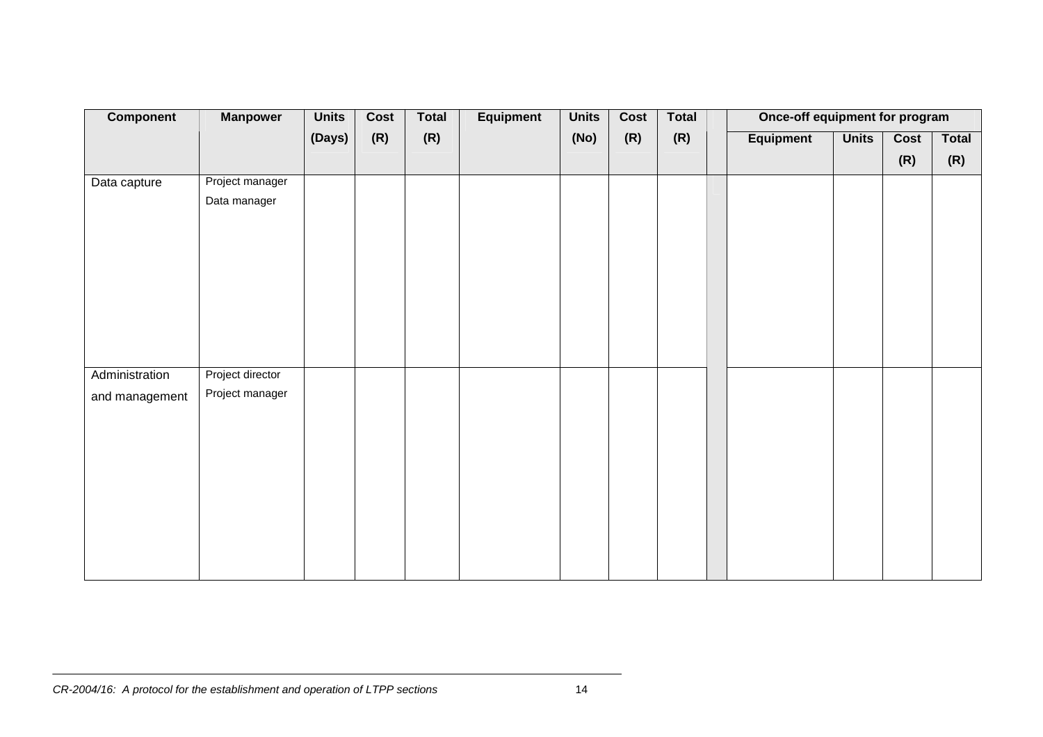| Component                        | <b>Manpower</b>                     | <b>Units</b> | Cost | <b>Total</b> | Equipment | <b>Units</b> | Cost | Total | Once-off equipment for program |              |             |                     |
|----------------------------------|-------------------------------------|--------------|------|--------------|-----------|--------------|------|-------|--------------------------------|--------------|-------------|---------------------|
|                                  |                                     | (Days)       | (R)  | (R)          |           | (No)         | (R)  | (R)   | Equipment                      | <b>Units</b> | Cost<br>(R) | <b>Total</b><br>(R) |
| Data capture                     | Project manager<br>Data manager     |              |      |              |           |              |      |       |                                |              |             |                     |
| Administration<br>and management | Project director<br>Project manager |              |      |              |           |              |      |       |                                |              |             |                     |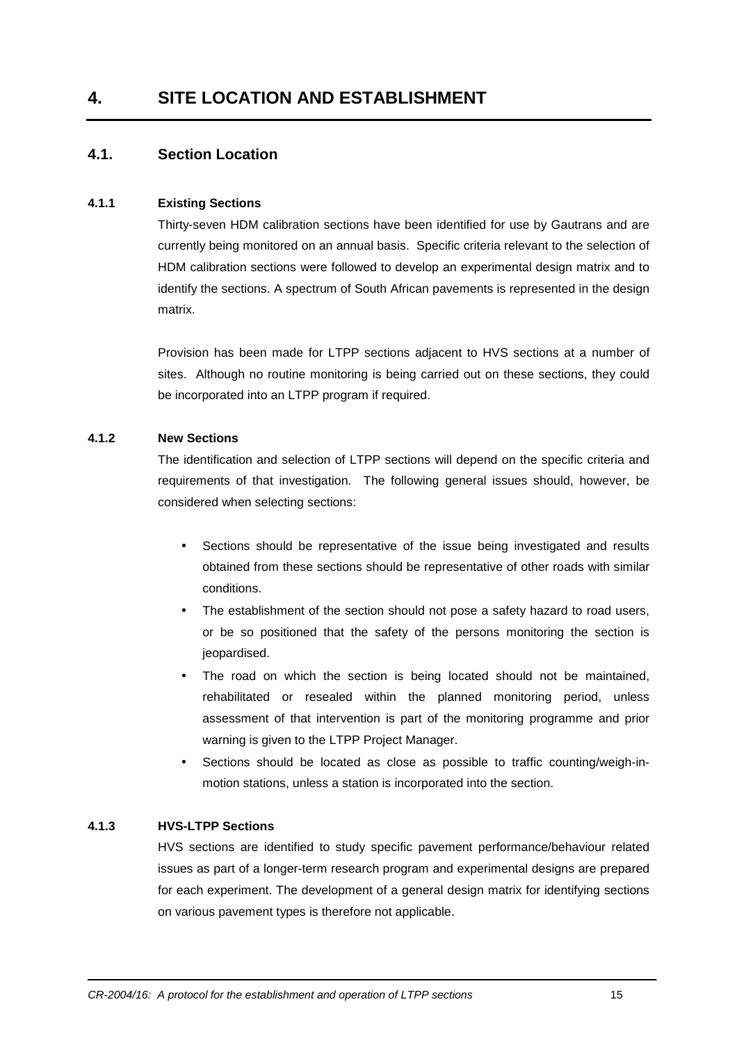## **4. SITE LOCATION AND ESTABLISHMENT**

## **4.1. Section Location**

#### **4.1.1 Existing Sections**

Thirty-seven HDM calibration sections have been identified for use by Gautrans and are currently being monitored on an annual basis. Specific criteria relevant to the selection of HDM calibration sections were followed to develop an experimental design matrix and to identify the sections. A spectrum of South African pavements is represented in the design matrix.

Provision has been made for LTPP sections adjacent to HVS sections at a number of sites. Although no routine monitoring is being carried out on these sections, they could be incorporated into an LTPP program if required.

#### **4.1.2 New Sections**

The identification and selection of LTPP sections will depend on the specific criteria and requirements of that investigation. The following general issues should, however, be considered when selecting sections:

- Sections should be representative of the issue being investigated and results obtained from these sections should be representative of other roads with similar conditions.
- The establishment of the section should not pose a safety hazard to road users, or be so positioned that the safety of the persons monitoring the section is jeopardised.
- The road on which the section is being located should not be maintained, rehabilitated or resealed within the planned monitoring period, unless assessment of that intervention is part of the monitoring programme and prior warning is given to the LTPP Project Manager.
- Sections should be located as close as possible to traffic counting/weigh-inmotion stations, unless a station is incorporated into the section.

#### **4.1.3 HVS-LTPP Sections**

HVS sections are identified to study specific pavement performance/behaviour related issues as part of a longer-term research program and experimental designs are prepared for each experiment. The development of a general design matrix for identifying sections on various pavement types is therefore not applicable.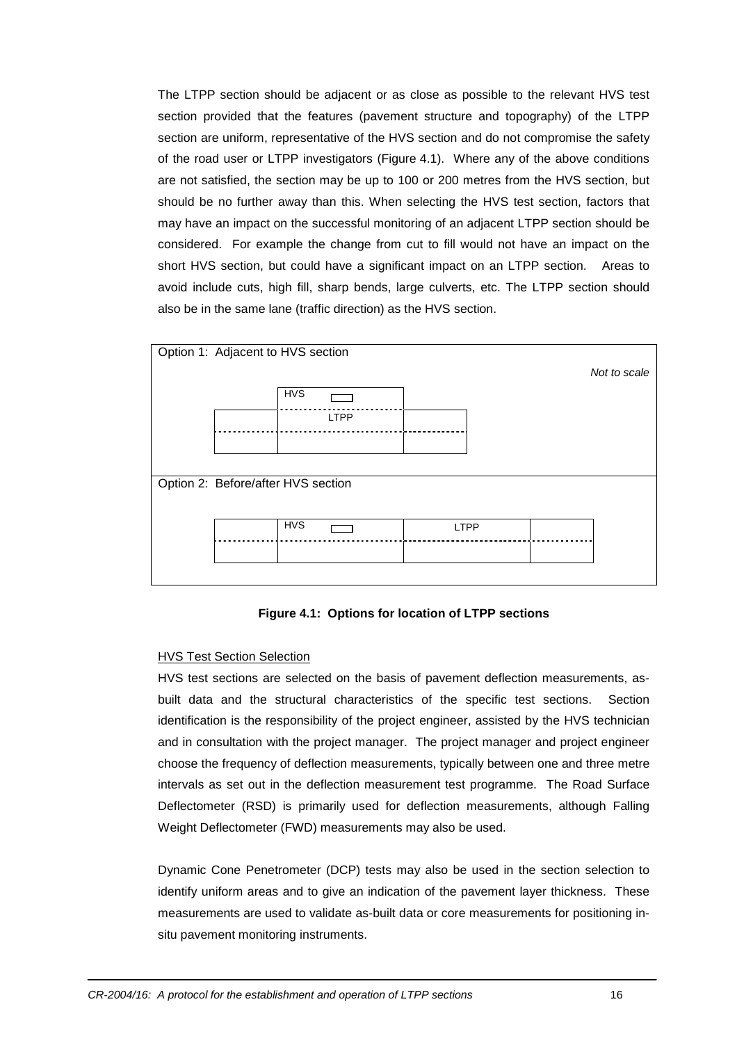The LTPP section should be adjacent or as close as possible to the relevant HVS test section provided that the features (pavement structure and topography) of the LTPP section are uniform, representative of the HVS section and do not compromise the safety of the road user or LTPP investigators (Figure 4.1). Where any of the above conditions are not satisfied, the section may be up to 100 or 200 metres from the HVS section, but should be no further away than this. When selecting the HVS test section, factors that may have an impact on the successful monitoring of an adjacent LTPP section should be considered. For example the change from cut to fill would not have an impact on the short HVS section, but could have a significant impact on an LTPP section. Areas to avoid include cuts, high fill, sharp bends, large culverts, etc. The LTPP section should also be in the same lane (traffic direction) as the HVS section.



#### **Figure 4.1: Options for location of LTPP sections**

#### HVS Test Section Selection

HVS test sections are selected on the basis of pavement deflection measurements, asbuilt data and the structural characteristics of the specific test sections. Section identification is the responsibility of the project engineer, assisted by the HVS technician and in consultation with the project manager. The project manager and project engineer choose the frequency of deflection measurements, typically between one and three metre intervals as set out in the deflection measurement test programme. The Road Surface Deflectometer (RSD) is primarily used for deflection measurements, although Falling Weight Deflectometer (FWD) measurements may also be used.

Dynamic Cone Penetrometer (DCP) tests may also be used in the section selection to identify uniform areas and to give an indication of the pavement layer thickness. These measurements are used to validate as-built data or core measurements for positioning insitu pavement monitoring instruments.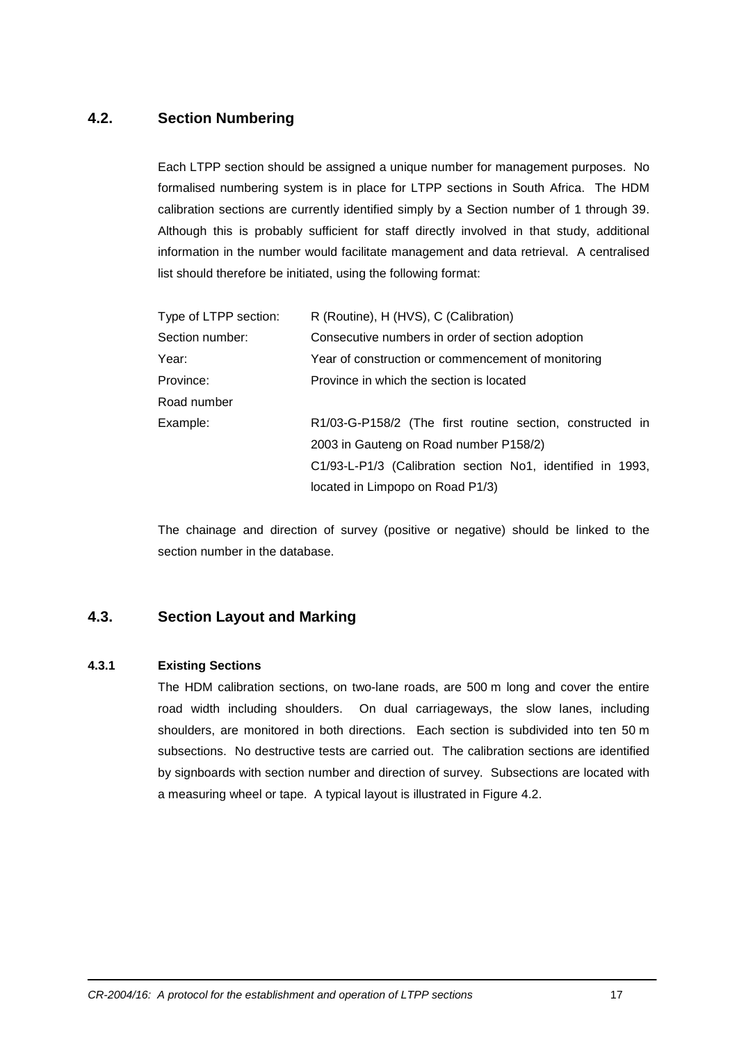## **4.2. Section Numbering**

Each LTPP section should be assigned a unique number for management purposes. No formalised numbering system is in place for LTPP sections in South Africa. The HDM calibration sections are currently identified simply by a Section number of 1 through 39. Although this is probably sufficient for staff directly involved in that study, additional information in the number would facilitate management and data retrieval. A centralised list should therefore be initiated, using the following format:

| Type of LTPP section: | R (Routine), H (HVS), C (Calibration)                      |
|-----------------------|------------------------------------------------------------|
| Section number:       | Consecutive numbers in order of section adoption           |
| Year:                 | Year of construction or commencement of monitoring         |
| Province:             | Province in which the section is located                   |
| Road number           |                                                            |
| Example:              | R1/03-G-P158/2 (The first routine section, constructed in  |
|                       | 2003 in Gauteng on Road number P158/2)                     |
|                       | C1/93-L-P1/3 (Calibration section No1, identified in 1993, |
|                       | located in Limpopo on Road P1/3)                           |
|                       |                                                            |

The chainage and direction of survey (positive or negative) should be linked to the section number in the database.

## **4.3. Section Layout and Marking**

#### **4.3.1 Existing Sections**

The HDM calibration sections, on two-lane roads, are 500 m long and cover the entire road width including shoulders. On dual carriageways, the slow lanes, including shoulders, are monitored in both directions. Each section is subdivided into ten 50 m subsections. No destructive tests are carried out. The calibration sections are identified by signboards with section number and direction of survey. Subsections are located with a measuring wheel or tape. A typical layout is illustrated in Figure 4.2.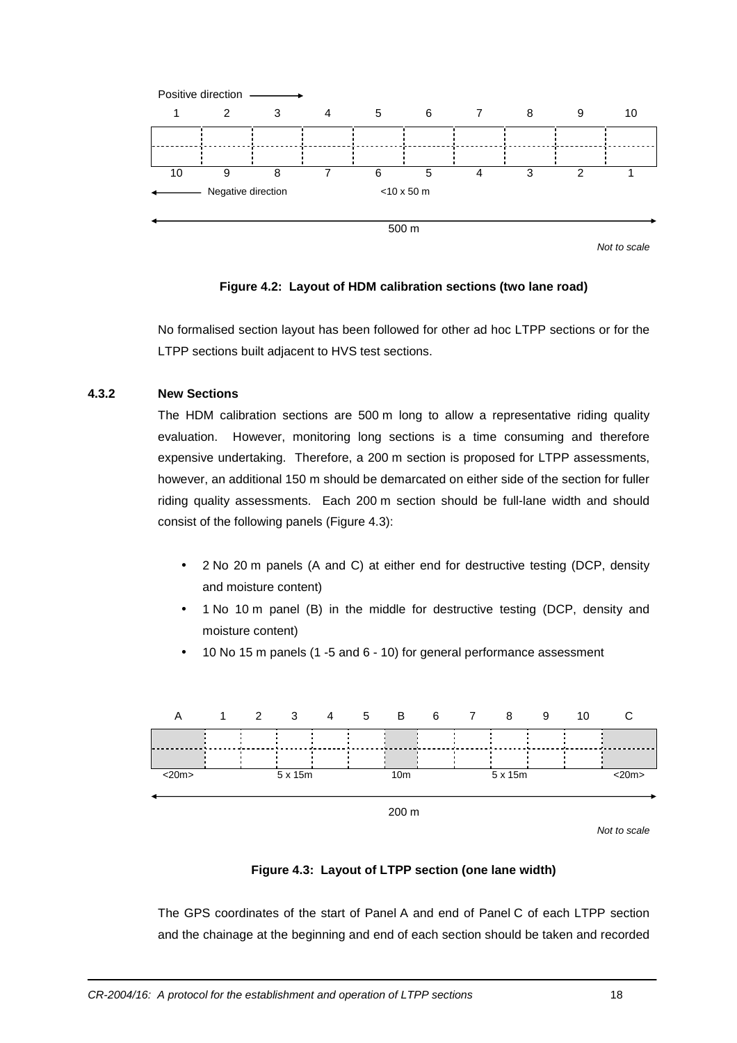

Not to scale

#### **Figure 4.2: Layout of HDM calibration sections (two lane road)**

No formalised section layout has been followed for other ad hoc LTPP sections or for the LTPP sections built adjacent to HVS test sections.

#### **4.3.2 New Sections**

The HDM calibration sections are 500 m long to allow a representative riding quality evaluation. However, monitoring long sections is a time consuming and therefore expensive undertaking. Therefore, a 200 m section is proposed for LTPP assessments, however, an additional 150 m should be demarcated on either side of the section for fuller riding quality assessments. Each 200 m section should be full-lane width and should consist of the following panels (Figure 4.3):

- 2 No 20 m panels (A and C) at either end for destructive testing (DCP, density and moisture content)
- 1 No 10 m panel (B) in the middle for destructive testing (DCP, density and moisture content)
- 10 No 15 m panels (1 -5 and 6 10) for general performance assessment



Not to scale

#### **Figure 4.3: Layout of LTPP section (one lane width)**

The GPS coordinates of the start of Panel A and end of Panel C of each LTPP section and the chainage at the beginning and end of each section should be taken and recorded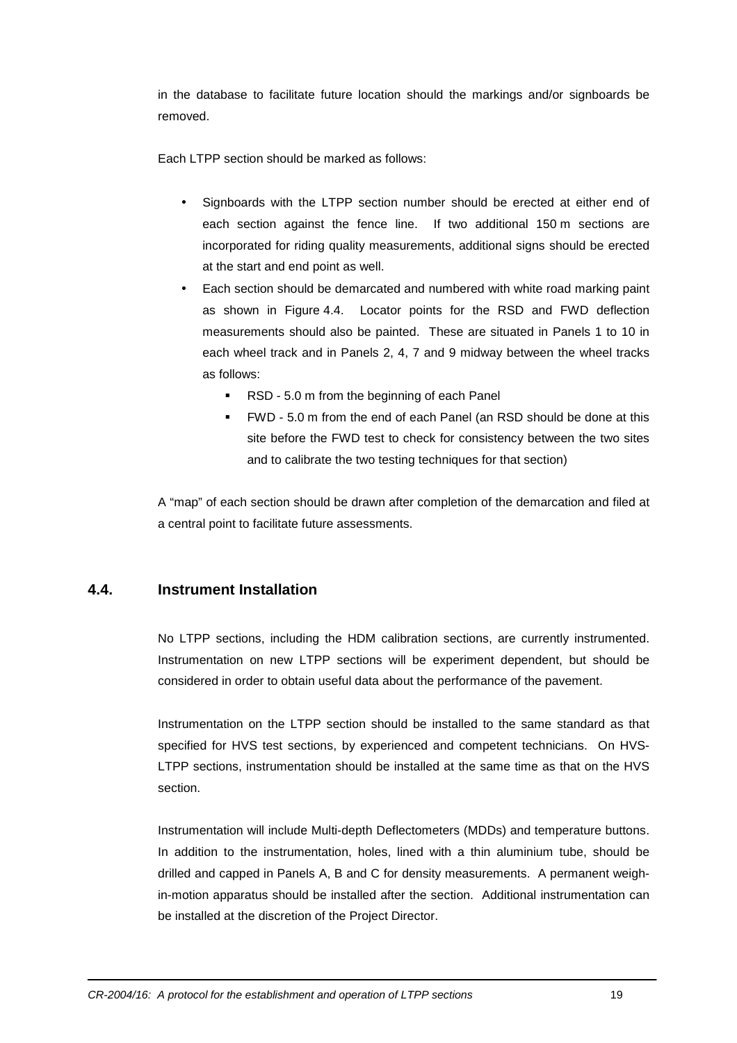in the database to facilitate future location should the markings and/or signboards be removed.

Each LTPP section should be marked as follows:

- Signboards with the LTPP section number should be erected at either end of each section against the fence line. If two additional 150 m sections are incorporated for riding quality measurements, additional signs should be erected at the start and end point as well.
- Each section should be demarcated and numbered with white road marking paint as shown in Figure 4.4. Locator points for the RSD and FWD deflection measurements should also be painted. These are situated in Panels 1 to 10 in each wheel track and in Panels 2, 4, 7 and 9 midway between the wheel tracks as follows:
	- RSD 5.0 m from the beginning of each Panel
	- FWD 5.0 m from the end of each Panel (an RSD should be done at this site before the FWD test to check for consistency between the two sites and to calibrate the two testing techniques for that section)

A "map" of each section should be drawn after completion of the demarcation and filed at a central point to facilitate future assessments.

## **4.4. Instrument Installation**

No LTPP sections, including the HDM calibration sections, are currently instrumented. Instrumentation on new LTPP sections will be experiment dependent, but should be considered in order to obtain useful data about the performance of the pavement.

Instrumentation on the LTPP section should be installed to the same standard as that specified for HVS test sections, by experienced and competent technicians. On HVS-LTPP sections, instrumentation should be installed at the same time as that on the HVS section.

Instrumentation will include Multi-depth Deflectometers (MDDs) and temperature buttons. In addition to the instrumentation, holes, lined with a thin aluminium tube, should be drilled and capped in Panels A, B and C for density measurements. A permanent weighin-motion apparatus should be installed after the section. Additional instrumentation can be installed at the discretion of the Project Director.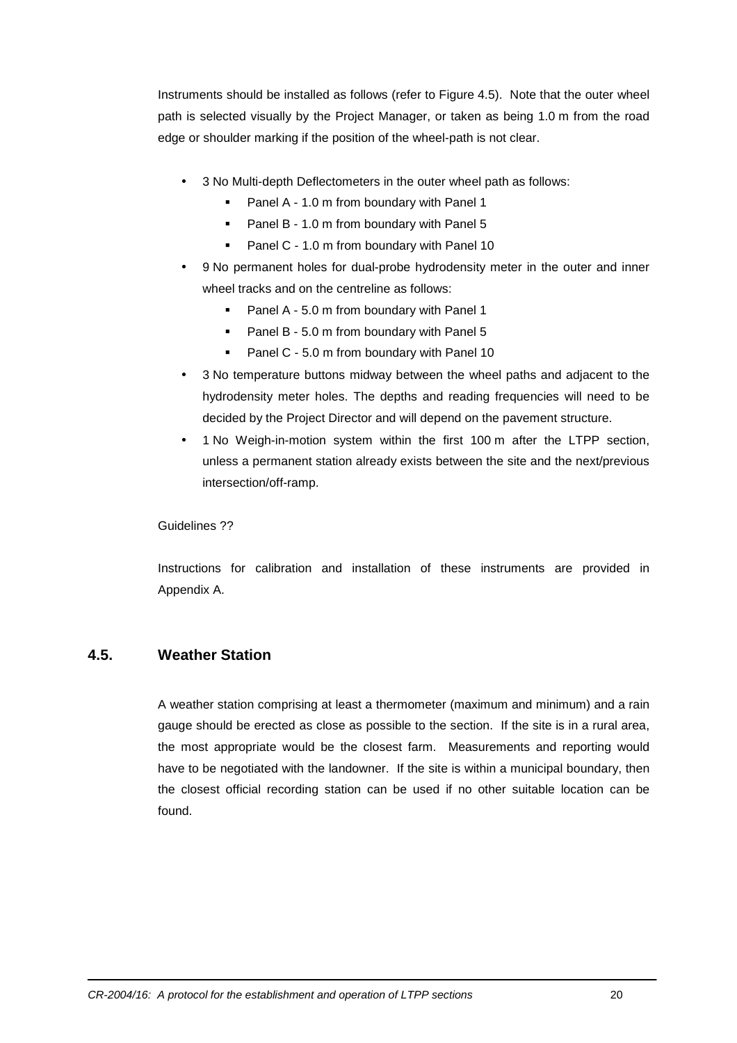Instruments should be installed as follows (refer to Figure 4.5). Note that the outer wheel path is selected visually by the Project Manager, or taken as being 1.0 m from the road edge or shoulder marking if the position of the wheel-path is not clear.

- 3 No Multi-depth Deflectometers in the outer wheel path as follows:
	- **Panel A 1.0 m from boundary with Panel 1**
	- **Panel B 1.0 m from boundary with Panel 5**
	- **Panel C 1.0 m from boundary with Panel 10**
- 9 No permanent holes for dual-probe hydrodensity meter in the outer and inner wheel tracks and on the centreline as follows:
	- Panel A 5.0 m from boundary with Panel 1
	- **Panel B 5.0 m from boundary with Panel 5**
	- Panel C 5.0 m from boundary with Panel 10
- 3 No temperature buttons midway between the wheel paths and adjacent to the hydrodensity meter holes. The depths and reading frequencies will need to be decided by the Project Director and will depend on the pavement structure.
- 1 No Weigh-in-motion system within the first 100 m after the LTPP section, unless a permanent station already exists between the site and the next/previous intersection/off-ramp.

Guidelines ??

Instructions for calibration and installation of these instruments are provided in Appendix A.

#### **4.5. Weather Station**

A weather station comprising at least a thermometer (maximum and minimum) and a rain gauge should be erected as close as possible to the section. If the site is in a rural area, the most appropriate would be the closest farm. Measurements and reporting would have to be negotiated with the landowner. If the site is within a municipal boundary, then the closest official recording station can be used if no other suitable location can be found.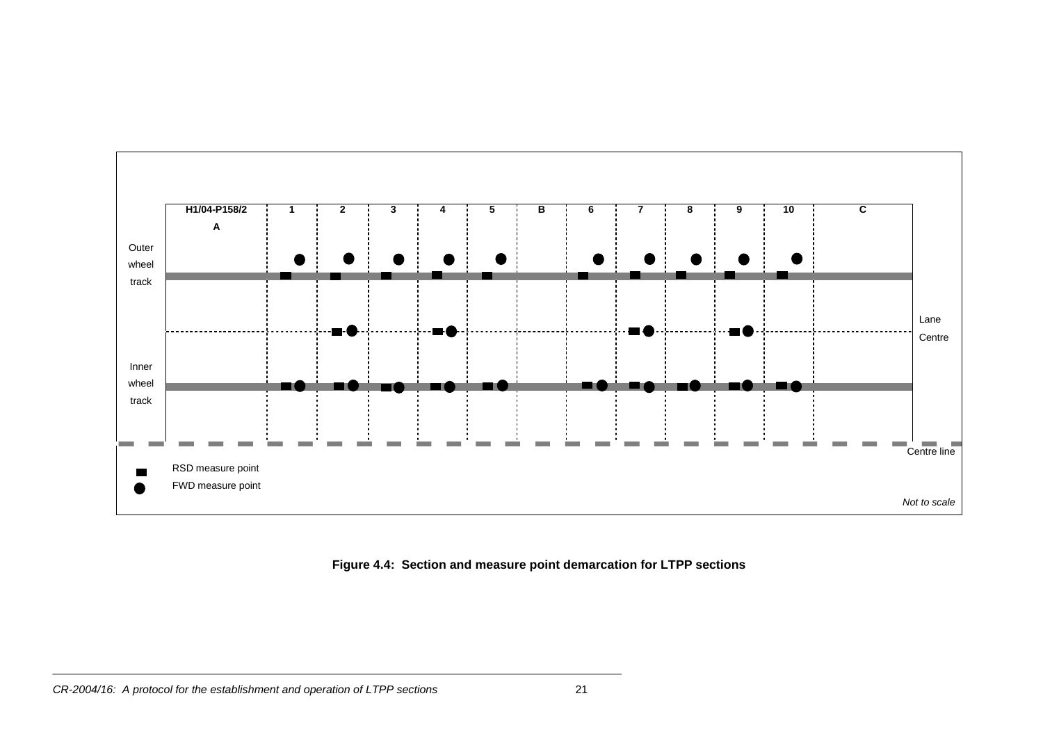

**Figure 4.4: Section and measure point demarcation for LTPP sections**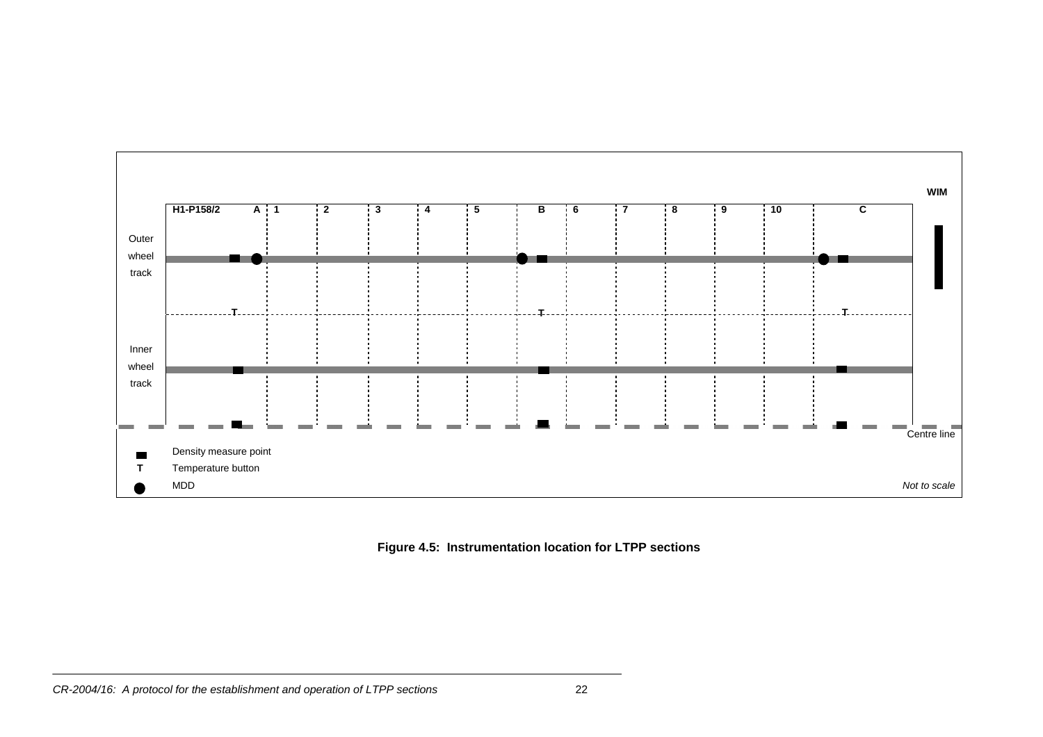

**Figure 4.5: Instrumentation location for LTPP sections**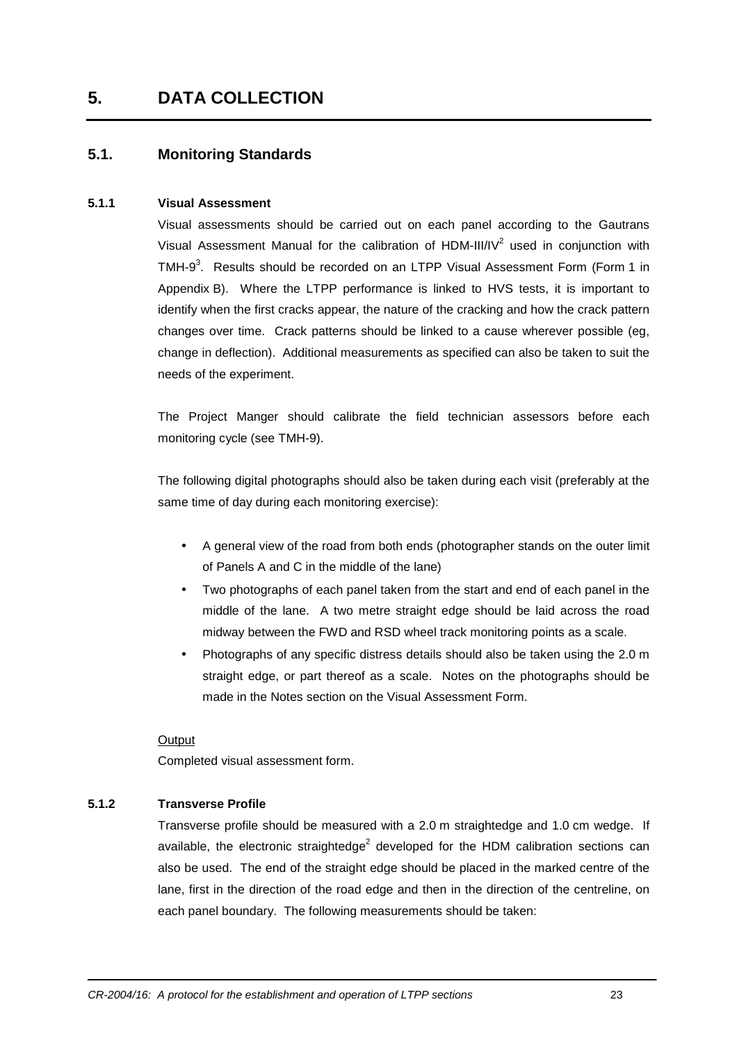## **5. DATA COLLECTION**

## **5.1. Monitoring Standards**

#### **5.1.1 Visual Assessment**

Visual assessments should be carried out on each panel according to the Gautrans Visual Assessment Manual for the calibration of HDM-III/IV<sup>2</sup> used in conjunction with TMH-9<sup>3</sup>. Results should be recorded on an LTPP Visual Assessment Form (Form 1 in Appendix B). Where the LTPP performance is linked to HVS tests, it is important to identify when the first cracks appear, the nature of the cracking and how the crack pattern changes over time. Crack patterns should be linked to a cause wherever possible (eg, change in deflection). Additional measurements as specified can also be taken to suit the needs of the experiment.

The Project Manger should calibrate the field technician assessors before each monitoring cycle (see TMH-9).

The following digital photographs should also be taken during each visit (preferably at the same time of day during each monitoring exercise):

- A general view of the road from both ends (photographer stands on the outer limit of Panels A and C in the middle of the lane)
- Two photographs of each panel taken from the start and end of each panel in the middle of the lane. A two metre straight edge should be laid across the road midway between the FWD and RSD wheel track monitoring points as a scale.
- Photographs of any specific distress details should also be taken using the 2.0 m straight edge, or part thereof as a scale. Notes on the photographs should be made in the Notes section on the Visual Assessment Form.

#### **Output**

Completed visual assessment form.

#### **5.1.2 Transverse Profile**

Transverse profile should be measured with a 2.0 m straightedge and 1.0 cm wedge. If available, the electronic straightedge<sup>2</sup> developed for the HDM calibration sections can also be used. The end of the straight edge should be placed in the marked centre of the lane, first in the direction of the road edge and then in the direction of the centreline, on each panel boundary. The following measurements should be taken: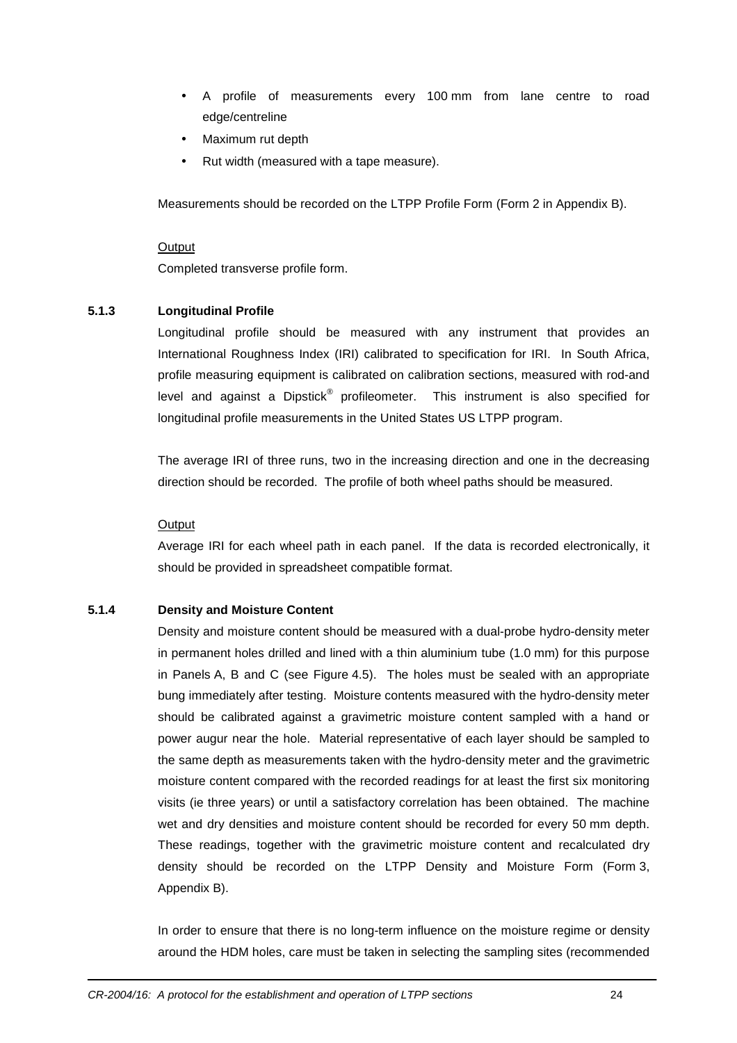- A profile of measurements every 100 mm from lane centre to road edge/centreline
- Maximum rut depth
- Rut width (measured with a tape measure).

Measurements should be recorded on the LTPP Profile Form (Form 2 in Appendix B).

#### **Output**

Completed transverse profile form.

#### **5.1.3 Longitudinal Profile**

Longitudinal profile should be measured with any instrument that provides an International Roughness Index (IRI) calibrated to specification for IRI. In South Africa, profile measuring equipment is calibrated on calibration sections, measured with rod-and level and against a Dipstick $^{\circledast}$  profileometer. This instrument is also specified for longitudinal profile measurements in the United States US LTPP program.

The average IRI of three runs, two in the increasing direction and one in the decreasing direction should be recorded. The profile of both wheel paths should be measured.

#### **Output**

Average IRI for each wheel path in each panel. If the data is recorded electronically, it should be provided in spreadsheet compatible format.

#### **5.1.4 Density and Moisture Content**

Density and moisture content should be measured with a dual-probe hydro-density meter in permanent holes drilled and lined with a thin aluminium tube (1.0 mm) for this purpose in Panels A, B and C (see Figure 4.5). The holes must be sealed with an appropriate bung immediately after testing. Moisture contents measured with the hydro-density meter should be calibrated against a gravimetric moisture content sampled with a hand or power augur near the hole. Material representative of each layer should be sampled to the same depth as measurements taken with the hydro-density meter and the gravimetric moisture content compared with the recorded readings for at least the first six monitoring visits (ie three years) or until a satisfactory correlation has been obtained. The machine wet and dry densities and moisture content should be recorded for every 50 mm depth. These readings, together with the gravimetric moisture content and recalculated dry density should be recorded on the LTPP Density and Moisture Form (Form 3, Appendix B).

In order to ensure that there is no long-term influence on the moisture regime or density around the HDM holes, care must be taken in selecting the sampling sites (recommended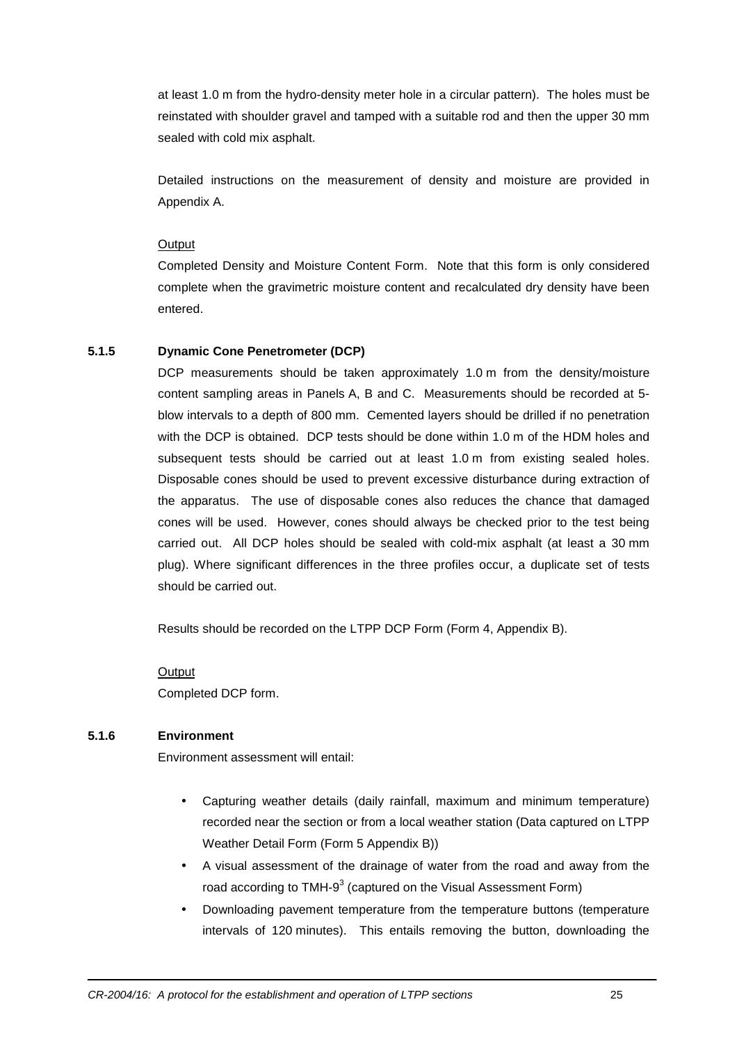at least 1.0 m from the hydro-density meter hole in a circular pattern). The holes must be reinstated with shoulder gravel and tamped with a suitable rod and then the upper 30 mm sealed with cold mix asphalt.

Detailed instructions on the measurement of density and moisture are provided in Appendix A.

#### **Output**

Completed Density and Moisture Content Form. Note that this form is only considered complete when the gravimetric moisture content and recalculated dry density have been entered.

#### **5.1.5 Dynamic Cone Penetrometer (DCP)**

DCP measurements should be taken approximately 1.0 m from the density/moisture content sampling areas in Panels A, B and C. Measurements should be recorded at 5 blow intervals to a depth of 800 mm. Cemented layers should be drilled if no penetration with the DCP is obtained. DCP tests should be done within 1.0 m of the HDM holes and subsequent tests should be carried out at least 1.0 m from existing sealed holes. Disposable cones should be used to prevent excessive disturbance during extraction of the apparatus. The use of disposable cones also reduces the chance that damaged cones will be used. However, cones should always be checked prior to the test being carried out. All DCP holes should be sealed with cold-mix asphalt (at least a 30 mm plug). Where significant differences in the three profiles occur, a duplicate set of tests should be carried out.

Results should be recorded on the LTPP DCP Form (Form 4, Appendix B).

#### **Output**

Completed DCP form.

#### **5.1.6 Environment**

Environment assessment will entail:

- Capturing weather details (daily rainfall, maximum and minimum temperature) recorded near the section or from a local weather station (Data captured on LTPP Weather Detail Form (Form 5 Appendix B))
- A visual assessment of the drainage of water from the road and away from the road according to TMH-9<sup>3</sup> (captured on the Visual Assessment Form)
- Downloading pavement temperature from the temperature buttons (temperature intervals of 120 minutes). This entails removing the button, downloading the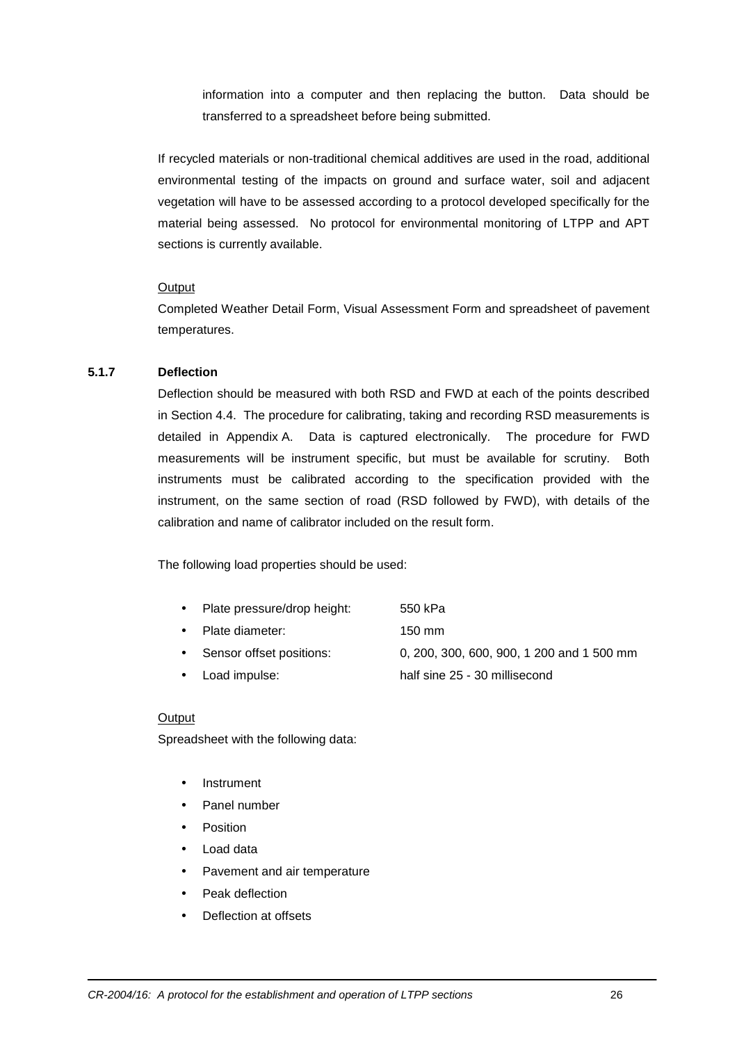information into a computer and then replacing the button. Data should be transferred to a spreadsheet before being submitted.

If recycled materials or non-traditional chemical additives are used in the road, additional environmental testing of the impacts on ground and surface water, soil and adjacent vegetation will have to be assessed according to a protocol developed specifically for the material being assessed. No protocol for environmental monitoring of LTPP and APT sections is currently available.

#### **Output**

Completed Weather Detail Form, Visual Assessment Form and spreadsheet of pavement temperatures.

#### **5.1.7 Deflection**

Deflection should be measured with both RSD and FWD at each of the points described in Section 4.4. The procedure for calibrating, taking and recording RSD measurements is detailed in Appendix A. Data is captured electronically. The procedure for FWD measurements will be instrument specific, but must be available for scrutiny. Both instruments must be calibrated according to the specification provided with the instrument, on the same section of road (RSD followed by FWD), with details of the calibration and name of calibrator included on the result form.

The following load properties should be used:

| Plate pressure/drop height:<br>550 kPa |  |
|----------------------------------------|--|
|----------------------------------------|--|

- Plate diameter: 150 mm
- Sensor offset positions: 0, 200, 300, 600, 900, 1 200 and 1 500 mm
	- Load impulse: half sine 25 30 millisecond

#### **Output**

Spreadsheet with the following data:

- **Instrument**
- Panel number
- Position
- Load data
- Pavement and air temperature
- Peak deflection
- Deflection at offsets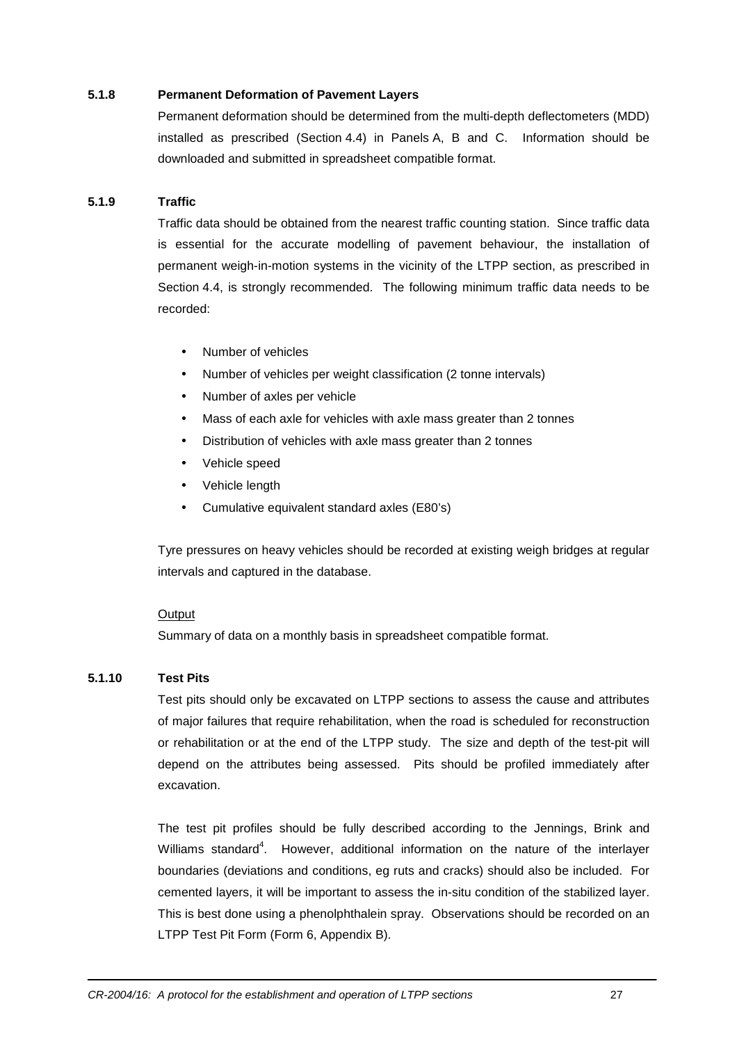#### **5.1.8 Permanent Deformation of Pavement Layers**

Permanent deformation should be determined from the multi-depth deflectometers (MDD) installed as prescribed (Section 4.4) in Panels A, B and C. Information should be downloaded and submitted in spreadsheet compatible format.

#### **5.1.9 Traffic**

Traffic data should be obtained from the nearest traffic counting station. Since traffic data is essential for the accurate modelling of pavement behaviour, the installation of permanent weigh-in-motion systems in the vicinity of the LTPP section, as prescribed in Section 4.4, is strongly recommended. The following minimum traffic data needs to be recorded:

- Number of vehicles
- Number of vehicles per weight classification (2 tonne intervals)
- Number of axles per vehicle
- Mass of each axle for vehicles with axle mass greater than 2 tonnes
- Distribution of vehicles with axle mass greater than 2 tonnes
- Vehicle speed
- Vehicle length
- Cumulative equivalent standard axles (E80's)

Tyre pressures on heavy vehicles should be recorded at existing weigh bridges at regular intervals and captured in the database.

#### **Output**

Summary of data on a monthly basis in spreadsheet compatible format.

#### **5.1.10 Test Pits**

Test pits should only be excavated on LTPP sections to assess the cause and attributes of major failures that require rehabilitation, when the road is scheduled for reconstruction or rehabilitation or at the end of the LTPP study. The size and depth of the test-pit will depend on the attributes being assessed. Pits should be profiled immediately after excavation.

The test pit profiles should be fully described according to the Jennings, Brink and Williams standard<sup>4</sup>. However, additional information on the nature of the interlayer boundaries (deviations and conditions, eg ruts and cracks) should also be included. For cemented layers, it will be important to assess the in-situ condition of the stabilized layer. This is best done using a phenolphthalein spray. Observations should be recorded on an LTPP Test Pit Form (Form 6, Appendix B).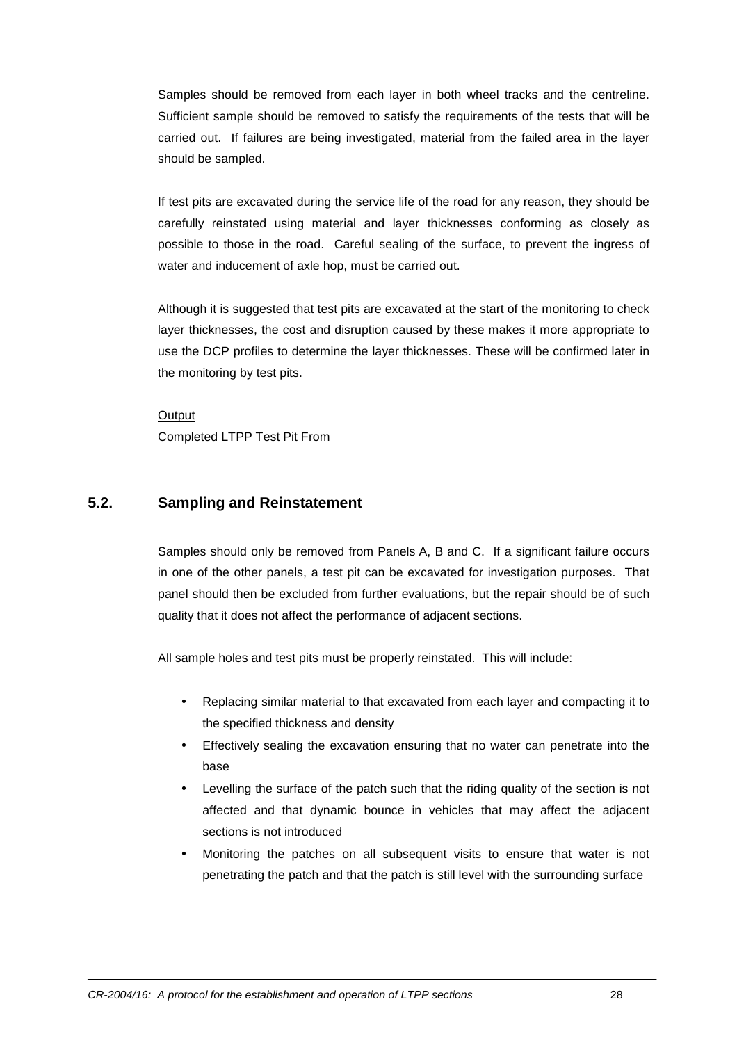Samples should be removed from each layer in both wheel tracks and the centreline. Sufficient sample should be removed to satisfy the requirements of the tests that will be carried out. If failures are being investigated, material from the failed area in the layer should be sampled.

If test pits are excavated during the service life of the road for any reason, they should be carefully reinstated using material and layer thicknesses conforming as closely as possible to those in the road. Careful sealing of the surface, to prevent the ingress of water and inducement of axle hop, must be carried out.

Although it is suggested that test pits are excavated at the start of the monitoring to check layer thicknesses, the cost and disruption caused by these makes it more appropriate to use the DCP profiles to determine the layer thicknesses. These will be confirmed later in the monitoring by test pits.

**Output** Completed LTPP Test Pit From

## **5.2. Sampling and Reinstatement**

Samples should only be removed from Panels A, B and C. If a significant failure occurs in one of the other panels, a test pit can be excavated for investigation purposes. That panel should then be excluded from further evaluations, but the repair should be of such quality that it does not affect the performance of adjacent sections.

All sample holes and test pits must be properly reinstated. This will include:

- Replacing similar material to that excavated from each layer and compacting it to the specified thickness and density
- Effectively sealing the excavation ensuring that no water can penetrate into the base
- Levelling the surface of the patch such that the riding quality of the section is not affected and that dynamic bounce in vehicles that may affect the adjacent sections is not introduced
- Monitoring the patches on all subsequent visits to ensure that water is not penetrating the patch and that the patch is still level with the surrounding surface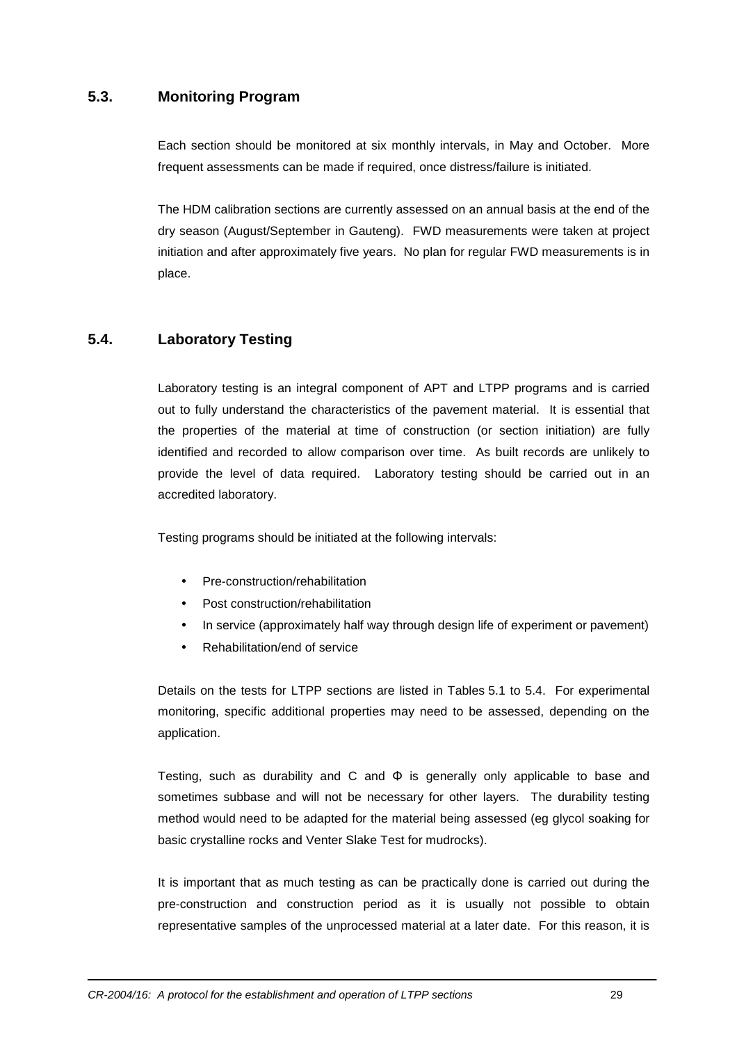## **5.3. Monitoring Program**

Each section should be monitored at six monthly intervals, in May and October. More frequent assessments can be made if required, once distress/failure is initiated.

The HDM calibration sections are currently assessed on an annual basis at the end of the dry season (August/September in Gauteng). FWD measurements were taken at project initiation and after approximately five years. No plan for regular FWD measurements is in place.

## **5.4. Laboratory Testing**

Laboratory testing is an integral component of APT and LTPP programs and is carried out to fully understand the characteristics of the pavement material. It is essential that the properties of the material at time of construction (or section initiation) are fully identified and recorded to allow comparison over time. As built records are unlikely to provide the level of data required. Laboratory testing should be carried out in an accredited laboratory.

Testing programs should be initiated at the following intervals:

- Pre-construction/rehabilitation
- Post construction/rehabilitation
- In service (approximately half way through design life of experiment or pavement)
- Rehabilitation/end of service

Details on the tests for LTPP sections are listed in Tables 5.1 to 5.4. For experimental monitoring, specific additional properties may need to be assessed, depending on the application.

Testing, such as durability and C and  $\Phi$  is generally only applicable to base and sometimes subbase and will not be necessary for other layers. The durability testing method would need to be adapted for the material being assessed (eg glycol soaking for basic crystalline rocks and Venter Slake Test for mudrocks).

It is important that as much testing as can be practically done is carried out during the pre-construction and construction period as it is usually not possible to obtain representative samples of the unprocessed material at a later date. For this reason, it is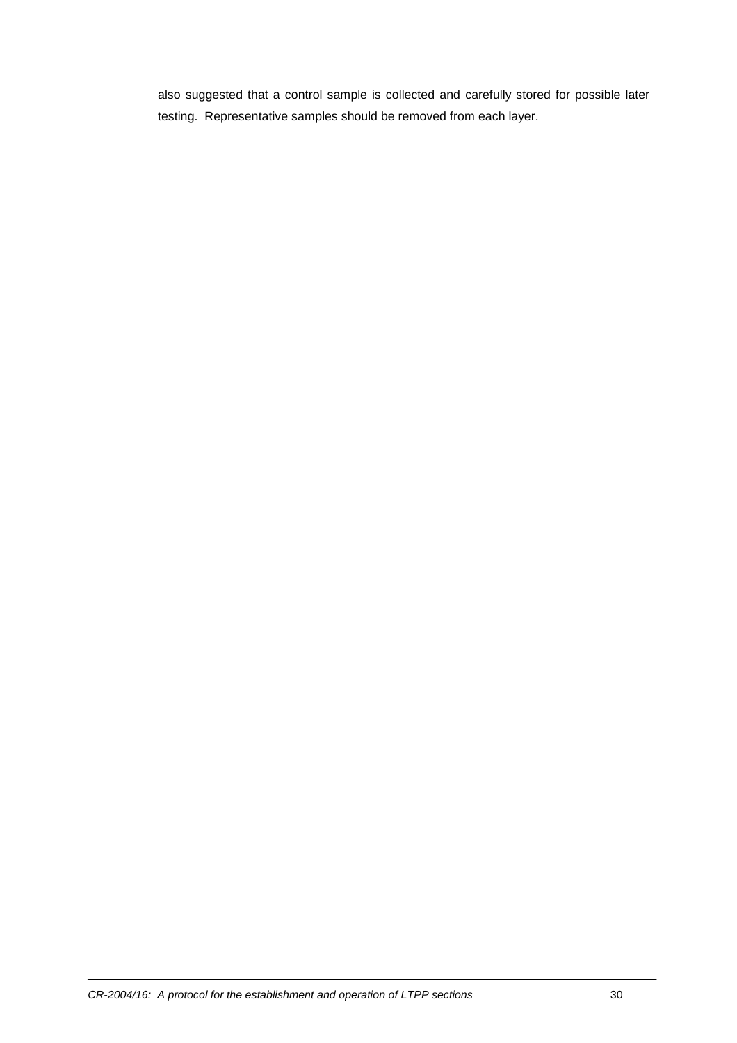also suggested that a control sample is collected and carefully stored for possible later testing. Representative samples should be removed from each layer.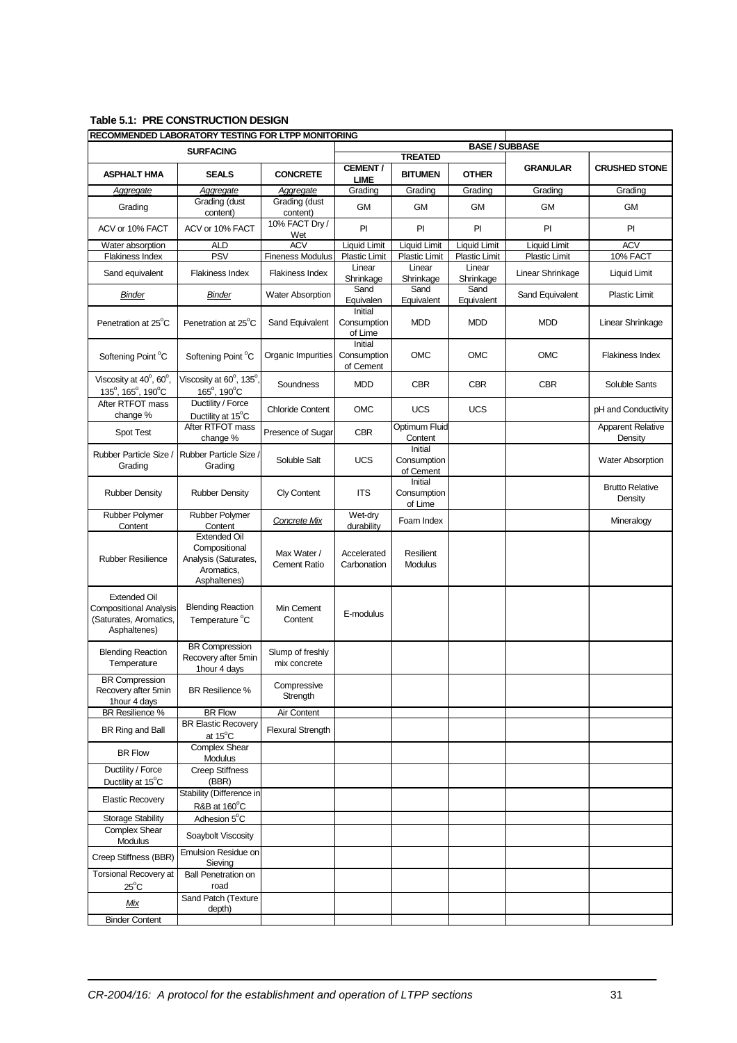#### **Table 5.1: PRE CONSTRUCTION DESIGN**

| RECOMMENDED LABORATORY TESTING FOR LTPP MONITORING                                             |                                                                                            |                                    |                                     |                                     |                             |                      |                                     |  |  |
|------------------------------------------------------------------------------------------------|--------------------------------------------------------------------------------------------|------------------------------------|-------------------------------------|-------------------------------------|-----------------------------|----------------------|-------------------------------------|--|--|
| <b>SURFACING</b>                                                                               |                                                                                            |                                    |                                     | <b>TREATED</b>                      | <b>BASE / SUBBASE</b>       |                      |                                     |  |  |
| <b>ASPHALT HMA</b>                                                                             | <b>SEALS</b>                                                                               | <b>CONCRETE</b>                    | <b>CEMENT/</b><br>LIME              | <b>BITUMEN</b>                      | <b>OTHER</b>                | <b>GRANULAR</b>      | <b>CRUSHED STONE</b>                |  |  |
| Aggregate                                                                                      | Aggregate                                                                                  | Aggregate                          | Grading                             | Grading                             | Grading                     | Grading              | Grading                             |  |  |
| Grading                                                                                        | Grading (dust<br>content)                                                                  | Grading (dust<br>content)          | <b>GM</b>                           | <b>GM</b>                           | <b>GM</b>                   | <b>GM</b>            | <b>GM</b>                           |  |  |
| ACV or 10% FACT                                                                                | ACV or 10% FACT                                                                            | 10% FACT Dry /<br>Wet              | PI                                  | PI                                  | PI                          | PI                   | P                                   |  |  |
| Water absorption                                                                               | <b>ALD</b>                                                                                 | <b>ACV</b>                         | <b>Liquid Limit</b>                 | Liquid Limit                        | <b>Liquid Limit</b>         | <b>Liquid Limit</b>  | <b>ACV</b>                          |  |  |
| <b>Flakiness Index</b>                                                                         | <b>PSV</b>                                                                                 | <b>Fineness Modulus</b>            | Plastic Limit                       | <b>Plastic Limit</b><br>Linear      | <b>Plastic Limit</b>        | <b>Plastic Limit</b> | 10% FACT                            |  |  |
| Sand equivalent                                                                                | Flakiness Index                                                                            | <b>Flakiness Index</b>             | Linear<br>Shrinkage                 | Shrinkage                           | Linear<br>Shrinkage<br>Sand | Linear Shrinkage     | Liquid Limit                        |  |  |
| <b>Binder</b>                                                                                  | <b>Binder</b>                                                                              | <b>Water Absorption</b>            | Sand<br>Equivalen                   | Sand<br>Equivalent                  | Equivalent                  | Sand Equivalent      | <b>Plastic Limit</b>                |  |  |
| Penetration at 25°C                                                                            | Penetration at 25°C                                                                        | Sand Equivalent                    | Initial<br>Consumption<br>of Lime   | <b>MDD</b>                          | <b>MDD</b>                  | <b>MDD</b>           | Linear Shrinkage                    |  |  |
| Softening Point °C                                                                             | Softening Point °C                                                                         | Organic Impurities                 | Initial<br>Consumption<br>of Cement | <b>OMC</b>                          | <b>OMC</b>                  | <b>OMC</b>           | <b>Flakiness Index</b>              |  |  |
| Viscosity at 40°, 60°,<br>135°, 165°, 190°C                                                    | Viscosity at 60°, 135°<br>165°, 190°C                                                      | Soundness                          | <b>MDD</b>                          | <b>CBR</b>                          | <b>CBR</b>                  | <b>CBR</b>           | Soluble Sants                       |  |  |
| After RTFOT mass<br>change %                                                                   | Ductility / Force<br>Ductility at 15°C                                                     | <b>Chloride Content</b>            | <b>OMC</b>                          | <b>UCS</b>                          | <b>UCS</b>                  |                      | pH and Conductivity                 |  |  |
| Spot Test                                                                                      | After RTFOT mass<br>change %                                                               | Presence of Sugar                  | <b>CBR</b>                          | Optimum Fluid<br>Content            |                             |                      | <b>Apparent Relative</b><br>Density |  |  |
| Rubber Particle Size /<br>Grading                                                              | Rubber Particle Size<br>Grading                                                            | Soluble Salt                       | <b>UCS</b>                          | Initial<br>Consumption<br>of Cement |                             |                      | <b>Water Absorption</b>             |  |  |
| <b>Rubber Density</b>                                                                          | <b>Rubber Density</b>                                                                      | <b>Cly Content</b>                 | <b>ITS</b>                          | Initial<br>Consumption<br>of Lime   |                             |                      | <b>Brutto Relative</b><br>Density   |  |  |
| Rubber Polymer                                                                                 | <b>Rubber Polymer</b>                                                                      | <b>Concrete Mix</b>                | Wet-dry                             | Foam Index                          |                             |                      | Mineralogy                          |  |  |
| Content                                                                                        | Content                                                                                    |                                    | durability                          |                                     |                             |                      |                                     |  |  |
| <b>Rubber Resilience</b>                                                                       | <b>Extended Oil</b><br>Compositional<br>Analysis (Saturates,<br>Aromatics,<br>Asphaltenes) | Max Water /<br><b>Cement Ratio</b> | Accelerated<br>Carbonation          | Resilient<br>Modulus                |                             |                      |                                     |  |  |
| <b>Extended Oil</b><br><b>Compositional Analysis</b><br>(Saturates, Aromatics,<br>Asphaltenes) | <b>Blending Reaction</b><br>Temperature °C                                                 | Min Cement<br>Content              | E-modulus                           |                                     |                             |                      |                                     |  |  |
| <b>Blending Reaction</b><br>Temperature                                                        | <b>BR Compression</b><br>Recovery after 5min<br>1hour 4 days                               | Slump of freshly<br>mix concrete   |                                     |                                     |                             |                      |                                     |  |  |
| <b>BR</b> Compression<br>Recovery after 5min<br>1hour 4 days                                   | BR Resilience %                                                                            | Compressive<br>Strength            |                                     |                                     |                             |                      |                                     |  |  |
| BR Resilience %                                                                                | <b>BR Flow</b>                                                                             | Air Content                        |                                     |                                     |                             |                      |                                     |  |  |
| BR Ring and Ball                                                                               | <b>BR Elastic Recovery</b><br>at 15°C                                                      | <b>Flexural Strength</b>           |                                     |                                     |                             |                      |                                     |  |  |
| <b>BR Flow</b>                                                                                 | <b>Complex Shear</b><br><b>Modulus</b>                                                     |                                    |                                     |                                     |                             |                      |                                     |  |  |
| Ductility / Force<br>Ductility at 15°C                                                         | <b>Creep Stiffness</b><br>(BBR)                                                            |                                    |                                     |                                     |                             |                      |                                     |  |  |
| <b>Elastic Recovery</b>                                                                        | Stability (Difference in<br>R&B at 160°C                                                   |                                    |                                     |                                     |                             |                      |                                     |  |  |
| Storage Stability                                                                              | Adhesion 5°C                                                                               |                                    |                                     |                                     |                             |                      |                                     |  |  |
| <b>Complex Shear</b><br>Modulus                                                                | Soaybolt Viscosity                                                                         |                                    |                                     |                                     |                             |                      |                                     |  |  |
| Creep Stiffness (BBR)                                                                          | Emulsion Residue on<br>Sieving                                                             |                                    |                                     |                                     |                             |                      |                                     |  |  |
| <b>Torsional Recovery at</b><br>$25^{\circ}$ C                                                 | <b>Ball Penetration on</b><br>road                                                         |                                    |                                     |                                     |                             |                      |                                     |  |  |
| Mix                                                                                            | Sand Patch (Texture<br>depth)                                                              |                                    |                                     |                                     |                             |                      |                                     |  |  |
| <b>Binder Content</b>                                                                          |                                                                                            |                                    |                                     |                                     |                             |                      |                                     |  |  |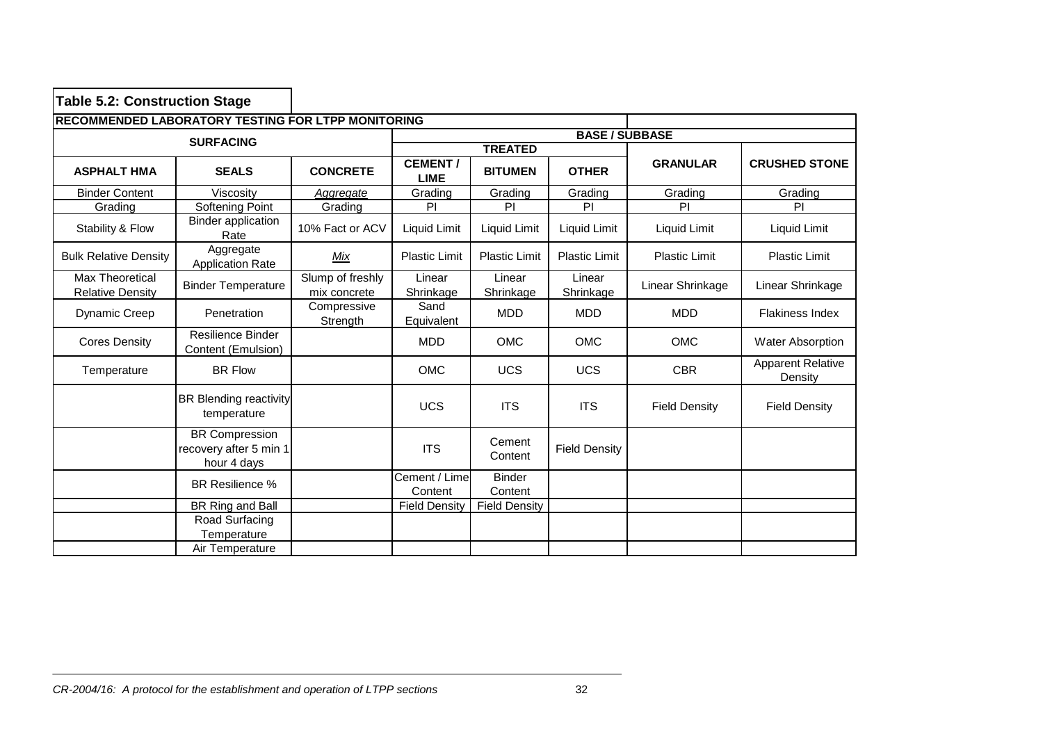| <b>Table 5.2: Construction Stage</b>               |                                                                |                                  |                                |                          |                      |                      |                                     |  |  |
|----------------------------------------------------|----------------------------------------------------------------|----------------------------------|--------------------------------|--------------------------|----------------------|----------------------|-------------------------------------|--|--|
| RECOMMENDED LABORATORY TESTING FOR LTPP MONITORING |                                                                |                                  |                                |                          |                      |                      |                                     |  |  |
|                                                    | <b>SURFACING</b>                                               |                                  | <b>BASE / SUBBASE</b>          |                          |                      |                      |                                     |  |  |
|                                                    |                                                                |                                  |                                | <b>TREATED</b>           |                      |                      |                                     |  |  |
| <b>ASPHALT HMA</b>                                 | <b>SEALS</b>                                                   | <b>CONCRETE</b>                  | <b>CEMENT /</b><br><b>LIME</b> | <b>BITUMEN</b>           | <b>OTHER</b>         | <b>GRANULAR</b>      | <b>CRUSHED STONE</b>                |  |  |
| <b>Binder Content</b>                              | Viscosity                                                      | Aggregate                        | Grading                        | Grading                  | Grading              | Grading              | Grading                             |  |  |
| Grading                                            | Softening Point                                                | Grading                          | PI                             | PI                       | PI                   | PI                   | PI                                  |  |  |
| Stability & Flow                                   | <b>Binder application</b><br>Rate                              | 10% Fact or ACV                  | Liquid Limit                   | Liquid Limit             | Liquid Limit         | Liquid Limit         | Liquid Limit                        |  |  |
| <b>Bulk Relative Density</b>                       | Aggregate<br><b>Application Rate</b>                           | Mix                              | <b>Plastic Limit</b>           | <b>Plastic Limit</b>     | <b>Plastic Limit</b> | <b>Plastic Limit</b> | <b>Plastic Limit</b>                |  |  |
| <b>Max Theoretical</b><br><b>Relative Density</b>  | <b>Binder Temperature</b>                                      | Slump of freshly<br>mix concrete | Linear<br>Shrinkage            | Linear<br>Shrinkage      | Linear<br>Shrinkage  | Linear Shrinkage     | Linear Shrinkage                    |  |  |
| <b>Dynamic Creep</b>                               | Penetration                                                    | Compressive<br>Strength          | Sand<br>Equivalent             | <b>MDD</b>               | <b>MDD</b>           | <b>MDD</b>           | <b>Flakiness Index</b>              |  |  |
| <b>Cores Density</b>                               | Resilience Binder<br>Content (Emulsion)                        |                                  | <b>MDD</b>                     | <b>OMC</b>               | <b>OMC</b>           | <b>OMC</b>           | <b>Water Absorption</b>             |  |  |
| Temperature                                        | <b>BR Flow</b>                                                 |                                  | <b>OMC</b>                     | <b>UCS</b>               | <b>UCS</b>           | <b>CBR</b>           | <b>Apparent Relative</b><br>Density |  |  |
|                                                    | <b>BR Blending reactivity</b><br>temperature                   |                                  | <b>UCS</b>                     | <b>ITS</b>               | <b>ITS</b>           | <b>Field Density</b> | <b>Field Density</b>                |  |  |
|                                                    | <b>BR Compression</b><br>recovery after 5 min 1<br>hour 4 days |                                  | <b>ITS</b>                     | Cement<br>Content        | <b>Field Density</b> |                      |                                     |  |  |
|                                                    | BR Resilience %                                                |                                  | Cement / Lime<br>Content       | <b>Binder</b><br>Content |                      |                      |                                     |  |  |
|                                                    | BR Ring and Ball                                               |                                  | <b>Field Density</b>           | <b>Field Density</b>     |                      |                      |                                     |  |  |
|                                                    | Road Surfacing<br>Temperature                                  |                                  |                                |                          |                      |                      |                                     |  |  |
|                                                    | Air Temperature                                                |                                  |                                |                          |                      |                      |                                     |  |  |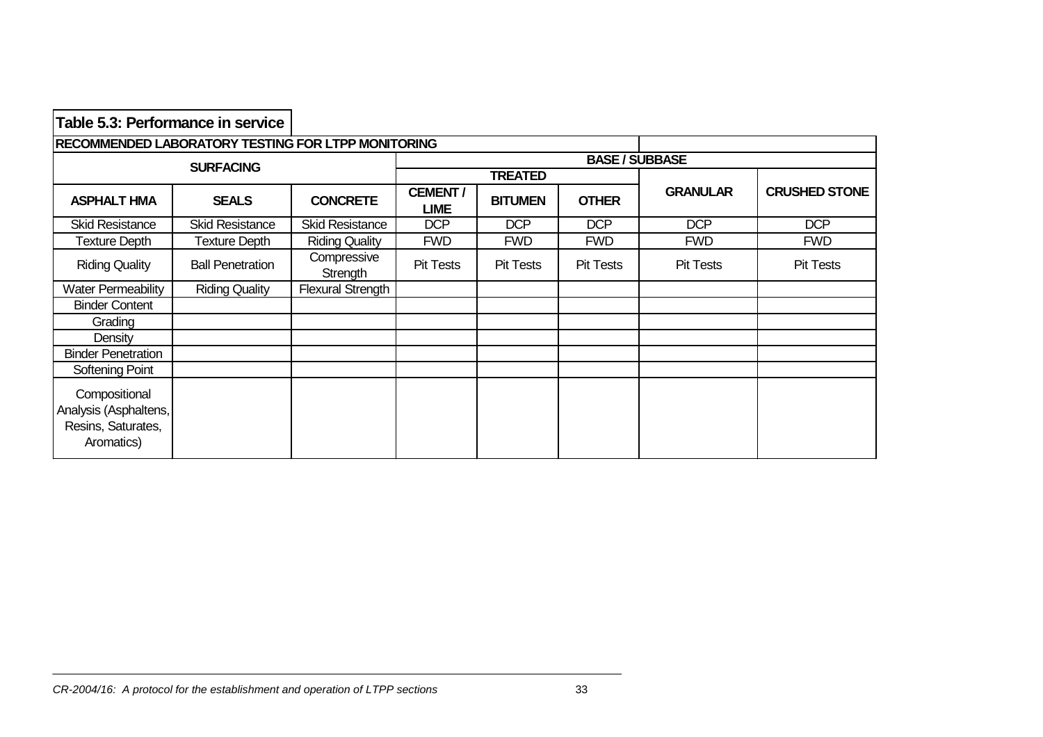| Table 5.3: Performance in service                                          |                         |                          |                        |                  |                  |                  |                      |  |  |  |  |
|----------------------------------------------------------------------------|-------------------------|--------------------------|------------------------|------------------|------------------|------------------|----------------------|--|--|--|--|
| RECOMMENDED LABORATORY TESTING FOR LTPP MONITORING                         |                         |                          |                        |                  |                  |                  |                      |  |  |  |  |
|                                                                            | <b>SURFACING</b>        |                          | <b>BASE / SUBBASE</b>  |                  |                  |                  |                      |  |  |  |  |
|                                                                            |                         |                          |                        | <b>TREATED</b>   |                  |                  |                      |  |  |  |  |
| <b>ASPHALT HMA</b>                                                         | <b>SEALS</b>            | <b>CONCRETE</b>          | <b>CEMENT/</b><br>LIME | <b>BITUMEN</b>   | <b>OTHER</b>     | <b>GRANULAR</b>  | <b>CRUSHED STONE</b> |  |  |  |  |
| <b>Skid Resistance</b>                                                     | <b>Skid Resistance</b>  | <b>Skid Resistance</b>   | <b>DCP</b>             | <b>DCP</b>       | <b>DCP</b>       | <b>DCP</b>       | <b>DCP</b>           |  |  |  |  |
| Texture Depth                                                              | <b>Texture Depth</b>    | <b>Riding Quality</b>    | <b>FWD</b>             | <b>FWD</b>       | <b>FWD</b>       | <b>FWD</b>       | <b>FWD</b>           |  |  |  |  |
| <b>Riding Quality</b>                                                      | <b>Ball Penetration</b> | Compressive<br>Strength  | Pit Tests              | <b>Pit Tests</b> | <b>Pit Tests</b> | <b>Pit Tests</b> | <b>Pit Tests</b>     |  |  |  |  |
| <b>Water Permeability</b>                                                  | <b>Riding Quality</b>   | <b>Flexural Strength</b> |                        |                  |                  |                  |                      |  |  |  |  |
| <b>Binder Content</b>                                                      |                         |                          |                        |                  |                  |                  |                      |  |  |  |  |
| Grading                                                                    |                         |                          |                        |                  |                  |                  |                      |  |  |  |  |
| Density                                                                    |                         |                          |                        |                  |                  |                  |                      |  |  |  |  |
| <b>Binder Penetration</b>                                                  |                         |                          |                        |                  |                  |                  |                      |  |  |  |  |
| Softening Point                                                            |                         |                          |                        |                  |                  |                  |                      |  |  |  |  |
| Compositional<br>Analysis (Asphaltens,<br>Resins, Saturates,<br>Aromatics) |                         |                          |                        |                  |                  |                  |                      |  |  |  |  |

┑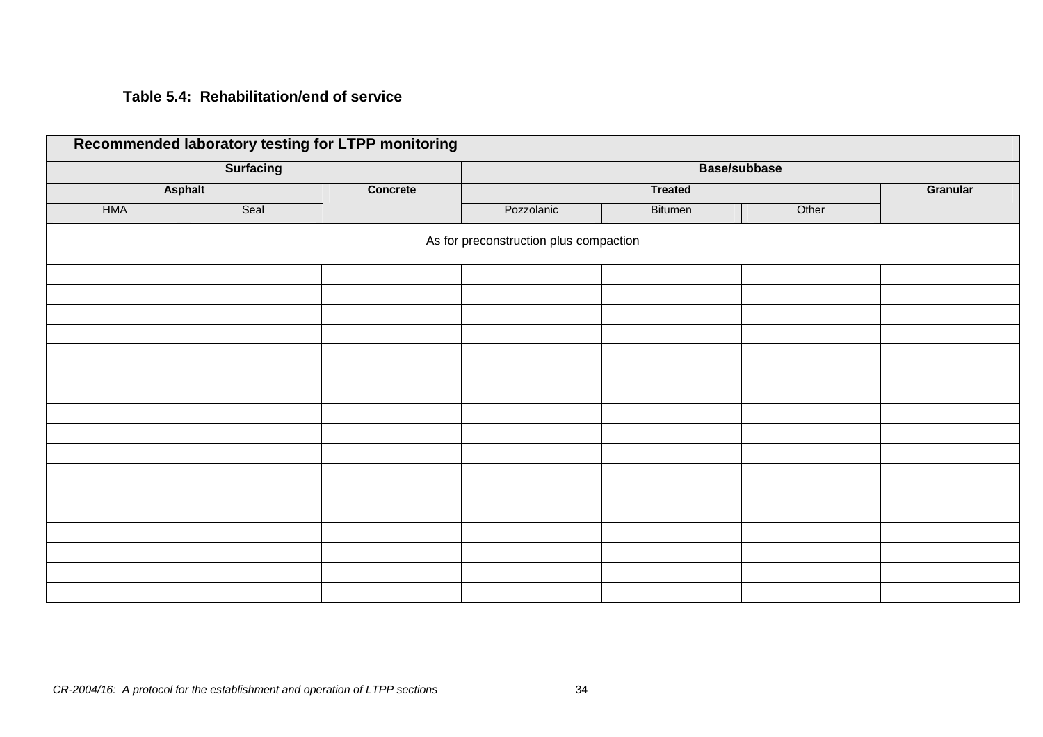## **Table 5.4: Rehabilitation/end of service**

|            | <b>Surfacing</b> |                 |                                        | <b>Base/subbase</b> |       |          |
|------------|------------------|-----------------|----------------------------------------|---------------------|-------|----------|
|            | <b>Asphalt</b>   | <b>Concrete</b> |                                        | <b>Treated</b>      |       | Granular |
| <b>HMA</b> | Seal             |                 | Pozzolanic                             | Bitumen             | Other |          |
|            |                  |                 | As for preconstruction plus compaction |                     |       |          |
|            |                  |                 |                                        |                     |       |          |
|            |                  |                 |                                        |                     |       |          |
|            |                  |                 |                                        |                     |       |          |
|            |                  |                 |                                        |                     |       |          |
|            |                  |                 |                                        |                     |       |          |
|            |                  |                 |                                        |                     |       |          |
|            |                  |                 |                                        |                     |       |          |
|            |                  |                 |                                        |                     |       |          |
|            |                  |                 |                                        |                     |       |          |
|            |                  |                 |                                        |                     |       |          |
|            |                  |                 |                                        |                     |       |          |
|            |                  |                 |                                        |                     |       |          |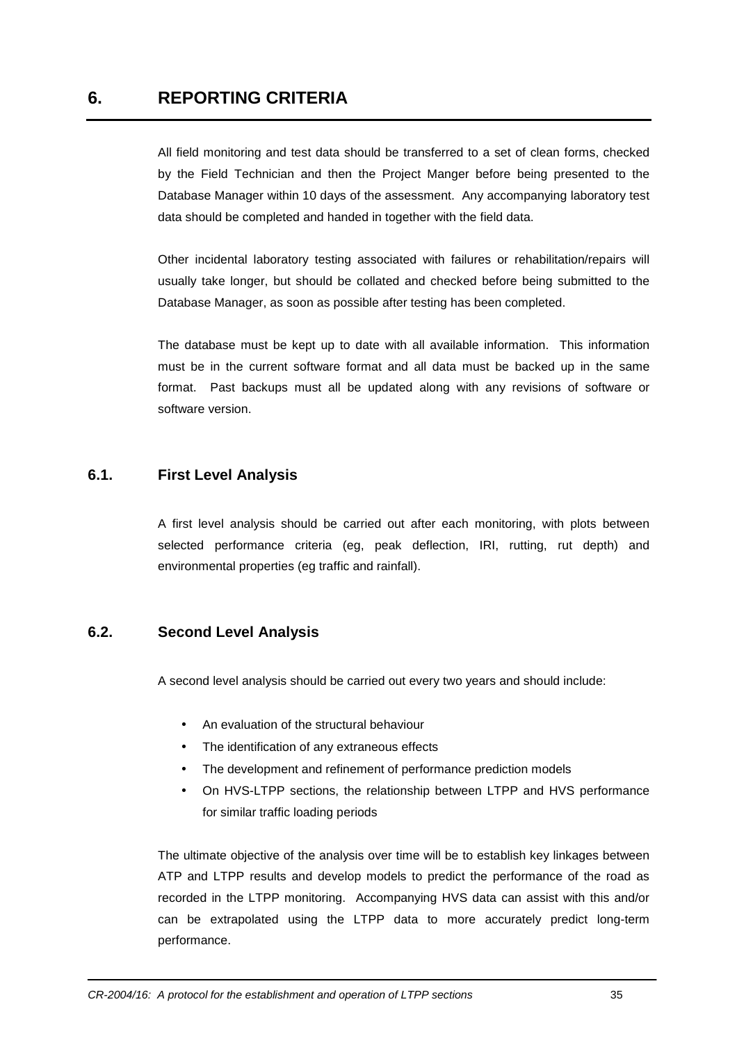All field monitoring and test data should be transferred to a set of clean forms, checked by the Field Technician and then the Project Manger before being presented to the Database Manager within 10 days of the assessment. Any accompanying laboratory test data should be completed and handed in together with the field data.

Other incidental laboratory testing associated with failures or rehabilitation/repairs will usually take longer, but should be collated and checked before being submitted to the Database Manager, as soon as possible after testing has been completed.

The database must be kept up to date with all available information. This information must be in the current software format and all data must be backed up in the same format. Past backups must all be updated along with any revisions of software or software version.

## **6.1. First Level Analysis**

A first level analysis should be carried out after each monitoring, with plots between selected performance criteria (eg, peak deflection, IRI, rutting, rut depth) and environmental properties (eg traffic and rainfall).

## **6.2. Second Level Analysis**

A second level analysis should be carried out every two years and should include:

- An evaluation of the structural behaviour
- The identification of any extraneous effects
- The development and refinement of performance prediction models
- On HVS-LTPP sections, the relationship between LTPP and HVS performance for similar traffic loading periods

The ultimate objective of the analysis over time will be to establish key linkages between ATP and LTPP results and develop models to predict the performance of the road as recorded in the LTPP monitoring. Accompanying HVS data can assist with this and/or can be extrapolated using the LTPP data to more accurately predict long-term performance.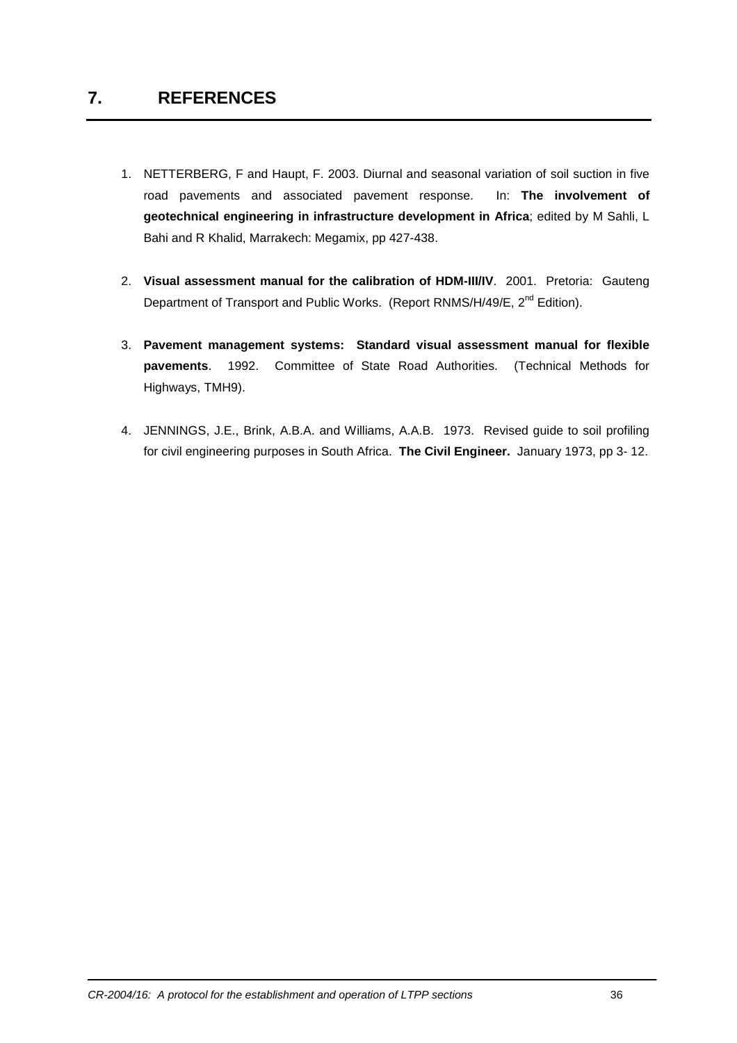- 1. NETTERBERG, F and Haupt, F. 2003. Diurnal and seasonal variation of soil suction in five road pavements and associated pavement response. In: **The involvement of geotechnical engineering in infrastructure development in Africa**; edited by M Sahli, L Bahi and R Khalid, Marrakech: Megamix, pp 427-438.
- 2. **Visual assessment manual for the calibration of HDM-III/IV**. 2001. Pretoria: Gauteng Department of Transport and Public Works. (Report RNMS/H/49/E, 2<sup>nd</sup> Edition).
- 3. **Pavement management systems: Standard visual assessment manual for flexible pavements**. 1992. Committee of State Road Authorities. (Technical Methods for Highways, TMH9).
- 4. JENNINGS, J.E., Brink, A.B.A. and Williams, A.A.B. 1973. Revised guide to soil profiling for civil engineering purposes in South Africa. **The Civil Engineer.** January 1973, pp 3- 12.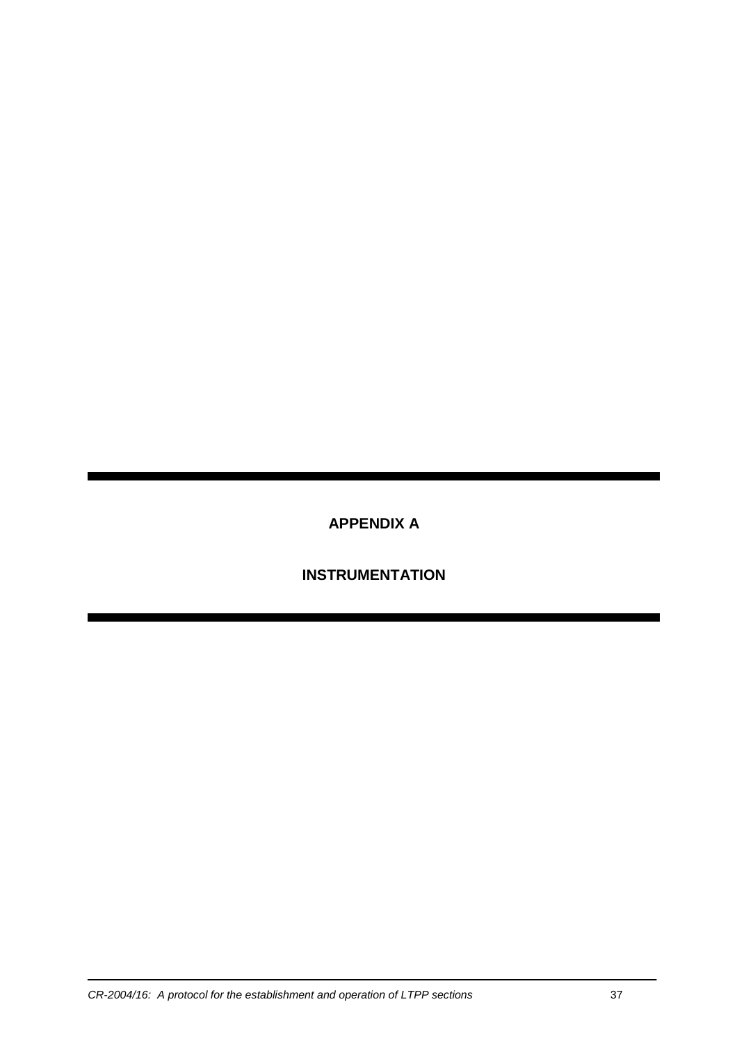**APPENDIX A** 

 **INSTRUMENTATION**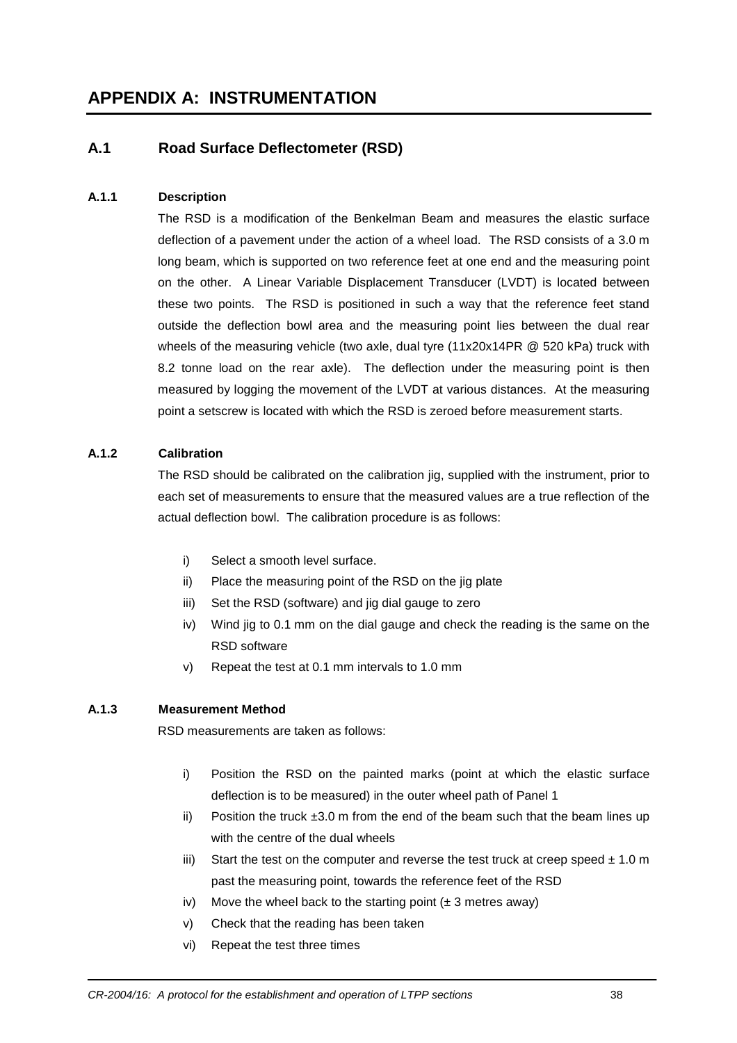## **A.1 Road Surface Deflectometer (RSD)**

#### **A.1.1 Description**

The RSD is a modification of the Benkelman Beam and measures the elastic surface deflection of a pavement under the action of a wheel load. The RSD consists of a 3.0 m long beam, which is supported on two reference feet at one end and the measuring point on the other. A Linear Variable Displacement Transducer (LVDT) is located between these two points. The RSD is positioned in such a way that the reference feet stand outside the deflection bowl area and the measuring point lies between the dual rear wheels of the measuring vehicle (two axle, dual tyre (11x20x14PR @ 520 kPa) truck with 8.2 tonne load on the rear axle). The deflection under the measuring point is then measured by logging the movement of the LVDT at various distances. At the measuring point a setscrew is located with which the RSD is zeroed before measurement starts.

#### **A.1.2 Calibration**

The RSD should be calibrated on the calibration jig, supplied with the instrument, prior to each set of measurements to ensure that the measured values are a true reflection of the actual deflection bowl. The calibration procedure is as follows:

- i) Select a smooth level surface.
- ii) Place the measuring point of the RSD on the jig plate
- iii) Set the RSD (software) and jig dial gauge to zero
- iv) Wind jig to 0.1 mm on the dial gauge and check the reading is the same on the RSD software
- v) Repeat the test at 0.1 mm intervals to 1.0 mm

#### **A.1.3 Measurement Method**

RSD measurements are taken as follows:

- i) Position the RSD on the painted marks (point at which the elastic surface deflection is to be measured) in the outer wheel path of Panel 1
- ii) Position the truck  $\pm 3.0$  m from the end of the beam such that the beam lines up with the centre of the dual wheels
- iii) Start the test on the computer and reverse the test truck at creep speed  $\pm$  1.0 m past the measuring point, towards the reference feet of the RSD
- iv) Move the wheel back to the starting point  $(\pm 3 \text{ metres away})$
- v) Check that the reading has been taken
- vi) Repeat the test three times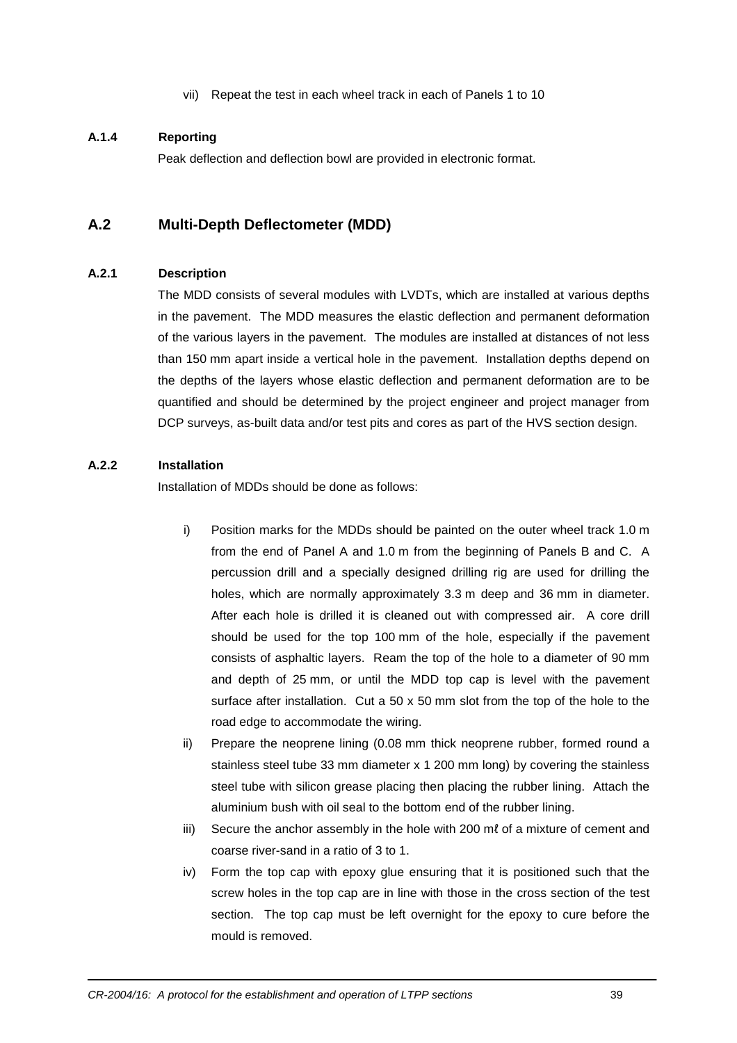vii) Repeat the test in each wheel track in each of Panels 1 to 10

#### **A.1.4 Reporting**

Peak deflection and deflection bowl are provided in electronic format.

## **A.2 Multi-Depth Deflectometer (MDD)**

#### **A.2.1 Description**

The MDD consists of several modules with LVDTs, which are installed at various depths in the pavement. The MDD measures the elastic deflection and permanent deformation of the various layers in the pavement. The modules are installed at distances of not less than 150 mm apart inside a vertical hole in the pavement. Installation depths depend on the depths of the layers whose elastic deflection and permanent deformation are to be quantified and should be determined by the project engineer and project manager from DCP surveys, as-built data and/or test pits and cores as part of the HVS section design.

#### **A.2.2 Installation**

Installation of MDDs should be done as follows:

- i) Position marks for the MDDs should be painted on the outer wheel track 1.0 m from the end of Panel A and 1.0 m from the beginning of Panels B and C. A percussion drill and a specially designed drilling rig are used for drilling the holes, which are normally approximately 3.3 m deep and 36 mm in diameter. After each hole is drilled it is cleaned out with compressed air. A core drill should be used for the top 100 mm of the hole, especially if the pavement consists of asphaltic layers. Ream the top of the hole to a diameter of 90 mm and depth of 25 mm, or until the MDD top cap is level with the pavement surface after installation. Cut a  $50 \times 50$  mm slot from the top of the hole to the road edge to accommodate the wiring.
- ii) Prepare the neoprene lining (0.08 mm thick neoprene rubber, formed round a stainless steel tube 33 mm diameter x 1 200 mm long) by covering the stainless steel tube with silicon grease placing then placing the rubber lining. Attach the aluminium bush with oil seal to the bottom end of the rubber lining.
- iii) Secure the anchor assembly in the hole with 200 ml of a mixture of cement and coarse river-sand in a ratio of 3 to 1.
- iv) Form the top cap with epoxy glue ensuring that it is positioned such that the screw holes in the top cap are in line with those in the cross section of the test section. The top cap must be left overnight for the epoxy to cure before the mould is removed.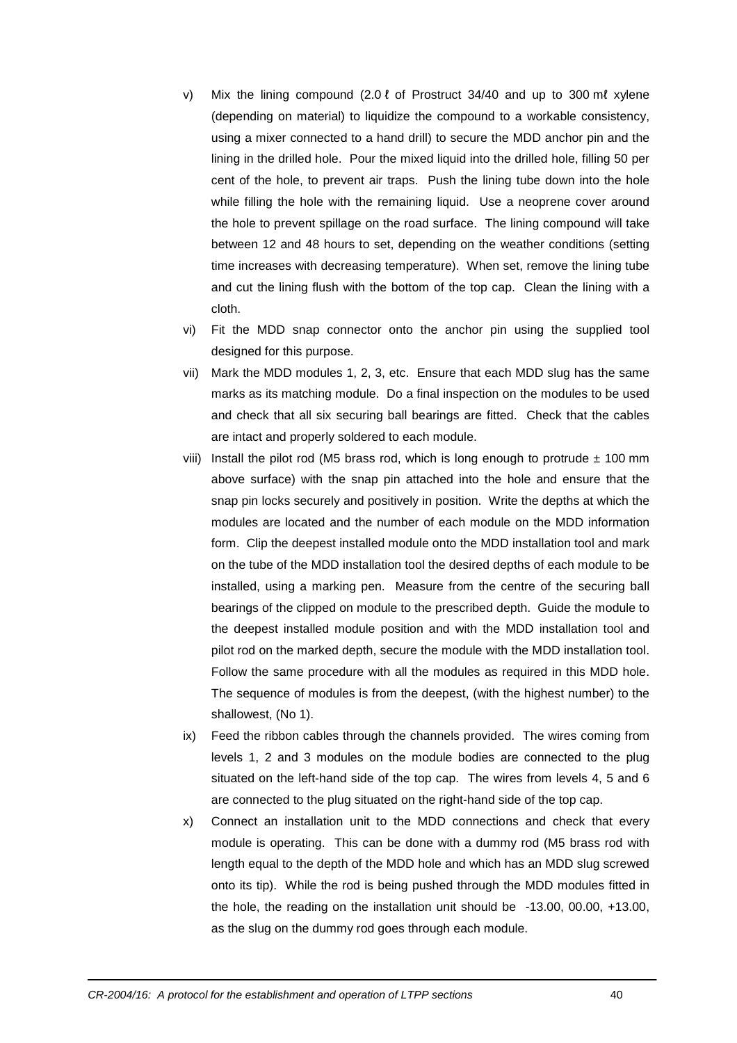- v) Mix the lining compound (2.0 ℓ of Prostruct 34/40 and up to 300 mℓ xylene (depending on material) to liquidize the compound to a workable consistency, using a mixer connected to a hand drill) to secure the MDD anchor pin and the lining in the drilled hole. Pour the mixed liquid into the drilled hole, filling 50 per cent of the hole, to prevent air traps. Push the lining tube down into the hole while filling the hole with the remaining liquid. Use a neoprene cover around the hole to prevent spillage on the road surface. The lining compound will take between 12 and 48 hours to set, depending on the weather conditions (setting time increases with decreasing temperature). When set, remove the lining tube and cut the lining flush with the bottom of the top cap. Clean the lining with a cloth.
- vi) Fit the MDD snap connector onto the anchor pin using the supplied tool designed for this purpose.
- vii) Mark the MDD modules 1, 2, 3, etc. Ensure that each MDD slug has the same marks as its matching module. Do a final inspection on the modules to be used and check that all six securing ball bearings are fitted. Check that the cables are intact and properly soldered to each module.
- viii) Install the pilot rod (M5 brass rod, which is long enough to protrude  $\pm$  100 mm above surface) with the snap pin attached into the hole and ensure that the snap pin locks securely and positively in position. Write the depths at which the modules are located and the number of each module on the MDD information form. Clip the deepest installed module onto the MDD installation tool and mark on the tube of the MDD installation tool the desired depths of each module to be installed, using a marking pen. Measure from the centre of the securing ball bearings of the clipped on module to the prescribed depth. Guide the module to the deepest installed module position and with the MDD installation tool and pilot rod on the marked depth, secure the module with the MDD installation tool. Follow the same procedure with all the modules as required in this MDD hole. The sequence of modules is from the deepest, (with the highest number) to the shallowest, (No 1).
- ix) Feed the ribbon cables through the channels provided. The wires coming from levels 1, 2 and 3 modules on the module bodies are connected to the plug situated on the left-hand side of the top cap. The wires from levels 4, 5 and 6 are connected to the plug situated on the right-hand side of the top cap.
- x) Connect an installation unit to the MDD connections and check that every module is operating. This can be done with a dummy rod (M5 brass rod with length equal to the depth of the MDD hole and which has an MDD slug screwed onto its tip). While the rod is being pushed through the MDD modules fitted in the hole, the reading on the installation unit should be -13.00, 00.00, +13.00, as the slug on the dummy rod goes through each module.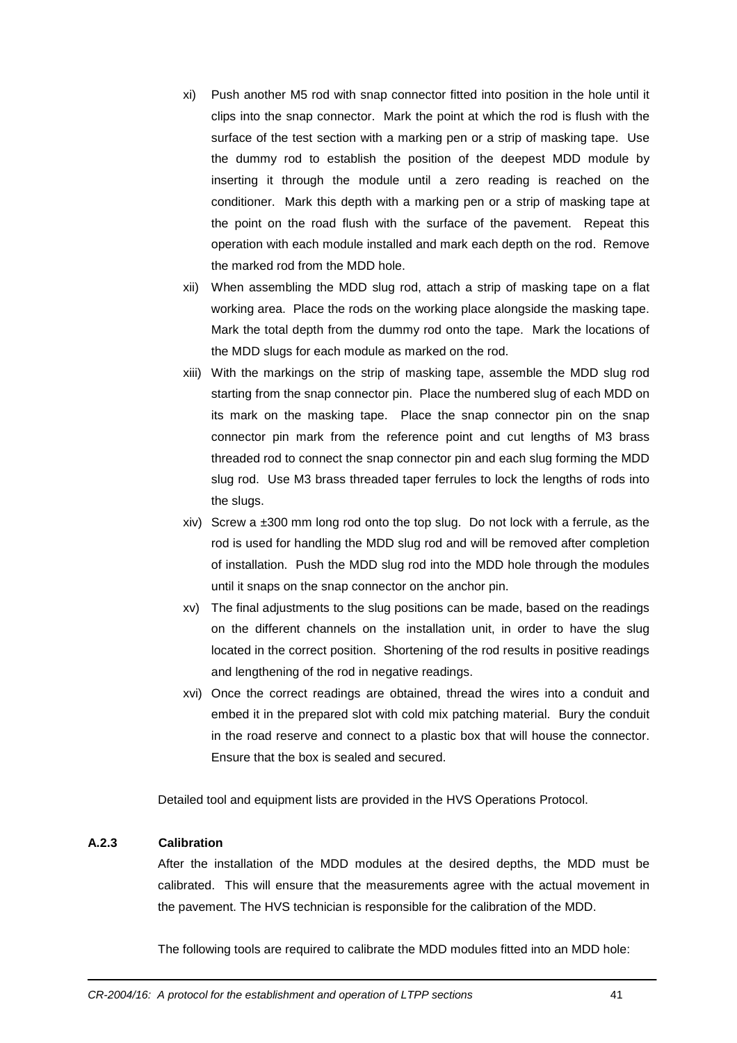- xi) Push another M5 rod with snap connector fitted into position in the hole until it clips into the snap connector. Mark the point at which the rod is flush with the surface of the test section with a marking pen or a strip of masking tape. Use the dummy rod to establish the position of the deepest MDD module by inserting it through the module until a zero reading is reached on the conditioner. Mark this depth with a marking pen or a strip of masking tape at the point on the road flush with the surface of the pavement. Repeat this operation with each module installed and mark each depth on the rod. Remove the marked rod from the MDD hole.
- xii) When assembling the MDD slug rod, attach a strip of masking tape on a flat working area. Place the rods on the working place alongside the masking tape. Mark the total depth from the dummy rod onto the tape. Mark the locations of the MDD slugs for each module as marked on the rod.
- xiii) With the markings on the strip of masking tape, assemble the MDD slug rod starting from the snap connector pin. Place the numbered slug of each MDD on its mark on the masking tape. Place the snap connector pin on the snap connector pin mark from the reference point and cut lengths of M3 brass threaded rod to connect the snap connector pin and each slug forming the MDD slug rod. Use M3 brass threaded taper ferrules to lock the lengths of rods into the slugs.
- xiv) Screw a  $\pm 300$  mm long rod onto the top slug. Do not lock with a ferrule, as the rod is used for handling the MDD slug rod and will be removed after completion of installation. Push the MDD slug rod into the MDD hole through the modules until it snaps on the snap connector on the anchor pin.
- xv) The final adjustments to the slug positions can be made, based on the readings on the different channels on the installation unit, in order to have the slug located in the correct position. Shortening of the rod results in positive readings and lengthening of the rod in negative readings.
- xvi) Once the correct readings are obtained, thread the wires into a conduit and embed it in the prepared slot with cold mix patching material. Bury the conduit in the road reserve and connect to a plastic box that will house the connector. Ensure that the box is sealed and secured.

Detailed tool and equipment lists are provided in the HVS Operations Protocol.

#### **A.2.3 Calibration**

After the installation of the MDD modules at the desired depths, the MDD must be calibrated. This will ensure that the measurements agree with the actual movement in the pavement. The HVS technician is responsible for the calibration of the MDD.

The following tools are required to calibrate the MDD modules fitted into an MDD hole: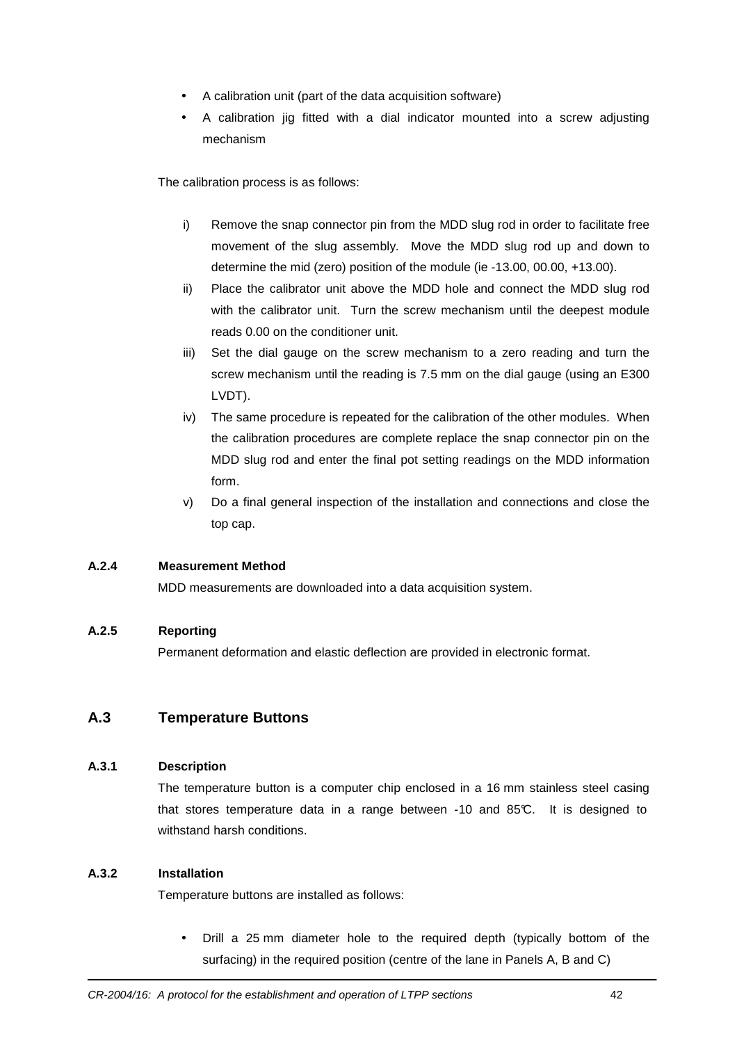- A calibration unit (part of the data acquisition software)
- A calibration jig fitted with a dial indicator mounted into a screw adjusting mechanism

The calibration process is as follows:

- i) Remove the snap connector pin from the MDD slug rod in order to facilitate free movement of the slug assembly. Move the MDD slug rod up and down to determine the mid (zero) position of the module (ie -13.00, 00.00, +13.00).
- ii) Place the calibrator unit above the MDD hole and connect the MDD slug rod with the calibrator unit. Turn the screw mechanism until the deepest module reads 0.00 on the conditioner unit.
- iii) Set the dial gauge on the screw mechanism to a zero reading and turn the screw mechanism until the reading is 7.5 mm on the dial gauge (using an E300 LVDT).
- iv) The same procedure is repeated for the calibration of the other modules. When the calibration procedures are complete replace the snap connector pin on the MDD slug rod and enter the final pot setting readings on the MDD information form.
- v) Do a final general inspection of the installation and connections and close the top cap.

#### **A.2.4 Measurement Method**

MDD measurements are downloaded into a data acquisition system.

#### **A.2.5 Reporting**

Permanent deformation and elastic deflection are provided in electronic format.

## **A.3 Temperature Buttons**

#### **A.3.1 Description**

The temperature button is a computer chip enclosed in a 16 mm stainless steel casing that stores temperature data in a range between -10 and 85°C. It is designed to withstand harsh conditions.

#### **A.3.2 Installation**

Temperature buttons are installed as follows:

• Drill a 25 mm diameter hole to the required depth (typically bottom of the surfacing) in the required position (centre of the lane in Panels A, B and C)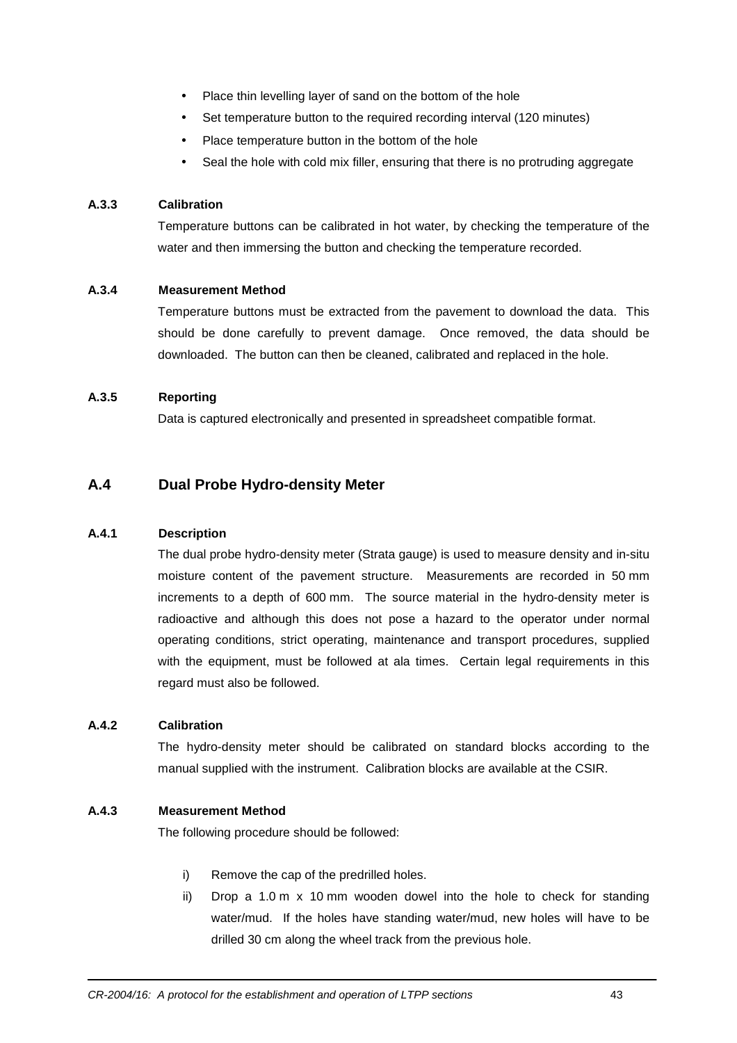- Place thin levelling layer of sand on the bottom of the hole
- Set temperature button to the required recording interval (120 minutes)
- Place temperature button in the bottom of the hole
- Seal the hole with cold mix filler, ensuring that there is no protruding aggregate

#### **A.3.3 Calibration**

Temperature buttons can be calibrated in hot water, by checking the temperature of the water and then immersing the button and checking the temperature recorded.

#### **A.3.4 Measurement Method**

Temperature buttons must be extracted from the pavement to download the data. This should be done carefully to prevent damage. Once removed, the data should be downloaded. The button can then be cleaned, calibrated and replaced in the hole.

#### **A.3.5 Reporting**

Data is captured electronically and presented in spreadsheet compatible format.

## **A.4 Dual Probe Hydro-density Meter**

#### **A.4.1 Description**

The dual probe hydro-density meter (Strata gauge) is used to measure density and in-situ moisture content of the pavement structure. Measurements are recorded in 50 mm increments to a depth of 600 mm. The source material in the hydro-density meter is radioactive and although this does not pose a hazard to the operator under normal operating conditions, strict operating, maintenance and transport procedures, supplied with the equipment, must be followed at ala times. Certain legal requirements in this regard must also be followed.

#### **A.4.2 Calibration**

The hydro-density meter should be calibrated on standard blocks according to the manual supplied with the instrument. Calibration blocks are available at the CSIR.

#### **A.4.3 Measurement Method**

The following procedure should be followed:

- i) Remove the cap of the predrilled holes.
- ii) Drop a 1.0 m x 10 mm wooden dowel into the hole to check for standing water/mud. If the holes have standing water/mud, new holes will have to be drilled 30 cm along the wheel track from the previous hole.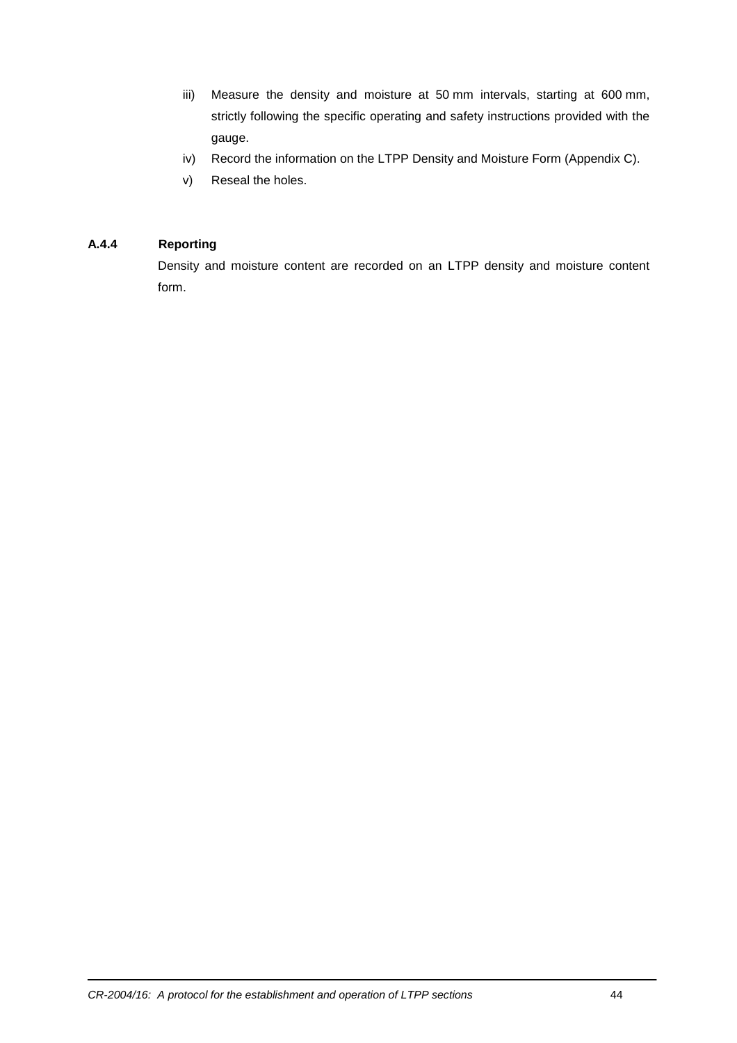- iii) Measure the density and moisture at 50 mm intervals, starting at 600 mm, strictly following the specific operating and safety instructions provided with the gauge.
- iv) Record the information on the LTPP Density and Moisture Form (Appendix C).
- v) Reseal the holes.

#### **A.4.4 Reporting**

Density and moisture content are recorded on an LTPP density and moisture content form.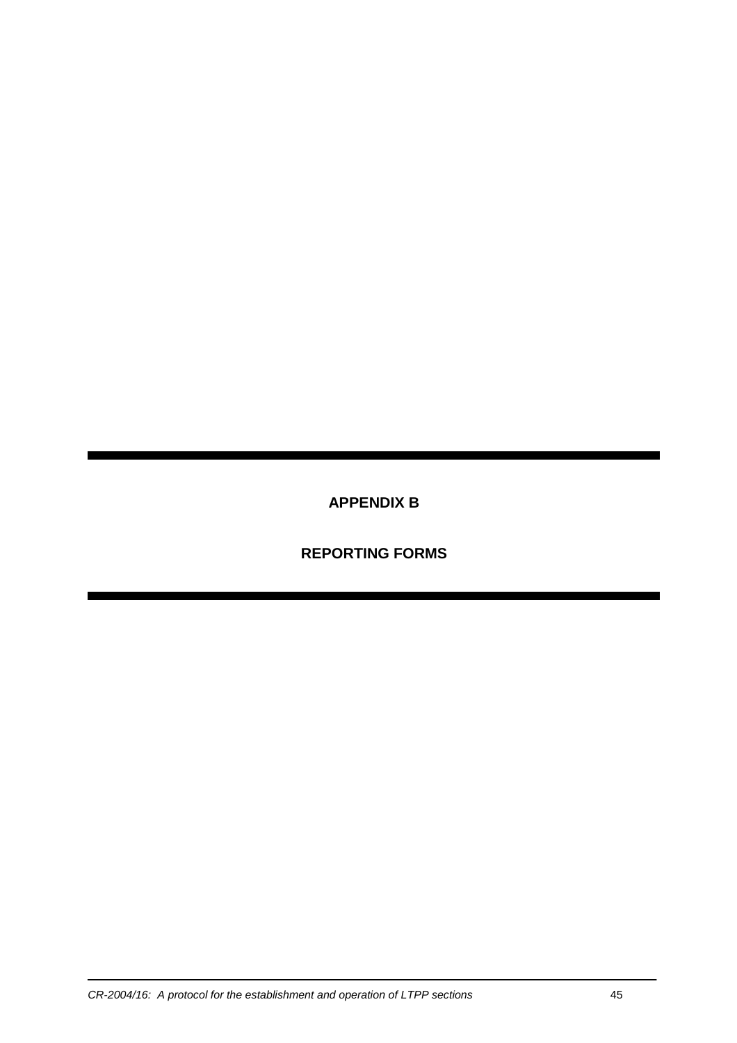**APPENDIX B** 

 **REPORTING FORMS**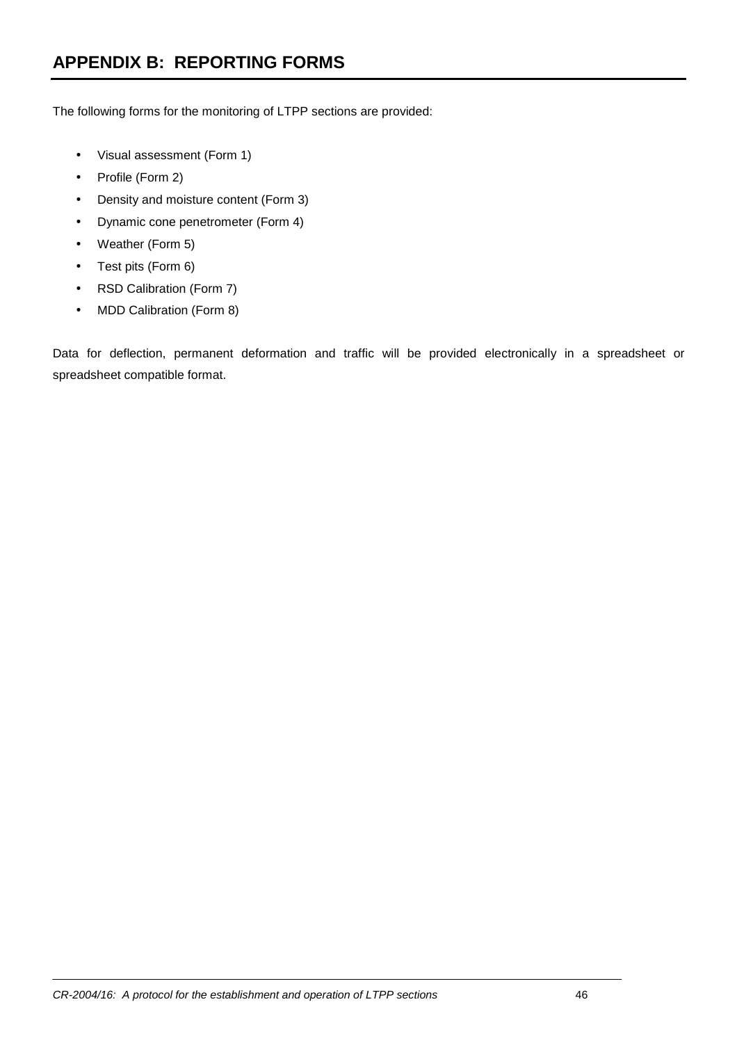The following forms for the monitoring of LTPP sections are provided:

- Visual assessment (Form 1)
- Profile (Form 2)
- Density and moisture content (Form 3)
- Dynamic cone penetrometer (Form 4)
- Weather (Form 5)
- Test pits (Form 6)
- RSD Calibration (Form 7)
- MDD Calibration (Form 8)

Data for deflection, permanent deformation and traffic will be provided electronically in a spreadsheet or spreadsheet compatible format.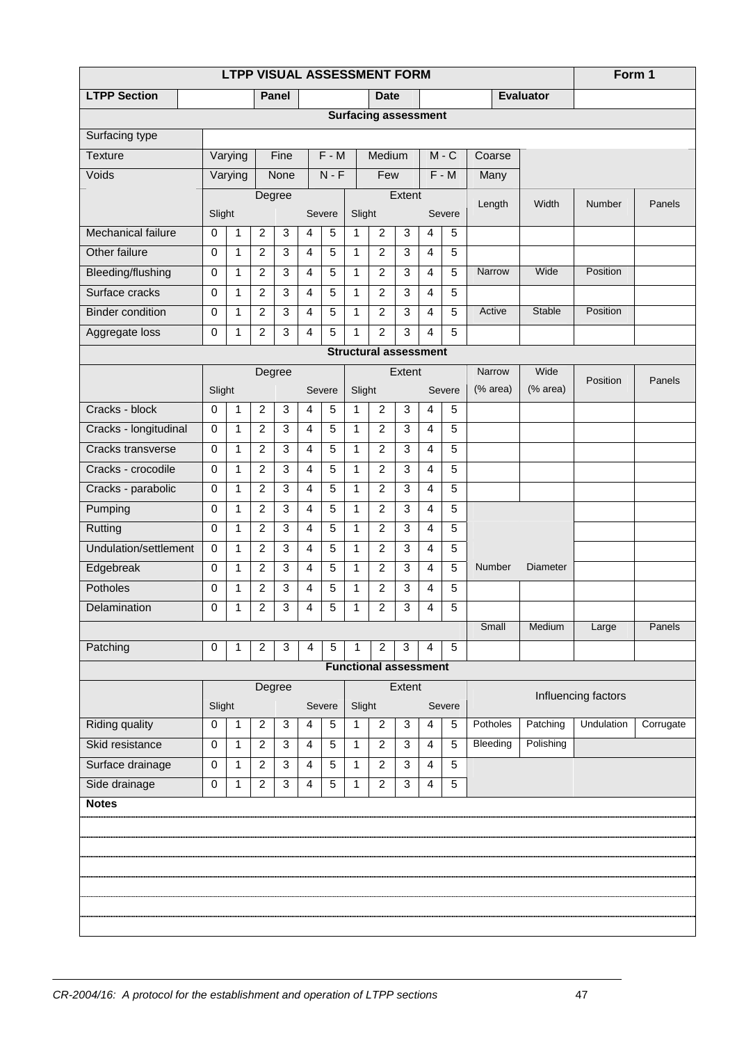|                              | LTPP VISUAL ASSESSMENT FORM |              |                  |                |                |                |              |                              |              |                |         |          |                  | Form 1              |           |
|------------------------------|-----------------------------|--------------|------------------|----------------|----------------|----------------|--------------|------------------------------|--------------|----------------|---------|----------|------------------|---------------------|-----------|
| <b>LTPP Section</b>          |                             |              |                  | Panel          |                |                |              | <b>Date</b>                  |              |                |         |          | <b>Evaluator</b> |                     |           |
|                              |                             |              |                  |                |                |                |              | <b>Surfacing assessment</b>  |              |                |         |          |                  |                     |           |
| Surfacing type               |                             |              |                  |                |                |                |              |                              |              |                |         |          |                  |                     |           |
| <b>Texture</b>               |                             | Varying      |                  | Fine           |                | $F - M$        |              | Medium                       |              |                | $M - C$ | Coarse   |                  |                     |           |
| Voids                        |                             | Varying      |                  | None           |                | $N - F$        |              | Few                          |              |                | $F - M$ | Many     |                  |                     |           |
|                              |                             |              | Degree           |                |                |                |              |                              | Extent       |                |         | Length   | Width            | Number              | Panels    |
|                              | Slight                      |              |                  |                |                | Severe         | Slight       |                              |              |                | Severe  |          |                  |                     |           |
| <b>Mechanical failure</b>    | 0                           | 1            | $\overline{2}$   | $\mathbf{3}$   | 4              | 5              | 1            | $\overline{c}$               | 3            | $\overline{4}$ | 5       |          |                  |                     |           |
| Other failure                | 0                           | 1            | $\overline{c}$   | $\mathbf{3}$   | 4              | 5              | 1            | $\overline{c}$               | 3            | $\overline{4}$ | 5       |          |                  |                     |           |
| Bleeding/flushing            | $\mathbf 0$                 | 1            | $\overline{c}$   | $\mathbf{3}$   | $\overline{4}$ | 5              | 1            | $\overline{2}$               | 3            | $\overline{4}$ | 5       | Narrow   | Wide             | Position            |           |
| Surface cracks               | 0                           | 1            | $\overline{c}$   | $\overline{3}$ | 4              | $\overline{5}$ | 1            | $\overline{2}$               | 3            | 4              | 5       |          |                  |                     |           |
| <b>Binder condition</b>      | $\mathbf 0$                 | $\mathbf{1}$ | $\overline{2}$   | 3              | 4              | 5              | $\mathbf{1}$ | $\overline{2}$               | 3            | $\overline{4}$ | 5       | Active   | Stable           | Position            |           |
| Aggregate loss               | 0                           | 1            | $\overline{c}$   | $\mathbf{3}$   | 4              | 5              | 1            | $\overline{2}$               | 3            | $\overline{4}$ | 5       |          |                  |                     |           |
| <b>Structural assessment</b> |                             |              |                  |                |                |                |              |                              |              |                |         |          |                  |                     |           |
| Extent<br>Degree             |                             |              |                  |                |                |                |              |                              |              |                |         | Narrow   | Wide             | Position            | Panels    |
|                              | Slight                      |              |                  |                |                | Severe         | Slight       |                              |              |                | Severe  | (% area) | (% area)         |                     |           |
| Cracks - block               | $\mathbf 0$                 | 1            | $\overline{c}$   | $\mathbf{3}$   | 4              | 5              | $\mathbf{1}$ | $\overline{c}$               | $\mathbf{3}$ | $\overline{4}$ | 5       |          |                  |                     |           |
| Cracks - longitudinal        | $\mathbf 0$                 | 1            | $\overline{c}$   | $\mathbf{3}$   | 4              | 5              | 1            | $\overline{c}$               | $\mathbf{3}$ | $\overline{4}$ | 5       |          |                  |                     |           |
| Cracks transverse            | $\mathbf 0$                 | 1            | $\overline{c}$   | 3              | 4              | 5              | 1            | $\overline{c}$               | $\mathbf{3}$ | $\overline{4}$ | 5       |          |                  |                     |           |
| Cracks - crocodile           | $\mathbf 0$                 | $\mathbf{1}$ | $\overline{2}$   | 3              | 4              | 5              | $\mathbf{1}$ | $\overline{2}$               | $\mathbf{3}$ | $\overline{4}$ | 5       |          |                  |                     |           |
| Cracks - parabolic           | 0                           | 1            | $\boldsymbol{2}$ | $\mathbf{3}$   | 4              | 5              | 1            | $\overline{c}$               | $\mathbf{3}$ | $\overline{4}$ | 5       |          |                  |                     |           |
| Pumping                      | 0                           | 1            | $\overline{2}$   | 3              | 4              | 5              | $\mathbf{1}$ | $\overline{2}$               | $\mathbf{3}$ | $\overline{4}$ | 5       |          |                  |                     |           |
| Rutting                      | $\mathbf 0$                 | $\mathbf{1}$ | $\overline{2}$   | 3              | 4              | 5              | $\mathbf{1}$ | $\overline{2}$               | $\mathbf{3}$ | $\overline{4}$ | 5       |          |                  |                     |           |
| Undulation/settlement        | $\mathbf 0$                 | 1            | $\overline{c}$   | $\mathbf{3}$   | 4              | 5              | 1            | $\overline{2}$               | $\mathbf{3}$ | $\overline{4}$ | 5       |          |                  |                     |           |
| Edgebreak                    | $\mathbf 0$                 | 1            | $\overline{c}$   | 3              | 4              | 5              | 1            | $\overline{c}$               | 3            | 4              | 5       | Number   | <b>Diameter</b>  |                     |           |
| Potholes                     | 0                           | 1            | $\overline{c}$   | $\overline{3}$ | 4              | 5              | 1            | $\overline{2}$               | $\mathbf{3}$ | $\overline{4}$ | 5       |          |                  |                     |           |
| Delamination                 | 0                           | $\mathbf{1}$ | $\overline{c}$   | 3              | 4              | 5              | 1            | $\overline{c}$               | 3            | $\overline{4}$ | 5       |          |                  |                     |           |
|                              |                             |              |                  |                |                |                |              |                              |              |                |         | Small    | Medium           | Large               | Panels    |
| Patching                     | 0                           | 1            | $\overline{c}$   | 3              | 4              | 5              | 1            | 2                            | 3            | 4              | 5       |          |                  |                     |           |
|                              |                             |              |                  |                |                |                |              | <b>Functional assessment</b> |              |                |         |          |                  |                     |           |
|                              |                             |              | Degree           |                |                |                |              |                              | Extent       |                |         |          |                  | Influencing factors |           |
|                              | Slight                      |              |                  |                |                | Severe         | Slight       |                              |              |                | Severe  |          |                  |                     |           |
| <b>Riding quality</b>        | 0                           | 1            | 2                | $\mathbf{3}$   | 4              | 5              | $\mathbf{1}$ | $\overline{c}$               | 3            | $\overline{4}$ | 5       | Potholes | Patching         | Undulation          | Corrugate |
| Skid resistance              | $\mathbf 0$                 | 1            | $\overline{2}$   | $\mathbf{3}$   | 4              | 5              | 1            | $\overline{c}$               | 3            | $\overline{4}$ | 5       | Bleeding | Polishing        |                     |           |
| Surface drainage             | 0                           | 1            | $\overline{c}$   | 3              | 4              | 5              | 1            | $\overline{c}$               | 3            | $\overline{4}$ | 5       |          |                  |                     |           |
| Side drainage                | 0                           | 1            | $\overline{2}$   | $\mathbf{3}$   | 4              | 5              | 1            | $\overline{c}$               | 3            | $\overline{4}$ | 5       |          |                  |                     |           |
| <b>Notes</b>                 |                             |              |                  |                |                |                |              |                              |              |                |         |          |                  |                     |           |
|                              |                             |              |                  |                |                |                |              |                              |              |                |         |          |                  |                     |           |
|                              |                             |              |                  |                |                |                |              |                              |              |                |         |          |                  |                     |           |
|                              |                             |              |                  |                |                |                |              |                              |              |                |         |          |                  |                     |           |
|                              |                             |              |                  |                |                |                |              |                              |              |                |         |          |                  |                     |           |
|                              |                             |              |                  |                |                |                |              |                              |              |                |         |          |                  |                     |           |
|                              |                             |              |                  |                |                |                |              |                              |              |                |         |          |                  |                     |           |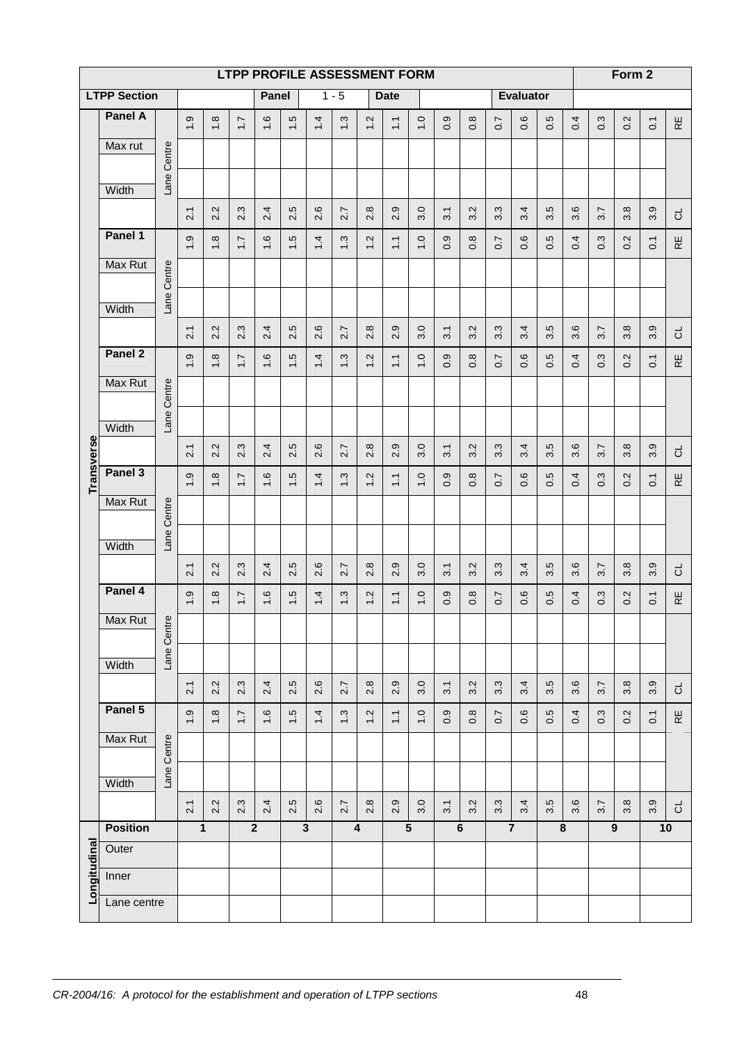| <b>LTPP PROFILE ASSESSMENT FORM</b> |                     |             |                  |               |                  |                |                      |                                    |         |                                     |                              |                  |                | Form 2           |                  |                             |               |     |                  |     |                  |                 |
|-------------------------------------|---------------------|-------------|------------------|---------------|------------------|----------------|----------------------|------------------------------------|---------|-------------------------------------|------------------------------|------------------|----------------|------------------|------------------|-----------------------------|---------------|-----|------------------|-----|------------------|-----------------|
|                                     | <b>LTPP Section</b> |             |                  |               |                  | Panel          |                      |                                    | $1 - 5$ |                                     | <b>Date</b>                  |                  |                |                  |                  | <b>Evaluator</b>            |               |     |                  |     |                  |                 |
|                                     | Panel A             |             | $\frac{0}{1}$    | $1.8$         | $\overline{1}$ . | 1.6            | $\ddot{5}$           | 1.4                                | 1.3     | 1.2                                 | $\overline{1}$ .             | $\overline{0}$   | σ<br>ö         | $\frac{8}{2}$    | $\overline{0.7}$ | $\mathbf \Omega$<br>$\circ$ | 5<br>$\sigma$ | 0.4 | 0.3              | 0.2 | $\overline{O}$   | $\mathbb R$     |
|                                     | Max rut             |             |                  |               |                  |                |                      |                                    |         |                                     |                              |                  |                |                  |                  |                             |               |     |                  |     |                  |                 |
|                                     |                     | Lane Centre |                  |               |                  |                |                      |                                    |         |                                     |                              |                  |                |                  |                  |                             |               |     |                  |     |                  |                 |
|                                     | Width               |             |                  |               |                  |                |                      |                                    |         |                                     |                              |                  |                |                  |                  |                             |               |     |                  |     |                  |                 |
|                                     |                     |             | 2.1              | 2.2           | 2.3              | 2.4            | ယ္<br>$\overline{N}$ | 2.6                                | 2.7     | 2.8                                 | ၜ<br>$\overline{N}$          | 3.0              | 3.1            | 3.2              | 3.3              | 3.4                         | 3.5           | 3.6 | 3.7              | 3.8 | 3.9              | ಕ               |
|                                     | Panel 1             |             | $\ddot{ }$ .9    | $1.8$         | $\overline{1}$ . | 1.6            | $\ddot{5}$           | 1.4                                | 1.3     | 1.2                                 | $\overline{1}$               | $\overline{0}$   | 0.9            | $0.\overline{8}$ | $\overline{0.7}$ | 0.6                         | 0.5           | 0.4 | 0.3              | 0.2 | $\overline{C}$   | $\mathbb R$     |
|                                     | Max Rut             |             |                  |               |                  |                |                      |                                    |         |                                     |                              |                  |                |                  |                  |                             |               |     |                  |     |                  |                 |
|                                     |                     | Lane Centre |                  |               |                  |                |                      |                                    |         |                                     |                              |                  |                |                  |                  |                             |               |     |                  |     |                  |                 |
|                                     | Width               |             |                  |               | 2.3              |                | ယ္                   | 2.6                                |         | 2.8                                 | တ္                           | 3.0              |                | 3.2              |                  |                             | 3.5           | 3.6 |                  | 3.8 | 3.9              |                 |
|                                     | Panel 2             |             | 2.1              | 2.2           |                  | 2.4            | $\overline{N}$       |                                    | 2.7     |                                     | $\overline{\mathsf{N}}$      |                  | 3.1            |                  | 3.3              | 3.4                         |               |     | 3.7              |     |                  | ರ               |
|                                     |                     |             | $\ddot{0}$       | $\frac{8}{1}$ | $\overline{1.7}$ | 1.6            | $\ddot{5}$           | 1.4                                | 1.3     | 1.2                                 | $\overline{1}$               | $\overline{0}$   | 0.9            | $\frac{8}{2}$    | $\overline{0.7}$ | 0.6                         | 0.5           | 0.4 | 0.3              | 0.2 | $\overline{C}$   | $\mathbbmss{E}$ |
|                                     | Max Rut             |             |                  |               |                  |                |                      |                                    |         |                                     |                              |                  |                |                  |                  |                             |               |     |                  |     |                  |                 |
|                                     | Width               | Lane Centre |                  |               |                  |                |                      |                                    |         |                                     |                              |                  |                |                  |                  |                             |               |     |                  |     |                  |                 |
|                                     |                     |             | 2.1              | 2.2           | 2.3              | 2.4            | 5<br>$\overline{N}$  | $\circ$<br>$\overline{\mathsf{N}}$ | 2.7     | 2.8                                 | ၜ<br>$\overline{\mathsf{N}}$ | 3.0              | 3.1            | 3.2              | $3.\overline{3}$ | 3.4                         | 5<br>$\sim$   | 3.6 | 3.7              | 3.8 | 3.9              | ರ               |
| <b>Transverse</b>                   | Panel 3             |             | $\ddot{0}$       | $\frac{8}{1}$ | $\overline{1.7}$ | 1.6            | $\ddot{5}$           | 1.4                                | 1.3     | 1.2                                 | $\overline{1}$               | $\overline{0}$   | 0.9            | $\frac{8}{2}$    | $\overline{0.7}$ | 0.6                         | 0.5           | 0.4 | 0.3              | 0.2 | $\overline{O}$ . | $\mathbb R$     |
|                                     | Max Rut             |             |                  |               |                  |                |                      |                                    |         |                                     |                              |                  |                |                  |                  |                             |               |     |                  |     |                  |                 |
|                                     |                     | Lane Centre |                  |               |                  |                |                      |                                    |         |                                     |                              |                  |                |                  |                  |                             |               |     |                  |     |                  |                 |
|                                     | Width               |             |                  |               |                  |                |                      |                                    |         |                                     |                              |                  |                |                  |                  |                             |               |     |                  |     |                  |                 |
|                                     |                     |             | 2.1              | 2.2           | 2.3              | 2.4            | 5<br>$\overline{N}$  | 2.6                                | 2.7     | $\infty$<br>$\overline{\mathsf{N}}$ | ၜ<br>$\overline{N}$          | 3.0              | 3.1            | 3.2              | 3.3              | 3.4                         | 5<br>$\sim$   | 3.6 | 3.7              | 3.8 | 3.9              | ಕ               |
|                                     | Panel 4             |             | $\frac{0}{1}$    | $\frac{8}{1}$ | $\overline{1}$ . | 1.6            | $\frac{5}{1}$        | 1.4                                | 1.3     | Ņ<br>$\overline{\phantom{0}}$       | $\overline{11}$              | $\frac{0}{1}$    | σ<br>ö         | $0.\overline{8}$ | $\overline{0}$   | $\mathbf \Omega$<br>$\circ$ | Ю<br>ö        | 0.4 | 0.3              | 0.2 | $\overline{O}$   | $\mathbb R$     |
|                                     | Max Rut             | $\omega$    |                  |               |                  |                |                      |                                    |         |                                     |                              |                  |                |                  |                  |                             |               |     |                  |     |                  |                 |
|                                     | Width               | Lane Centr  |                  |               |                  |                |                      |                                    |         |                                     |                              |                  |                |                  |                  |                             |               |     |                  |     |                  |                 |
|                                     |                     |             | $\overline{2.1}$ | 2.2           | 2.3              | 2.4            | 2.5                  | 2.6                                | 2.7     | 2.8                                 | 2.9                          | 3.0              | 31             | 3.2              | 3.3              | 3.4                         | 3.5           | 3.6 | 3.7              | 3.8 | 3.9              | ಕ               |
|                                     | Panel 5             |             | $\ddot{.}$       | $\frac{8}{1}$ | $\overline{1.7}$ | 1.6            | $\ddot{5}$           | 1.4                                | 1.3     | 1.2                                 | $\overline{11}$              | $\overline{0}$ . | 0.9            | 0.8              | $\overline{0}$   | 0.6                         | 0.5           | 0.4 | 0.3              | 0.2 | $\overline{C}$   | $\mathbb R$     |
|                                     | Max Rut             |             |                  |               |                  |                |                      |                                    |         |                                     |                              |                  |                |                  |                  |                             |               |     |                  |     |                  |                 |
|                                     |                     | Lane Centre |                  |               |                  |                |                      |                                    |         |                                     |                              |                  |                |                  |                  |                             |               |     |                  |     |                  |                 |
|                                     | Width               |             |                  |               |                  |                |                      |                                    |         |                                     |                              |                  |                |                  |                  |                             |               |     |                  |     |                  |                 |
|                                     |                     |             | 2.1              | 2.2           | 2.3              | 2.4            | 2.5                  | 2.6                                | 2.7     | 2.8                                 | 2.9                          | 3.0              | 3.1            | 3.2              | 3.3              | 3.4                         | 5<br>ຕ່       | 3.6 | 3.7              | 3.8 | 3.9              | ಕ               |
|                                     | <b>Position</b>     |             |                  | $\mathbf{1}$  |                  | $\overline{2}$ |                      | $\overline{3}$                     |         | 4                                   |                              | 5                | $6\phantom{1}$ |                  | $\overline{7}$   |                             |               | 8   | $\boldsymbol{9}$ |     | 10               |                 |
|                                     | Outer               |             |                  |               |                  |                |                      |                                    |         |                                     |                              |                  |                |                  |                  |                             |               |     |                  |     |                  |                 |
| Longitudina                         | Inner               |             |                  |               |                  |                |                      |                                    |         |                                     |                              |                  |                |                  |                  |                             |               |     |                  |     |                  |                 |
|                                     | Lane centre         |             |                  |               |                  |                |                      |                                    |         |                                     |                              |                  |                |                  |                  |                             |               |     |                  |     |                  |                 |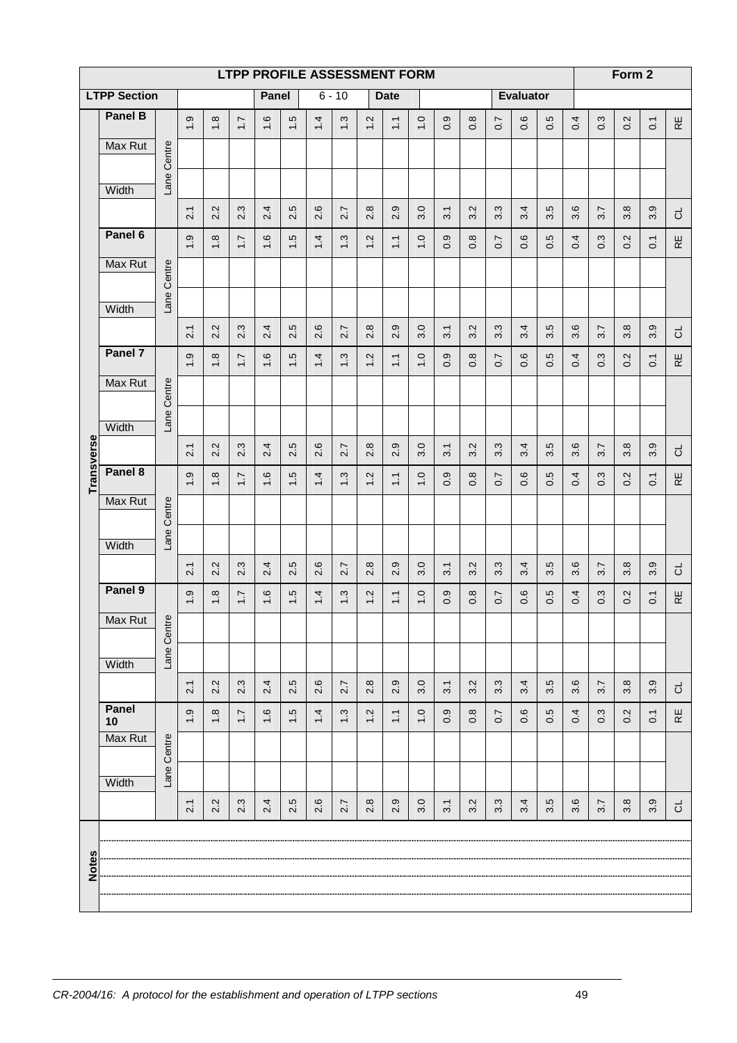|                   |                     |             |                               |               | LTPP PROFILE ASSESSMENT FORM |       |                                |                                    |          |                             |                                    |                    |              |                           |                                 |                          |              |                           |                  | Form 2        |                  |              |
|-------------------|---------------------|-------------|-------------------------------|---------------|------------------------------|-------|--------------------------------|------------------------------------|----------|-----------------------------|------------------------------------|--------------------|--------------|---------------------------|---------------------------------|--------------------------|--------------|---------------------------|------------------|---------------|------------------|--------------|
|                   | <b>LTPP Section</b> |             |                               |               |                              | Panel |                                |                                    | $6 - 10$ |                             | <b>Date</b>                        |                    |              |                           |                                 | <b>Evaluator</b>         |              |                           |                  |               |                  |              |
|                   | <b>Panel B</b>      |             | $\frac{0}{1}$                 | $\frac{8}{1}$ | $\overline{1}$ :             | 1.6   | $\ddot{5}$                     | 1.4                                | 1.3      | 1.2                         | $\overline{1}$ .                   | $\overline{1}$ . O | 0.9          | 0.8                       | $\overline{0.7}$                | 0.6                      | 0.5          | 0.4                       | 0.3              | 0.2           | $\overline{C}$   | $\mathbb R$  |
|                   | Max Rut             |             |                               |               |                              |       |                                |                                    |          |                             |                                    |                    |              |                           |                                 |                          |              |                           |                  |               |                  |              |
|                   |                     | Lane Centre |                               |               |                              |       |                                |                                    |          |                             |                                    |                    |              |                           |                                 |                          |              |                           |                  |               |                  |              |
|                   | Width               |             | 2.1                           | 2.2           | 2.3                          | 2.4   | 2.5                            | 2.6                                | 2.7      | 2.8                         | ၜ                                  | 3.0                | 3.1          | 3.2                       | 3.3                             | 3.4                      | 3.5          | 3.6                       | 3.7              | 3.8           | 3.9              |              |
|                   | Panel 6             |             |                               |               |                              |       |                                |                                    |          |                             | $\overline{N}$                     |                    |              |                           |                                 | $\pmb{\circ}$            |              |                           |                  |               |                  | ರ            |
|                   | Max Rut             |             | $\ddot{0}$                    | $1.8$         | $\overline{1.7}$             | 1.6   | $\ddot{5}$                     | 1.4                                | 1.3      | 1.2                         | $\overline{1}$                     | $\overline{0}$     | 0.9          | 0.8                       | $\overline{0}$                  | $\ddot{\circ}$           | 0.5          | 0.4                       | 0.3              | 0.2           | $\overline{O}$   | $\mathbb R$  |
|                   |                     | Lane Centre |                               |               |                              |       |                                |                                    |          |                             |                                    |                    |              |                           |                                 |                          |              |                           |                  |               |                  |              |
|                   | Width               |             |                               |               |                              |       |                                |                                    |          |                             |                                    |                    |              |                           |                                 |                          |              |                           |                  |               |                  |              |
|                   |                     |             | 21                            | 2.2           | 2.3                          | 2.4   | 2.5                            | 2.6                                | 2.7      | 2.8                         | ၜ<br>$\mathbf{N}$                  | 3.0                | 3.1          | 3.2                       | 3.3                             | 3.4                      | 3.5          | 3.6                       | 3.7              | 3.8           | 3.9              | ರ            |
|                   | Panel 7             |             | တ<br>$\overline{\phantom{0}}$ | $1.8$         | $\overline{1.7}$             | 1.6   | $\ddot{5}$                     | 1.4                                | 1.3      | 1.2                         | $\overline{1}$                     | $\overline{0}$     | 0.9          | $0.\overline{8}$          | $\overline{0.7}$                | 0.6                      | 0.5          | 0.4                       | 0.3              | 0.2           | $\overline{O}$   | RΕ           |
|                   | Max Rut             |             |                               |               |                              |       |                                |                                    |          |                             |                                    |                    |              |                           |                                 |                          |              |                           |                  |               |                  |              |
|                   | Width               | Lane Centre |                               |               |                              |       |                                |                                    |          |                             |                                    |                    |              |                           |                                 |                          |              |                           |                  |               |                  |              |
|                   |                     |             | 2.1                           | 2.2           | 2.3                          | 2.4   | 2.5                            | $\mathbf \Omega$<br>$\overline{N}$ | 2.7      | $\infty$<br>$\ddot{\Omega}$ | $\circ$<br>$\overline{\mathsf{N}}$ | 3.0                | 3.1          | 3.2                       | $\tilde{\mathcal{C}}$<br>$\sim$ | 3.4                      | 5<br>$\sim$  | $\pmb{\circ}$<br>$\infty$ | 3.7              | 3.8           | 3.9              | ಕ            |
| <b>Transverse</b> | Panel 8             |             | $\ddot{ }$ .9                 | $\frac{8}{1}$ | $\overline{1.7}$             | 1.6   | 1.5                            | 1.4                                | 1.3      | 1.2                         | $\overline{11}$                    | $\overline{0}$     | ၜ<br>$\circ$ | $\infty$<br>$\dot{\circ}$ | 0.7                             | $\pmb{\circ}$<br>$\circ$ | 5<br>$\circ$ | 0.4                       | 0.3              | 0.2           | $\overline{0}$ . | 足            |
|                   | Max Rut             |             |                               |               |                              |       |                                |                                    |          |                             |                                    |                    |              |                           |                                 |                          |              |                           |                  |               |                  |              |
|                   |                     | Centre      |                               |               |                              |       |                                |                                    |          |                             |                                    |                    |              |                           |                                 |                          |              |                           |                  |               |                  |              |
|                   | Width               | Lane        |                               |               |                              |       |                                |                                    |          |                             |                                    |                    |              |                           |                                 |                          |              |                           |                  |               |                  |              |
|                   | Panel 9             |             | 2.1                           | 2.2           | 2.3                          | 2.4   | 5<br>$\overline{\mathsf{N}}$   | 2.6                                | 2.7      | 2.8                         | ၜ<br>$\overline{\mathbf{u}}$       | 3.0                | 3.1          | 3.2                       | 3.3                             | 3.4                      | 5<br>$\sim$  | 3.6                       | 3.7              | 3.8           | 3.9              | ಕ            |
|                   |                     |             | 1.9                           | $1.8$         | $\overline{1.7}$             | 1.6   | $\frac{5}{1}$                  | 1.4                                | 1.3      | 1.2                         | $\overline{11}$                    | $\overline{1}$ .0  | တ<br>ö       | $0.\overline{8}$          | $\overline{0.7}$                | $\mathbf \Omega$<br>ö    | 5<br>$\circ$ | 0.4                       | 0.3              | $\frac{2}{3}$ | $\overline{O}$   | ₩            |
|                   | Max Rut             | $\omega$    |                               |               |                              |       |                                |                                    |          |                             |                                    |                    |              |                           |                                 |                          |              |                           |                  |               |                  |              |
|                   | Width               | Lane Centr  |                               |               |                              |       |                                |                                    |          |                             |                                    |                    |              |                           |                                 |                          |              |                           |                  |               |                  |              |
|                   |                     |             | 2.1                           | 2.2           | 2.3                          | 2.4   | rö.<br>$\overline{\mathsf{N}}$ | 2.6                                | 2.7      | 2.8                         | 2.9                                | 3.0                | 31           | 3.2                       | 3.3                             | 3.4                      | 3.5          | 3.6                       | 5.7              | 3.8           | 3.9              | ಕ            |
|                   | Panel<br>10         |             | $\ddot{ }$ .9                 | $\ddot{1}$ .8 | $\overline{1.7}$             | 1.6   | $\frac{5}{1}$                  | $1\overline{4}$                    | 1.3      | 1.2                         | $\overline{11}$                    | $\frac{0}{1}$      | 0.9          | $0.\overline{8}$          | $\overline{0.7}$                | 0.6                      | 0.5          | 0.4                       | $0.\overline{3}$ | 0.2           | $\overline{O}$   | $\mathbb{E}$ |
|                   | Max Rut             |             |                               |               |                              |       |                                |                                    |          |                             |                                    |                    |              |                           |                                 |                          |              |                           |                  |               |                  |              |
|                   |                     | Lane Centre |                               |               |                              |       |                                |                                    |          |                             |                                    |                    |              |                           |                                 |                          |              |                           |                  |               |                  |              |
|                   | Width               |             |                               |               |                              |       | rö.                            |                                    |          |                             | တ္                                 |                    |              |                           |                                 |                          | rö.          |                           |                  |               |                  |              |
|                   |                     |             | 2.1                           | 2.2           | 2.3                          | 2.4   | $\overline{\mathsf{N}}$        | 2.6                                | 2.7      | 2.8                         | $\overline{\mathsf{N}}$            | 3.0                | 31           | 3.2                       | 3.3                             | 3.4                      | $\sim$       | 3.6                       | 5.7              | 3.8           | 3.9              | ರ            |
|                   |                     |             |                               |               |                              |       |                                |                                    |          |                             |                                    |                    |              |                           |                                 |                          |              |                           |                  |               |                  |              |
| <b>Notes</b>      |                     |             |                               |               |                              |       |                                |                                    |          |                             |                                    |                    |              |                           |                                 |                          |              |                           |                  |               |                  |              |
|                   |                     |             |                               |               |                              |       |                                |                                    |          |                             |                                    |                    |              |                           |                                 |                          |              |                           |                  |               |                  |              |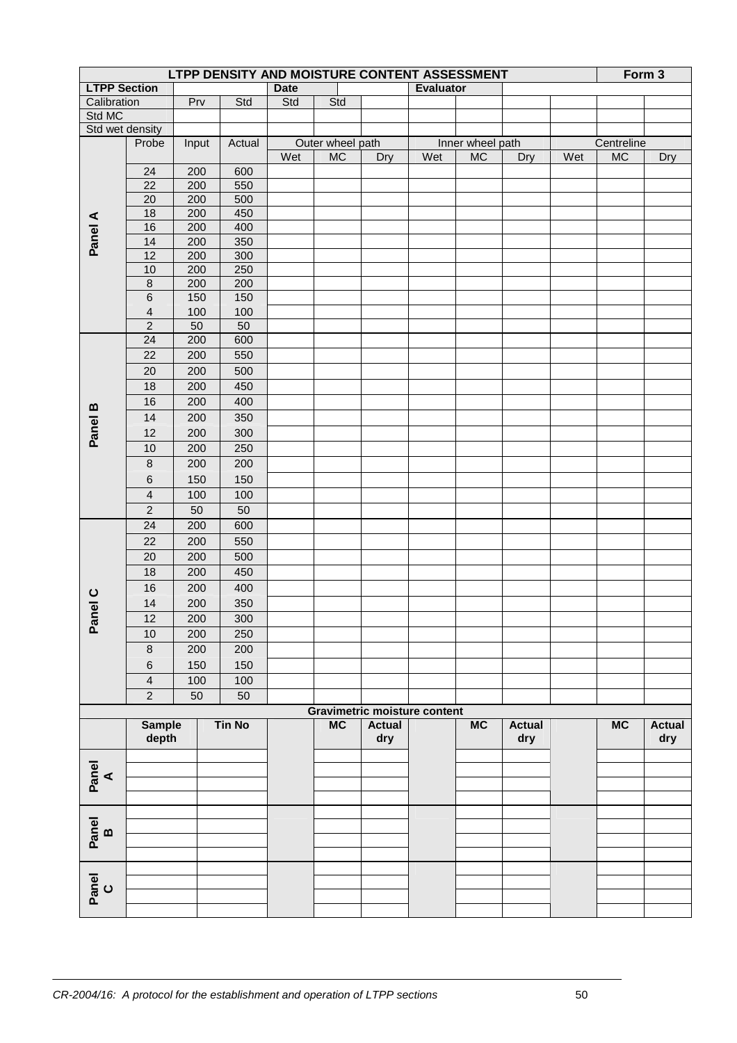|             | LTPP DENSITY AND MOISTURE CONTENT ASSESSMENT<br>Form 3 |            |               |             |                  |                                     |                  |                  |                      |     |            |                      |
|-------------|--------------------------------------------------------|------------|---------------|-------------|------------------|-------------------------------------|------------------|------------------|----------------------|-----|------------|----------------------|
|             | <b>LTPP Section</b>                                    |            |               | <b>Date</b> |                  |                                     | <b>Evaluator</b> |                  |                      |     |            |                      |
| Calibration |                                                        | Prv        | Std           | Std         | Std              |                                     |                  |                  |                      |     |            |                      |
| Std MC      |                                                        |            |               |             |                  |                                     |                  |                  |                      |     |            |                      |
|             | Std wet density                                        |            |               |             |                  |                                     |                  |                  |                      |     |            |                      |
|             | Probe                                                  | Input      | Actual        |             | Outer wheel path |                                     |                  | Inner wheel path |                      |     | Centreline |                      |
|             |                                                        |            |               | Wet         | $MC$             | Dry                                 | Wet              | <b>MC</b>        | Dry                  | Wet | $MC$       | Dry                  |
|             | 24                                                     | 200        | 600           |             |                  |                                     |                  |                  |                      |     |            |                      |
|             | 22                                                     | 200        | 550           |             |                  |                                     |                  |                  |                      |     |            |                      |
|             | 20                                                     | 200        | 500           |             |                  |                                     |                  |                  |                      |     |            |                      |
|             | 18                                                     | 200        | 450           |             |                  |                                     |                  |                  |                      |     |            |                      |
|             | 16                                                     | 200        | 400           |             |                  |                                     |                  |                  |                      |     |            |                      |
| Panel A     | 14<br>12                                               | 200<br>200 | 350<br>300    |             |                  |                                     |                  |                  |                      |     |            |                      |
|             | 10                                                     | 200        | 250           |             |                  |                                     |                  |                  |                      |     |            |                      |
|             | $\bf 8$                                                | 200        | 200           |             |                  |                                     |                  |                  |                      |     |            |                      |
|             | $\,6\,$                                                | 150        | 150           |             |                  |                                     |                  |                  |                      |     |            |                      |
|             | $\overline{4}$                                         | 100        | 100           |             |                  |                                     |                  |                  |                      |     |            |                      |
|             | $\sqrt{2}$                                             | 50         | 50            |             |                  |                                     |                  |                  |                      |     |            |                      |
|             | $\overline{24}$                                        | 200        | 600           |             |                  |                                     |                  |                  |                      |     |            |                      |
|             | 22                                                     | 200        | 550           |             |                  |                                     |                  |                  |                      |     |            |                      |
|             | 20                                                     | 200        | 500           |             |                  |                                     |                  |                  |                      |     |            |                      |
|             |                                                        |            |               |             |                  |                                     |                  |                  |                      |     |            |                      |
|             | 18                                                     | 200        | 450           |             |                  |                                     |                  |                  |                      |     |            |                      |
|             | 16                                                     | 200        | 400           |             |                  |                                     |                  |                  |                      |     |            |                      |
| Panel B     | 14                                                     | 200        | 350           |             |                  |                                     |                  |                  |                      |     |            |                      |
|             | 12                                                     | 200        | 300           |             |                  |                                     |                  |                  |                      |     |            |                      |
|             | 10                                                     | 200        | 250           |             |                  |                                     |                  |                  |                      |     |            |                      |
|             | $\, 8$                                                 | 200        | 200           |             |                  |                                     |                  |                  |                      |     |            |                      |
|             | $\,6\,$                                                | 150        | 150           |             |                  |                                     |                  |                  |                      |     |            |                      |
|             | $\overline{4}$                                         | 100        | 100           |             |                  |                                     |                  |                  |                      |     |            |                      |
|             | $\overline{2}$                                         | 50         | 50            |             |                  |                                     |                  |                  |                      |     |            |                      |
|             | 24                                                     | 200        | 600           |             |                  |                                     |                  |                  |                      |     |            |                      |
|             | 22                                                     | 200        | 550           |             |                  |                                     |                  |                  |                      |     |            |                      |
|             | 20                                                     | 200        | 500           |             |                  |                                     |                  |                  |                      |     |            |                      |
|             | 18                                                     | 200        | 450           |             |                  |                                     |                  |                  |                      |     |            |                      |
|             | 16                                                     | 200        | 400           |             |                  |                                     |                  |                  |                      |     |            |                      |
|             | 14                                                     | 200        | 350           |             |                  |                                     |                  |                  |                      |     |            |                      |
|             | 12                                                     | 200        | 300           |             |                  |                                     |                  |                  |                      |     |            |                      |
| Panel C     | 10                                                     | 200        | 250           |             |                  |                                     |                  |                  |                      |     |            |                      |
|             | $\, 8$                                                 | 200        | 200           |             |                  |                                     |                  |                  |                      |     |            |                      |
|             |                                                        |            |               |             |                  |                                     |                  |                  |                      |     |            |                      |
|             | 6                                                      | 150        | 150           |             |                  |                                     |                  |                  |                      |     |            |                      |
|             | $\overline{4}$                                         | 100        | 100           |             |                  |                                     |                  |                  |                      |     |            |                      |
|             | $\sqrt{2}$                                             | 50         | 50            |             |                  |                                     |                  |                  |                      |     |            |                      |
|             |                                                        |            |               |             |                  | <b>Gravimetric moisture content</b> |                  |                  |                      |     |            |                      |
|             | <b>Sample</b><br>depth                                 |            | <b>Tin No</b> |             | <b>MC</b>        | <b>Actual</b><br>dry                |                  | <b>MC</b>        | <b>Actual</b><br>dry |     | <b>MC</b>  | <b>Actual</b><br>dry |
|             |                                                        |            |               |             |                  |                                     |                  |                  |                      |     |            |                      |
| Panel<br>A  |                                                        |            |               |             |                  |                                     |                  |                  |                      |     |            |                      |
|             |                                                        |            |               |             |                  |                                     |                  |                  |                      |     |            |                      |
|             |                                                        |            |               |             |                  |                                     |                  |                  |                      |     |            |                      |
|             |                                                        |            |               |             |                  |                                     |                  |                  |                      |     |            |                      |
| Panel<br>B  |                                                        |            |               |             |                  |                                     |                  |                  |                      |     |            |                      |
|             |                                                        |            |               |             |                  |                                     |                  |                  |                      |     |            |                      |
|             |                                                        |            |               |             |                  |                                     |                  |                  |                      |     |            |                      |
|             |                                                        |            |               |             |                  |                                     |                  |                  |                      |     |            |                      |
| Panel<br>C  |                                                        |            |               |             |                  |                                     |                  |                  |                      |     |            |                      |
|             |                                                        |            |               |             |                  |                                     |                  |                  |                      |     |            |                      |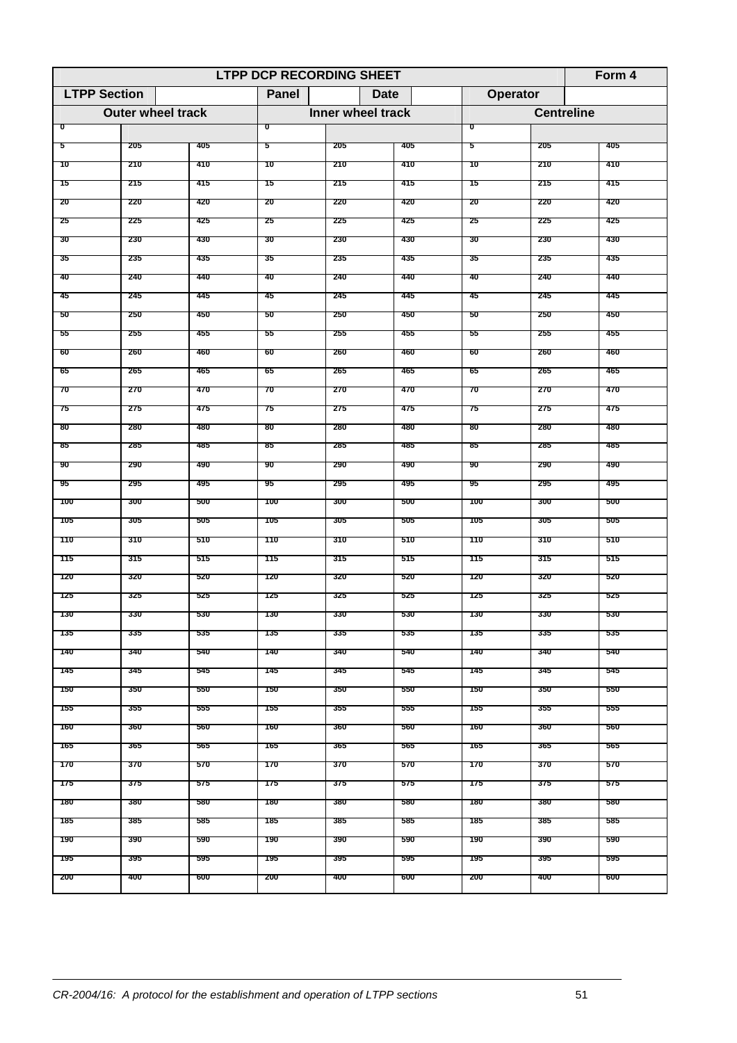|                     | <b>LTPP DCP RECORDING SHEET</b><br>Form $4$ |     |              |                   |     |                         |                   |     |  |  |  |  |  |
|---------------------|---------------------------------------------|-----|--------------|-------------------|-----|-------------------------|-------------------|-----|--|--|--|--|--|
| <b>LTPP Section</b> |                                             |     | <b>Panel</b> | Date              |     | Operator                |                   |     |  |  |  |  |  |
|                     | <b>Outer wheel track</b>                    |     |              | Inner wheel track |     |                         | <b>Centreline</b> |     |  |  |  |  |  |
| ಕ                   |                                             |     | ᠊ᢐ           |                   |     | $\overline{\mathbf{0}}$ |                   |     |  |  |  |  |  |
| 5                   | 205                                         | 405 | 5            | 205               | 405 | -5                      | 205               | 405 |  |  |  |  |  |
| 10                  | 210                                         | 410 | 10           | 210               | 410 | 10                      | 210               | 410 |  |  |  |  |  |
| 15                  | 215                                         | 415 | 15           | 215               | 415 | 15                      | 215               | 415 |  |  |  |  |  |
| 20                  | 220                                         | 420 | 20           | -220              | 420 | -20                     | 220               | 420 |  |  |  |  |  |
| 25                  | 225                                         | 425 | 25           | 225               | 425 | -25                     | 225               | 425 |  |  |  |  |  |
| 30                  | 230                                         | 430 | 30           | 230               | 430 | 30                      | 230               | 430 |  |  |  |  |  |
| 35                  | 235                                         | 435 | 35           | 235               | 435 | 35                      | 235               | 435 |  |  |  |  |  |
| 40                  | 240                                         | 440 | 40           | 240               | 440 | 40                      | 240               | 440 |  |  |  |  |  |
| 45                  | 245                                         | 445 | 45           | 245               | 445 | 45                      | 245               | 445 |  |  |  |  |  |
| 50                  | 250                                         | 450 | 50           | 250               | 450 | 50                      | 250               | 450 |  |  |  |  |  |
| 55                  | 255                                         | 455 | 55           | 255               | 455 | 55                      | 255               | 455 |  |  |  |  |  |
| 60                  | 260                                         | 460 | 60           | 260               | 460 | 60                      | 260               | 460 |  |  |  |  |  |
| 65                  | 265                                         | 465 | 65           | 265               | 465 | 65                      | 265               | 465 |  |  |  |  |  |
| 70                  | 270                                         | 470 | 70           | 270               | 470 | 70                      | 270               | 470 |  |  |  |  |  |
| 75                  | 275                                         | 475 | 75           | 275               | 475 | 75                      | 275               | 475 |  |  |  |  |  |
| 80                  | 280                                         | 480 | 80           | 280               | 480 | 80                      | 280               | 480 |  |  |  |  |  |
| 85                  | 285                                         | 485 | 85           | 285               | 485 | 85                      | 285               | 485 |  |  |  |  |  |
| 90                  | 290                                         | 490 | 90           | 290               | 490 | 90                      | 290               | 490 |  |  |  |  |  |
| -95                 | 295                                         | 495 | '95          | 295               | 495 | -95                     | 295               | 495 |  |  |  |  |  |
| 100                 | 300                                         | 500 | 100          | 300               | 500 | 100                     | 300               | 500 |  |  |  |  |  |
| 105                 | 305                                         | 505 | 105          | 305               | 505 | 105                     | 305               | 505 |  |  |  |  |  |
| 110                 | 310                                         | 510 | 110          | 310               | 510 | 110                     | 310               | 510 |  |  |  |  |  |
|                     |                                             |     |              |                   |     |                         |                   | 515 |  |  |  |  |  |
| 115                 | 315                                         | 515 | 115          | 315               | 515 | 115                     | 315               |     |  |  |  |  |  |
| 120                 | 320                                         | 520 | 120          | 320               | 520 | 120                     | 320               | 520 |  |  |  |  |  |
| 125                 | 325                                         | 525 | 125          | 325               | 525 | 125                     | 325               | 525 |  |  |  |  |  |
| 130                 | 330                                         | 530 | 130          | 330               | 530 | 130                     | 330               | 530 |  |  |  |  |  |
| 135                 | 335                                         | 535 | 135          | 335               | 535 | 135                     | 335               | 535 |  |  |  |  |  |
| 140                 | 340                                         | 540 | 140          | 340               | 540 | 140                     | 340               | 540 |  |  |  |  |  |
| 145                 | 345                                         | 545 | 145          | 345               | 545 | 145                     | 345               | 545 |  |  |  |  |  |
| 150                 | 350                                         | 550 | 150          | 350               | 550 | 150                     | 350               | 550 |  |  |  |  |  |
| 155                 | 355                                         | 555 | 155          | 355               | 555 | 155                     | 355               | 555 |  |  |  |  |  |
| 160                 | 360                                         | 560 | 160          | 360               | 560 | 160                     | 360               | 560 |  |  |  |  |  |
| 165                 | 365                                         | 565 | 165          | 365               | 565 | 165                     | 365               | 565 |  |  |  |  |  |
| 170                 | 370                                         | 570 | 170          | 370               | 570 | 170                     | 370               | 570 |  |  |  |  |  |
| 175                 | 375                                         | 575 | 175          | 375               | 575 | 175                     | 375               | 575 |  |  |  |  |  |
| 180                 | 380                                         | 580 | 180          | 380               | 580 | 180                     | 380               | 580 |  |  |  |  |  |
| 185                 | 385                                         | 585 | 185          | 385               | 585 | 185                     | 385               | 585 |  |  |  |  |  |
| 190                 | 390                                         | 590 | 190          | 390               | 590 | 190                     | 390               | 590 |  |  |  |  |  |
| 195                 | 395                                         | 595 | 195          | 395               | 595 | 195                     | 395               | 595 |  |  |  |  |  |
| 200                 | 400                                         | 600 | 200          | 400               | 600 | 200                     | 400               | 600 |  |  |  |  |  |
|                     |                                             |     |              |                   |     |                         |                   |     |  |  |  |  |  |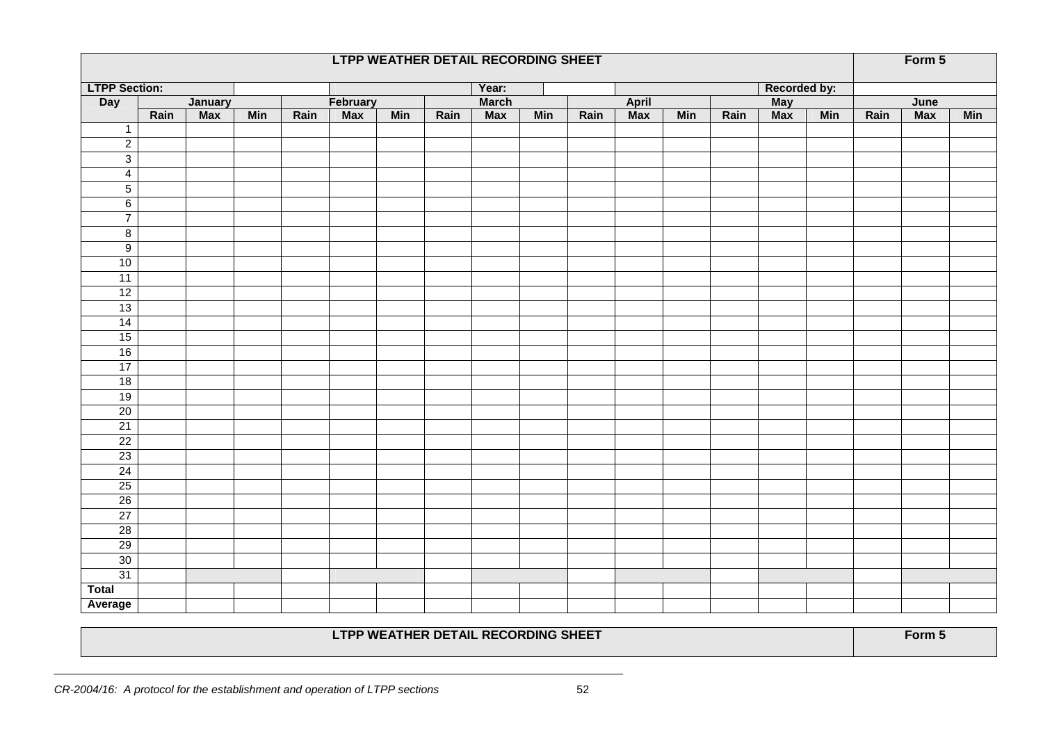|                      | LTPP WEATHER DETAIL RECORDING SHEET |            |            |      |            |            |      |              |            |      |                         |            |      |              |            | Form 5 |            |            |
|----------------------|-------------------------------------|------------|------------|------|------------|------------|------|--------------|------------|------|-------------------------|------------|------|--------------|------------|--------|------------|------------|
| <b>LTPP Section:</b> |                                     |            |            |      |            |            |      | Year:        |            |      |                         |            |      | Recorded by: |            |        |            |            |
| <b>Day</b>           |                                     | January    |            |      | February   |            |      | <b>March</b> |            |      | April                   |            |      | May<br>Max   |            |        | June       |            |
|                      | Rain                                | <b>Max</b> | <b>Min</b> | Rain | <b>Max</b> | <b>Min</b> | Rain | <b>Max</b>   | <b>Min</b> | Rain | $\overline{\text{Max}}$ | <b>Min</b> | Rain |              | <b>Min</b> | Rain   | <b>Max</b> | <b>Min</b> |
| $\overline{1}$       |                                     |            |            |      |            |            |      |              |            |      |                         |            |      |              |            |        |            |            |
| $\overline{2}$       |                                     |            |            |      |            |            |      |              |            |      |                         |            |      |              |            |        |            |            |
| $\overline{3}$       |                                     |            |            |      |            |            |      |              |            |      |                         |            |      |              |            |        |            |            |
| $\overline{4}$       |                                     |            |            |      |            |            |      |              |            |      |                         |            |      |              |            |        |            |            |
| $\overline{5}$       |                                     |            |            |      |            |            |      |              |            |      |                         |            |      |              |            |        |            |            |
| 6                    |                                     |            |            |      |            |            |      |              |            |      |                         |            |      |              |            |        |            |            |
| $\overline{7}$       |                                     |            |            |      |            |            |      |              |            |      |                         |            |      |              |            |        |            |            |
| $\overline{8}$       |                                     |            |            |      |            |            |      |              |            |      |                         |            |      |              |            |        |            |            |
| 9                    |                                     |            |            |      |            |            |      |              |            |      |                         |            |      |              |            |        |            |            |
| 10                   |                                     |            |            |      |            |            |      |              |            |      |                         |            |      |              |            |        |            |            |
| 11                   |                                     |            |            |      |            |            |      |              |            |      |                         |            |      |              |            |        |            |            |
| 12                   |                                     |            |            |      |            |            |      |              |            |      |                         |            |      |              |            |        |            |            |
| 13                   |                                     |            |            |      |            |            |      |              |            |      |                         |            |      |              |            |        |            |            |
| 14                   |                                     |            |            |      |            |            |      |              |            |      |                         |            |      |              |            |        |            |            |
| 15                   |                                     |            |            |      |            |            |      |              |            |      |                         |            |      |              |            |        |            |            |
| 16                   |                                     |            |            |      |            |            |      |              |            |      |                         |            |      |              |            |        |            |            |
| 17                   |                                     |            |            |      |            |            |      |              |            |      |                         |            |      |              |            |        |            |            |
| 18                   |                                     |            |            |      |            |            |      |              |            |      |                         |            |      |              |            |        |            |            |
| 19                   |                                     |            |            |      |            |            |      |              |            |      |                         |            |      |              |            |        |            |            |
| 20                   |                                     |            |            |      |            |            |      |              |            |      |                         |            |      |              |            |        |            |            |
| 21                   |                                     |            |            |      |            |            |      |              |            |      |                         |            |      |              |            |        |            |            |
| 22                   |                                     |            |            |      |            |            |      |              |            |      |                         |            |      |              |            |        |            |            |
| 23                   |                                     |            |            |      |            |            |      |              |            |      |                         |            |      |              |            |        |            |            |
| 24                   |                                     |            |            |      |            |            |      |              |            |      |                         |            |      |              |            |        |            |            |
| 25                   |                                     |            |            |      |            |            |      |              |            |      |                         |            |      |              |            |        |            |            |
| 26                   |                                     |            |            |      |            |            |      |              |            |      |                         |            |      |              |            |        |            |            |
| 27                   |                                     |            |            |      |            |            |      |              |            |      |                         |            |      |              |            |        |            |            |
| 28                   |                                     |            |            |      |            |            |      |              |            |      |                         |            |      |              |            |        |            |            |
| 29                   |                                     |            |            |      |            |            |      |              |            |      |                         |            |      |              |            |        |            |            |
| 30                   |                                     |            |            |      |            |            |      |              |            |      |                         |            |      |              |            |        |            |            |
| 31                   |                                     |            |            |      |            |            |      |              |            |      |                         |            |      |              |            |        |            |            |
| <b>Total</b>         |                                     |            |            |      |            |            |      |              |            |      |                         |            |      |              |            |        |            |            |
| Average              |                                     |            |            |      |            |            |      |              |            |      |                         |            |      |              |            |        |            |            |

## LTPP WEATHER DETAIL RECORDING SHEET **Form 5** Form 5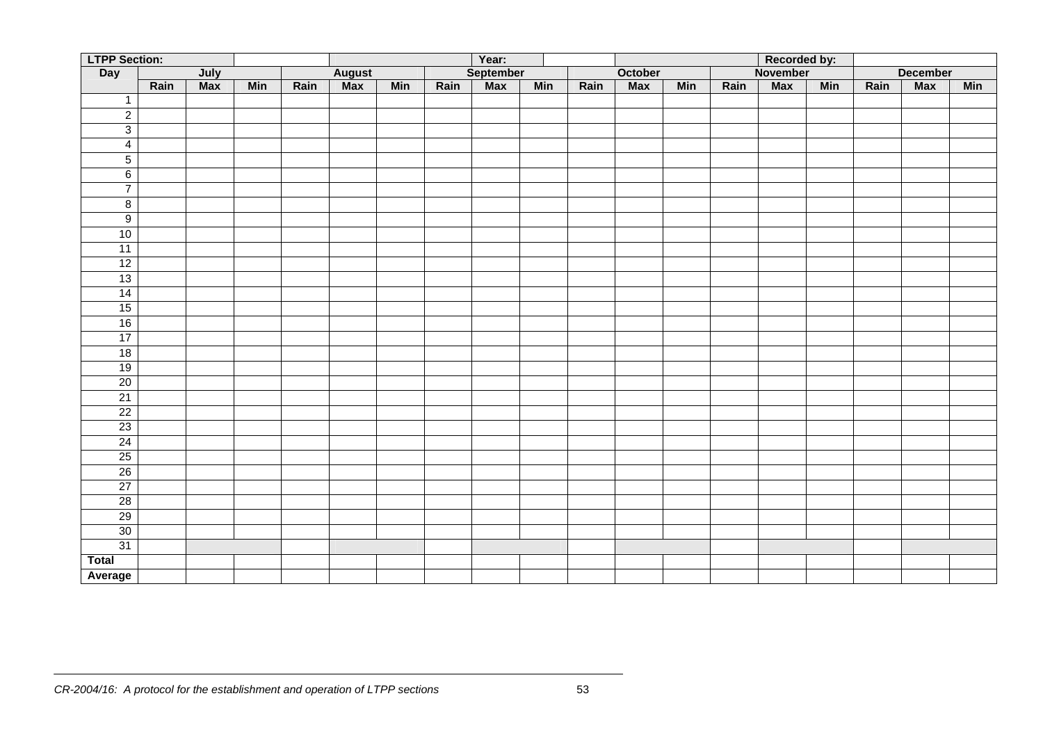| <b>LTPP Section:</b><br>Year:<br>Recorded by: |      |      |            |      |               |            |      |                  |            |      |            |            |      |                 |            |      |                 |            |
|-----------------------------------------------|------|------|------------|------|---------------|------------|------|------------------|------------|------|------------|------------|------|-----------------|------------|------|-----------------|------------|
| Day                                           |      | July |            |      | <b>August</b> |            |      | <b>September</b> |            |      | October    |            |      | <b>November</b> |            |      | <b>December</b> |            |
|                                               | Rain | Max  | <b>Min</b> | Rain | <b>Max</b>    | <b>Min</b> | Rain | Max              | <b>Min</b> | Rain | <b>Max</b> | <b>Min</b> | Rain | <b>Max</b>      | <b>Min</b> | Rain | Max             | <b>Min</b> |
| $\overline{1}$                                |      |      |            |      |               |            |      |                  |            |      |            |            |      |                 |            |      |                 |            |
| $\overline{2}$                                |      |      |            |      |               |            |      |                  |            |      |            |            |      |                 |            |      |                 |            |
| $\overline{3}$                                |      |      |            |      |               |            |      |                  |            |      |            |            |      |                 |            |      |                 |            |
| $\overline{4}$                                |      |      |            |      |               |            |      |                  |            |      |            |            |      |                 |            |      |                 |            |
| $5\overline{)}$                               |      |      |            |      |               |            |      |                  |            |      |            |            |      |                 |            |      |                 |            |
| $6\overline{6}$                               |      |      |            |      |               |            |      |                  |            |      |            |            |      |                 |            |      |                 |            |
| $\overline{7}$                                |      |      |            |      |               |            |      |                  |            |      |            |            |      |                 |            |      |                 |            |
| $\bf{8}$                                      |      |      |            |      |               |            |      |                  |            |      |            |            |      |                 |            |      |                 |            |
| $\overline{9}$                                |      |      |            |      |               |            |      |                  |            |      |            |            |      |                 |            |      |                 |            |
| 10                                            |      |      |            |      |               |            |      |                  |            |      |            |            |      |                 |            |      |                 |            |
| 11                                            |      |      |            |      |               |            |      |                  |            |      |            |            |      |                 |            |      |                 |            |
| 12                                            |      |      |            |      |               |            |      |                  |            |      |            |            |      |                 |            |      |                 |            |
| 13                                            |      |      |            |      |               |            |      |                  |            |      |            |            |      |                 |            |      |                 |            |
| 14                                            |      |      |            |      |               |            |      |                  |            |      |            |            |      |                 |            |      |                 |            |
| 15                                            |      |      |            |      |               |            |      |                  |            |      |            |            |      |                 |            |      |                 |            |
| 16                                            |      |      |            |      |               |            |      |                  |            |      |            |            |      |                 |            |      |                 |            |
| 17                                            |      |      |            |      |               |            |      |                  |            |      |            |            |      |                 |            |      |                 |            |
| 18                                            |      |      |            |      |               |            |      |                  |            |      |            |            |      |                 |            |      |                 |            |
| 19                                            |      |      |            |      |               |            |      |                  |            |      |            |            |      |                 |            |      |                 |            |
| 20                                            |      |      |            |      |               |            |      |                  |            |      |            |            |      |                 |            |      |                 |            |
| 21                                            |      |      |            |      |               |            |      |                  |            |      |            |            |      |                 |            |      |                 |            |
| $\overline{22}$                               |      |      |            |      |               |            |      |                  |            |      |            |            |      |                 |            |      |                 |            |
| 23                                            |      |      |            |      |               |            |      |                  |            |      |            |            |      |                 |            |      |                 |            |
| 24                                            |      |      |            |      |               |            |      |                  |            |      |            |            |      |                 |            |      |                 |            |
| 25                                            |      |      |            |      |               |            |      |                  |            |      |            |            |      |                 |            |      |                 |            |
| 26                                            |      |      |            |      |               |            |      |                  |            |      |            |            |      |                 |            |      |                 |            |
| 27                                            |      |      |            |      |               |            |      |                  |            |      |            |            |      |                 |            |      |                 |            |
| 28                                            |      |      |            |      |               |            |      |                  |            |      |            |            |      |                 |            |      |                 |            |
| 29                                            |      |      |            |      |               |            |      |                  |            |      |            |            |      |                 |            |      |                 |            |
| 30                                            |      |      |            |      |               |            |      |                  |            |      |            |            |      |                 |            |      |                 |            |
| 31                                            |      |      |            |      |               |            |      |                  |            |      |            |            |      |                 |            |      |                 |            |
| <b>Total</b>                                  |      |      |            |      |               |            |      |                  |            |      |            |            |      |                 |            |      |                 |            |
| Average                                       |      |      |            |      |               |            |      |                  |            |      |            |            |      |                 |            |      |                 |            |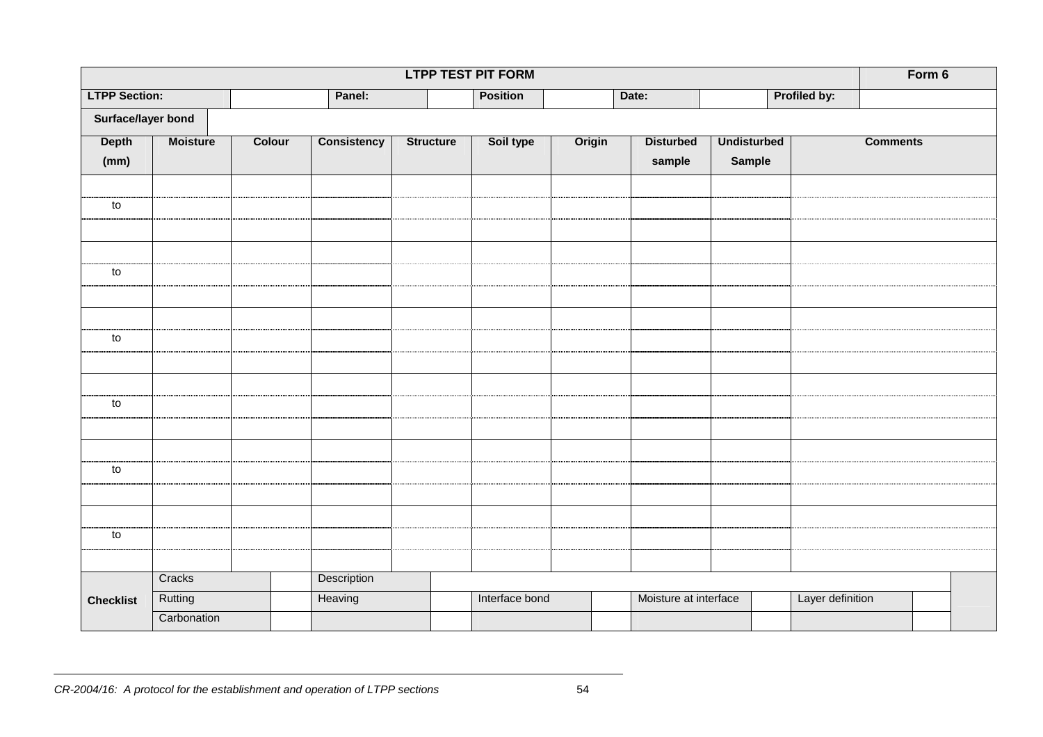| <b>LTPP TEST PIT FORM</b> |                 |        |                    |                  |                 |        |                       |                    |                  |                 |  |  |
|---------------------------|-----------------|--------|--------------------|------------------|-----------------|--------|-----------------------|--------------------|------------------|-----------------|--|--|
| <b>LTPP Section:</b>      |                 |        | Panel:             |                  | <b>Position</b> |        | Date:                 |                    | Profiled by:     |                 |  |  |
| Surface/layer bond        |                 |        |                    |                  |                 |        |                       |                    |                  |                 |  |  |
| <b>Depth</b>              | <b>Moisture</b> | Colour | <b>Consistency</b> | <b>Structure</b> | Soil type       | Origin | <b>Disturbed</b>      | <b>Undisturbed</b> |                  | <b>Comments</b> |  |  |
| (mm)                      |                 |        |                    |                  |                 |        | sample                | <b>Sample</b>      |                  |                 |  |  |
|                           |                 |        |                    |                  |                 |        |                       |                    |                  |                 |  |  |
| to                        |                 |        |                    |                  |                 |        |                       |                    |                  |                 |  |  |
|                           |                 |        |                    |                  |                 |        |                       |                    |                  |                 |  |  |
|                           |                 |        |                    |                  |                 |        |                       |                    |                  |                 |  |  |
| ${\sf to}$                |                 |        |                    |                  |                 |        |                       |                    |                  |                 |  |  |
|                           |                 |        |                    |                  |                 |        |                       |                    |                  |                 |  |  |
|                           |                 |        |                    |                  |                 |        |                       |                    |                  |                 |  |  |
| ${\sf to}$                |                 |        |                    |                  |                 |        |                       |                    |                  |                 |  |  |
|                           |                 |        |                    |                  |                 |        |                       |                    |                  |                 |  |  |
|                           |                 |        |                    |                  |                 |        |                       |                    |                  |                 |  |  |
| ${\sf to}$                |                 |        |                    |                  |                 |        |                       |                    |                  |                 |  |  |
|                           |                 |        |                    |                  |                 |        |                       |                    |                  |                 |  |  |
|                           |                 |        |                    |                  |                 |        |                       |                    |                  |                 |  |  |
| to                        |                 |        |                    |                  |                 |        |                       |                    |                  |                 |  |  |
|                           |                 |        |                    |                  |                 |        |                       |                    |                  |                 |  |  |
|                           |                 |        |                    |                  |                 |        |                       |                    |                  |                 |  |  |
| ${\sf to}$                |                 |        |                    |                  |                 |        |                       |                    |                  |                 |  |  |
|                           |                 |        |                    |                  |                 |        |                       |                    |                  |                 |  |  |
|                           | Cracks          |        | Description        |                  |                 |        |                       |                    |                  |                 |  |  |
| <b>Checklist</b>          | Rutting         |        | Heaving            |                  | Interface bond  |        | Moisture at interface |                    | Layer definition |                 |  |  |
|                           | Carbonation     |        |                    |                  |                 |        |                       |                    |                  |                 |  |  |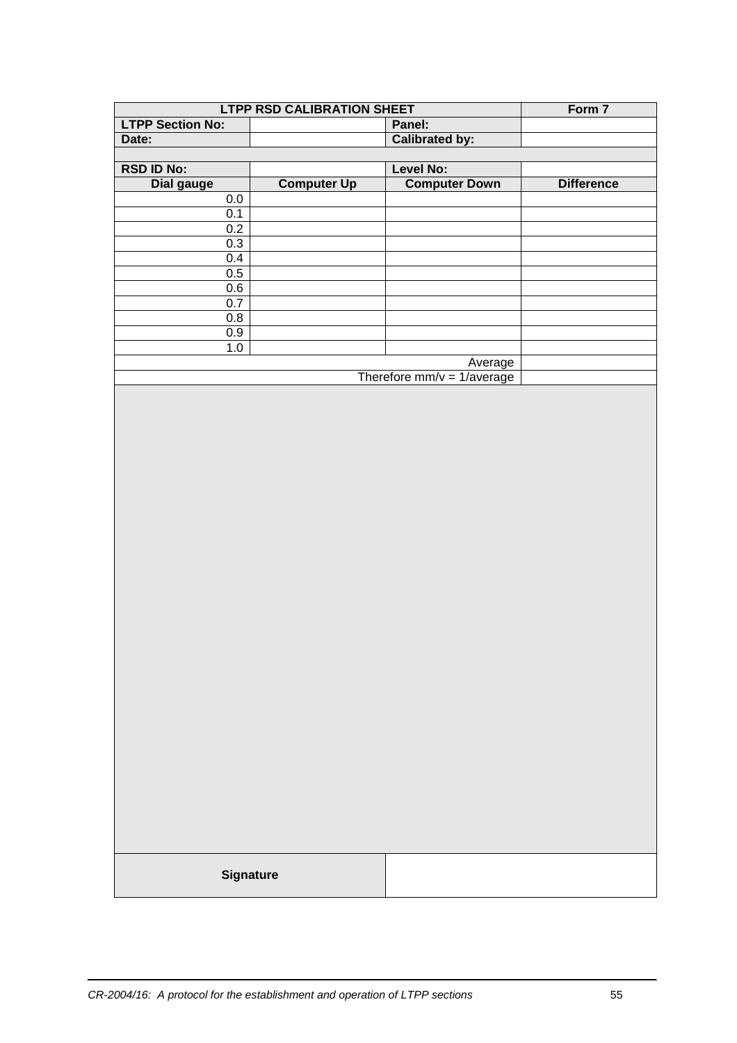|                         | <b>LTPP RSD CALIBRATION SHEET</b> |                              |                   |  |  |  |  |  |  |  |
|-------------------------|-----------------------------------|------------------------------|-------------------|--|--|--|--|--|--|--|
| <b>LTPP Section No:</b> |                                   | Panel:                       |                   |  |  |  |  |  |  |  |
| Date:                   |                                   | <b>Calibrated by:</b>        |                   |  |  |  |  |  |  |  |
|                         |                                   |                              |                   |  |  |  |  |  |  |  |
| <b>RSD ID No:</b>       |                                   | Level No:                    |                   |  |  |  |  |  |  |  |
| <b>Dial gauge</b>       | <b>Computer Up</b>                | <b>Computer Down</b>         | <b>Difference</b> |  |  |  |  |  |  |  |
| $0.0\,$                 |                                   |                              |                   |  |  |  |  |  |  |  |
| 0.1                     |                                   |                              |                   |  |  |  |  |  |  |  |
| 0.2                     |                                   |                              |                   |  |  |  |  |  |  |  |
| 0.3                     |                                   |                              |                   |  |  |  |  |  |  |  |
| 0.4                     |                                   |                              |                   |  |  |  |  |  |  |  |
| 0.5                     |                                   |                              |                   |  |  |  |  |  |  |  |
| 0.6                     |                                   |                              |                   |  |  |  |  |  |  |  |
| 0.7                     |                                   |                              |                   |  |  |  |  |  |  |  |
| 0.8                     |                                   |                              |                   |  |  |  |  |  |  |  |
| 0.9                     |                                   |                              |                   |  |  |  |  |  |  |  |
| $1.0\,$                 |                                   |                              |                   |  |  |  |  |  |  |  |
|                         |                                   | Average                      |                   |  |  |  |  |  |  |  |
|                         |                                   | Therefore $mm/v = 1/average$ |                   |  |  |  |  |  |  |  |
|                         |                                   |                              |                   |  |  |  |  |  |  |  |
|                         | <b>Signature</b>                  |                              |                   |  |  |  |  |  |  |  |